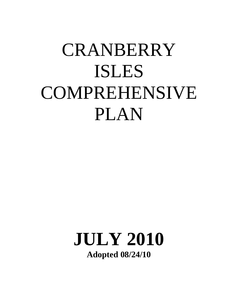# **CRANBERRY** ISLES COMPREHENSIVE PLAN

### **JULY 2010 Adopted 08/24/10**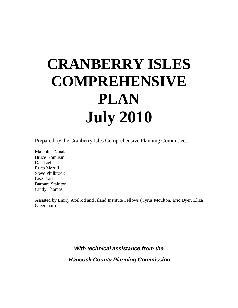## **CRANBERRY ISLES COMPREHENSIVE PLAN July 2010**

Prepared by the Cranberry Isles Comprehensive Planning Committee:

Malcolm Donald Bruce Komusin Dan Lief Erica Merrill Steve Philbrook Lise Pratt Barbara Stainton Cindy Thomas

Assisted by Emily Axelrod and Island Institute Fellows (Cyrus Moulton, Eric Dyer, Eliza Greenman)

*With technical assistance from the*

*Hancock County Planning Commission*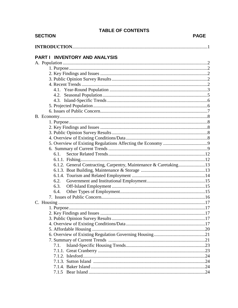| <b>SECTION</b>                                                    | <b>PAGE</b> |
|-------------------------------------------------------------------|-------------|
|                                                                   |             |
| PART I INVENTORY AND ANALYSIS                                     |             |
|                                                                   |             |
|                                                                   |             |
|                                                                   |             |
|                                                                   |             |
|                                                                   |             |
|                                                                   |             |
|                                                                   |             |
|                                                                   |             |
|                                                                   |             |
|                                                                   |             |
|                                                                   |             |
|                                                                   |             |
|                                                                   |             |
|                                                                   |             |
|                                                                   |             |
|                                                                   |             |
|                                                                   |             |
| 6.1.                                                              |             |
|                                                                   |             |
| 6.1.2. General Contracting, Carpentry, Maintenance & Caretaking13 |             |
|                                                                   |             |
|                                                                   |             |
| 6.2.                                                              |             |
| 6.3.                                                              |             |
| 6.4.                                                              |             |
|                                                                   |             |
|                                                                   |             |
|                                                                   |             |
|                                                                   |             |
|                                                                   |             |
|                                                                   |             |
|                                                                   |             |
|                                                                   |             |
| 7.1.                                                              |             |
|                                                                   |             |
|                                                                   |             |
|                                                                   |             |
|                                                                   |             |
|                                                                   |             |
|                                                                   |             |

#### **TABLE OF CONTENTS**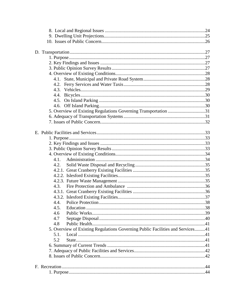| 5. Overview of Existing Regulations Governing Transportation 31                |  |
|--------------------------------------------------------------------------------|--|
|                                                                                |  |
|                                                                                |  |
|                                                                                |  |
|                                                                                |  |
|                                                                                |  |
|                                                                                |  |
|                                                                                |  |
|                                                                                |  |
| 4.1.                                                                           |  |
| 4.2.                                                                           |  |
|                                                                                |  |
|                                                                                |  |
|                                                                                |  |
|                                                                                |  |
|                                                                                |  |
|                                                                                |  |
|                                                                                |  |
| 4.5.                                                                           |  |
| 4.6                                                                            |  |
| 4.7                                                                            |  |
| 4.8                                                                            |  |
| 5. Overview of Existing Regulations Governing Public Facilities and Services41 |  |
| 5.1.                                                                           |  |
| 5.2                                                                            |  |
|                                                                                |  |
|                                                                                |  |
|                                                                                |  |
|                                                                                |  |
|                                                                                |  |
|                                                                                |  |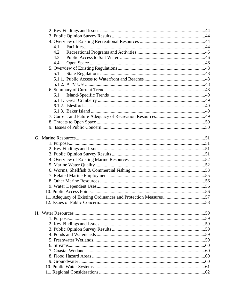| 4.1. |  |
|------|--|
| 4.2. |  |
| 4.3. |  |
| 4.4. |  |
|      |  |
| 5.1. |  |
|      |  |
|      |  |
|      |  |
| 6.1. |  |
|      |  |
|      |  |
|      |  |
|      |  |
|      |  |
|      |  |
|      |  |
|      |  |
|      |  |
|      |  |
|      |  |
|      |  |
|      |  |
|      |  |
|      |  |
|      |  |
|      |  |
|      |  |
|      |  |
|      |  |
|      |  |
|      |  |
|      |  |
|      |  |
|      |  |
|      |  |
|      |  |
|      |  |
|      |  |
|      |  |
|      |  |
|      |  |
|      |  |
|      |  |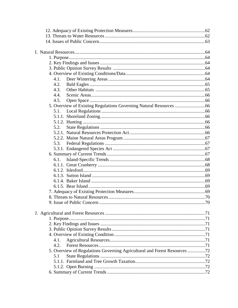| 4.1.                                                                      |  |
|---------------------------------------------------------------------------|--|
| 4.2.                                                                      |  |
| 4.3.                                                                      |  |
| 4.4.                                                                      |  |
| 4.5.                                                                      |  |
|                                                                           |  |
| 5.1.                                                                      |  |
|                                                                           |  |
|                                                                           |  |
| 5.2.                                                                      |  |
|                                                                           |  |
|                                                                           |  |
| 5.3.                                                                      |  |
|                                                                           |  |
|                                                                           |  |
| 6.1.                                                                      |  |
|                                                                           |  |
|                                                                           |  |
|                                                                           |  |
|                                                                           |  |
|                                                                           |  |
|                                                                           |  |
|                                                                           |  |
|                                                                           |  |
|                                                                           |  |
|                                                                           |  |
|                                                                           |  |
|                                                                           |  |
|                                                                           |  |
|                                                                           |  |
| 4.1.                                                                      |  |
| 4.2.                                                                      |  |
| 5. Overview of Regulations Governing Agricultural and Forest Resources 72 |  |
| 5.1                                                                       |  |
|                                                                           |  |
|                                                                           |  |
|                                                                           |  |
|                                                                           |  |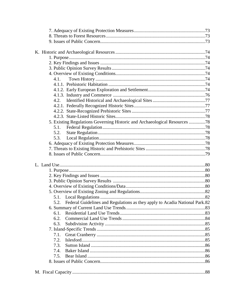| 4.1. |                                                                                  |  |
|------|----------------------------------------------------------------------------------|--|
|      |                                                                                  |  |
|      |                                                                                  |  |
|      |                                                                                  |  |
|      |                                                                                  |  |
|      |                                                                                  |  |
|      |                                                                                  |  |
|      |                                                                                  |  |
|      | 5. Existing Regulations Governing Historic and Archaeological Resources 78       |  |
| 5.1. |                                                                                  |  |
| 5.2. |                                                                                  |  |
| 5.3. |                                                                                  |  |
|      |                                                                                  |  |
|      |                                                                                  |  |
|      |                                                                                  |  |
|      |                                                                                  |  |
|      |                                                                                  |  |
|      |                                                                                  |  |
|      |                                                                                  |  |
|      |                                                                                  |  |
|      |                                                                                  |  |
|      |                                                                                  |  |
| 5.1. |                                                                                  |  |
|      | 5.2. Federal Guidelines and Regulations as they apply to Acadia National Park.82 |  |
|      |                                                                                  |  |
| 6.1. |                                                                                  |  |
| 6.2. |                                                                                  |  |
| 6.3. |                                                                                  |  |
|      |                                                                                  |  |
| 7.1. |                                                                                  |  |
| 7.2. |                                                                                  |  |
| 7.3. |                                                                                  |  |
| 7.4. |                                                                                  |  |
| 7.5. |                                                                                  |  |
|      |                                                                                  |  |
|      |                                                                                  |  |
|      |                                                                                  |  |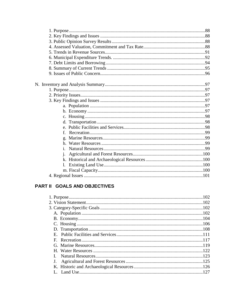| f.             |  |
|----------------|--|
|                |  |
|                |  |
| $\mathbf{1}$ . |  |
|                |  |
|                |  |
|                |  |
|                |  |
|                |  |
|                |  |

#### PART II GOALS AND OBJECTIVES

|              | 102 |
|--------------|-----|
|              |     |
|              |     |
|              |     |
|              |     |
|              |     |
|              |     |
|              |     |
| $\mathbf{F}$ |     |
|              |     |
|              |     |
|              |     |
|              |     |
|              |     |
|              | 127 |
|              |     |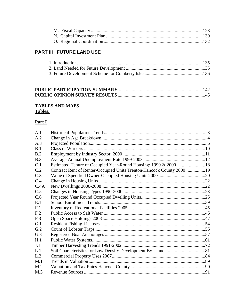#### PART III FUTURE LAND USE

#### 

#### **TABLES AND MAPS Tables:**

#### $Part I$

| A.1            |                                                                      |  |
|----------------|----------------------------------------------------------------------|--|
| A.2            |                                                                      |  |
| A.3            |                                                                      |  |
| B.1            |                                                                      |  |
| B.2            |                                                                      |  |
| B.3            |                                                                      |  |
| C.1            | Estimated Tenure of Occupied Year-Round Housing: 1990 & 2000 18      |  |
| C.2            | Contract Rent of Renter-Occupied Units Trenton/Hancock County 200019 |  |
| C.3            |                                                                      |  |
| C.4            |                                                                      |  |
| C.4A           |                                                                      |  |
| C.5            |                                                                      |  |
| C.6            |                                                                      |  |
| E.1            |                                                                      |  |
| F <sub>1</sub> |                                                                      |  |
| E.2            |                                                                      |  |
| F.3            |                                                                      |  |
| G.1            |                                                                      |  |
| G.2            |                                                                      |  |
| G.3            |                                                                      |  |
| H.1            |                                                                      |  |
| J.1            |                                                                      |  |
| L.1            |                                                                      |  |
| L.2            |                                                                      |  |
| M.1            |                                                                      |  |
| M <sub>2</sub> |                                                                      |  |
| M.3            |                                                                      |  |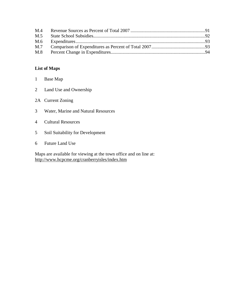| M.4 |  |
|-----|--|
| M.5 |  |
|     |  |
|     |  |
|     |  |

#### **List of Maps**

- 1 Base Map
- 2 Land Use and Ownership
- 2A Current Zoning
- 3 Water, Marine and Natural Resources
- 4 Cultural Resources
- 5 Soil Suitability for Development
- 6 Future Land Use

Maps are available for viewing at the town office and on line at: <http://www.hcpcme.org/cranberryisles/index.htm>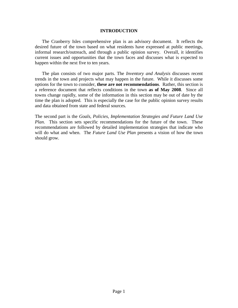#### **INTRODUCTION**

The Cranberry Isles comprehensive plan is an advisory document. It reflects the desired future of the town based on what residents have expressed at public meetings, informal research/outreach, and through a public opinion survey. Overall, it identifies current issues and opportunities that the town faces and discusses what is expected to happen within the next five to ten years.

The plan consists of two major parts. The *Inventory and Analysis* discusses recent trends in the town and projects what may happen in the future. While it discusses some options for the town to consider, **these are not recommendations**. Rather, this section is a reference document that reflects conditions in the town **as of May 2008**. Since all towns change rapidly, some of the information in this section may be out of date by the time the plan is adopted. This is especially the case for the public opinion survey results and data obtained from state and federal sources.

The second part is the *Goals, Policies, Implementation Strategies and Future Land Use Plan*. This section sets specific recommendations for the future of the town. These recommendations are followed by detailed implementation strategies that indicate who will do what and when. The *Future Land Use Plan* presents a vision of how the town should grow.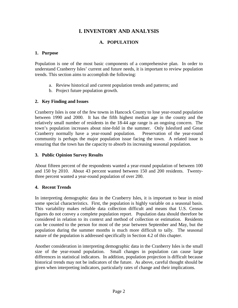#### **I. INVENTORY AND ANALYSIS**

#### **A. POPULATION**

#### **1. Purpose**

Population is one of the most basic components of a comprehensive plan. In order to understand Cranberry Isles' current and future needs, it is important to review population trends. This section aims to accomplish the following:

- a. Review historical and current population trends and patterns; and
- b. Project future population growth.

#### **2. Key Finding and Issues**

Cranberry Isles is one of the few towns in Hancock County to lose year-round population between 1990 and 2000. It has the fifth highest median age in the county and the relatively small number of residents in the 18-44 age range is an ongoing concern. The town's population increases about nine-fold in the summer. Only Islesford and Great Cranberry normally have a year-round population. Preservation of the year-round community is perhaps the major population issue facing the town. A related issue is ensuring that the town has the capacity to absorb its increasing seasonal population.

#### **3. Public Opinion Survey Results**

About fifteen percent of the respondents wanted a year-round population of between 100 and 150 by 2010. About 43 percent wanted between 150 and 200 residents. Twentythree percent wanted a year-round population of over 200.

#### **4. Recent Trends**

In interpreting demographic data in the Cranberry Isles, it is important to bear in mind some special characteristics. First, the population is highly variable on a seasonal basis. This variability makes reliable data collection difficult and means that U.S. Census figures do not convey a complete population report. Population data should therefore be considered in relation to its context and method of collection or estimation. Residents can be counted to the person for most of the year between September and May, but the population during the summer months is much more difficult to tally. The seasonal nature of the population is addressed specifically in Section 4.2 of this chapter.

Another consideration in interpreting demographic data in the Cranberry Isles is the small size of the year-round population. Small changes in population can cause large differences in statistical indicators. In addition, population projection is difficult because historical trends may not be indicators of the future. As above, careful thought should be given when interpreting indicators, particularly rates of change and their implications.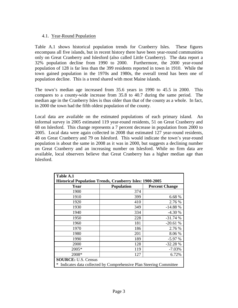#### 4.1. Year-Round Population

Table A.1 shows historical population trends for Cranberry Isles. These figures encompass all five islands, but in recent history there have been year-round communities only on Great Cranberry and Islesford (also called Little Cranberry). The data report a 32% population decline from 1990 to 2000. Furthermore, the 2000 year-round population of 128 is far less than the 399 residents reported in town in 1910. While the town gained population in the 1970s and 1980s, the overall trend has been one of population decline. This is a trend shared with most Maine islands.

The town's median age increased from 35.6 years in 1990 to 45.5 in 2000. This compares to a county-wide increase from 35.8 to 40.7 during the same period. The median age in the Cranberry Isles is thus older than that of the county as a whole. In fact, in 2000 the town had the fifth oldest population of the county.

Local data are available on the estimated populations of each primary island. An informal survey in 2005 estimated 119 year-round residents, 51 on Great Cranberry and 68 on Islesford. This change represents a 7 percent decrease in population from 2000 to 2005. Local data were again collected in 2008 that estimated 127 year-round residents, 48 on Great Cranberry and 79 on Islesford. This would indicate the town's year-round population is about the same in 2008 as it was in 2000, but suggests a declining number on Great Cranberry and an increasing number on Islesford. While no firm data are available, local observers believe that Great Cranberry has a higher median age than Islesford.

| Table A.1                                                              |                   |                       |  |
|------------------------------------------------------------------------|-------------------|-----------------------|--|
| <b>Historical Population Trends, Cranberry Isles: 1900-2005</b>        |                   |                       |  |
| Year                                                                   | <b>Population</b> | <b>Percent Change</b> |  |
| 1900                                                                   | 374               |                       |  |
| 1910                                                                   | 399               | 6.68 %                |  |
| 1920                                                                   | 410               | 2.76 %                |  |
| 1930                                                                   | 349               | $-14.88%$             |  |
| 1940                                                                   | 334               | $-4.30%$              |  |
| 1950                                                                   | 228               | $-31.74%$             |  |
| 1960                                                                   | 181               | $-20.61%$             |  |
| 1970                                                                   | 186               | 2.76 %                |  |
| 1980                                                                   | 201               | 8.06 %                |  |
| 1990                                                                   | 189               | $-5.97%$              |  |
| 2000                                                                   | 128               | $-32.28%$             |  |
| 2005*                                                                  | 119               | $-7.03%$              |  |
| 2008*                                                                  | 127               | 6.72%                 |  |
| <b>SOURCE: U.S. Census</b>                                             |                   |                       |  |
| Indicates data collected by Comprehensive Plan Steering Committee<br>∗ |                   |                       |  |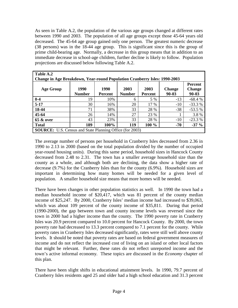As seen in Table A.2, the population of the various age groups changed at different rates between 1990 and 2003. The population of all age groups except those 45-64 years old decreased. The 45-64 age group gained only one person. The greatest numeric decrease (38 persons) was in the 18-44 age group. This is significant since this is the group of prime child-bearing age. Normally, a decrease in this group means that in addition to an immediate decrease in school-age children, further decline is likely to follow. Population projections are discussed below following Table A.2.

| Table A.2                                                                        |               |                |               |         |               |                |  |  |  |
|----------------------------------------------------------------------------------|---------------|----------------|---------------|---------|---------------|----------------|--|--|--|
| <b>Change in Age Breakdown, Year-round Population Cranberry Isles: 1990-2003</b> |               |                |               |         |               |                |  |  |  |
|                                                                                  |               |                |               |         |               | <b>Percent</b> |  |  |  |
| <b>Age Group</b>                                                                 | 1990          | 1990           | 2003          | 2003    | <b>Change</b> | <b>Change</b>  |  |  |  |
|                                                                                  | <b>Number</b> | <b>Percent</b> | <b>Number</b> | Percent | $90 - 03$     | 90-03          |  |  |  |
| $0 - 4$                                                                          | 19            | 10%            | 6             | 5 %     | $-13$         | $-68.4%$       |  |  |  |
| $5-17$                                                                           | 30            | 16%            | 20            | 17 %    | $-10^{-}$     | $-33.3%$       |  |  |  |
| 18-44                                                                            | 71            | 38%            | 33            | 28 %    | $-38$         | $-53.5%$       |  |  |  |
| $45 - 64$                                                                        | 26            | 14%            | 27            | 23 %    |               | 3.8%           |  |  |  |
| <b>65 &amp; over</b>                                                             | 43            | 23%            | 33            | 28 %    | $-10$         | $-23.3%$       |  |  |  |
| <b>Total</b>                                                                     | 189           | 100%           | 119           | 100 %   | -70           | $-37 \%$       |  |  |  |
| <b>SOURCE:</b> U.S. Census and State Planning Office (for 2003)                  |               |                |               |         |               |                |  |  |  |

The average number of persons per household in Cranberry Isles decreased from 2.36 in 1990 to 2.13 in 2000 (based on the total population divided by the number of occupied year-round housing units). During this same period, household sizes in Hancock County decreased from 2.48 to 2.31. The town has a smaller average household size than the county as a whole, and although both are declining, the data show a higher rate of decrease (9.7%) for the Cranberry Isles than for the county (6.9%). Household sizes are important in determining how many homes will be needed for a given level of population. A smaller household size means that more homes will be needed.

There have been changes in other population statistics as well. In 1990 the town had a median household income of \$20,417, which was 81 percent of the county median income of \$25,247. By 2000, Cranberry Isles' median income had increased to \$39,063, which was about 109 percent of the county income of \$35,811. During that period (1990-2000), the gap between town and county income levels was reversed since the town in 2000 had a higher income than the county. The 1990 poverty rate in Cranberry Isles was 20.9 percent compared to 10.0 percent for Hancock County. By 2000, the town poverty rate had decreased to 13.3 percent compared to 7.1 percent for the county. While poverty rates in Cranberry Isles decreased significantly, rates were still well above county levels. It should be noted that poverty rates are based on federal government measures of income and do not reflect the increased cost of living on an island or other local factors that might be relevant. Further, these rates do not reflect unreported income and the town's active informal economy. These topics are discussed in the *Economy* chapter of this plan.

There have been slight shifts in educational attainment levels. In 1990, 79.7 percent of Cranberry Isles residents aged 25 and older had a high school education and 31.3 percent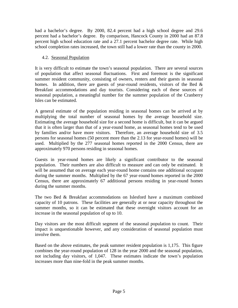had a bachelor's degree. By 2000, 82.4 percent had a high school degree and 29.6 percent had a bachelor's degree. By comparison, Hancock County in 2000 had an 87.8 percent high school education rate and a 27.1 percent bachelor degree rate. While high school completion rates increased, the town still had a lower rate than the county in 2000.

#### 4.2. Seasonal Population

It is very difficult to estimate the town's seasonal population. There are several sources of population that affect seasonal fluctuations. First and foremost is the significant summer resident community, consisting of owners, renters and their guests in seasonal homes. In addition, there are guests of year-round residents, visitors of the Bed  $\&$ Breakfast accommodations and day tourists. Considering each of these sources of seasonal population, a meaningful number for the summer population of the Cranberry Isles can be estimated.

A general estimate of the population residing in seasonal homes can be arrived at by multiplying the total number of seasonal homes by the average household size. Estimating the average household size for a second home is difficult, but it can be argued that it is often larger than that of a year-round home, as seasonal homes tend to be used by families and/or have more visitors. Therefore, an average household size of 3.5 persons for seasonal homes (50 percent more than the 2.13 for year-round homes) will be used. Multiplied by the 277 seasonal homes reported in the 2000 Census, there are approximately 970 persons residing in seasonal homes.

Guests in year-round homes are likely a significant contributor to the seasonal population. Their numbers are also difficult to measure and can only be estimated. It will be assumed that on average each year-round home contains one additional occupant during the summer months. Multiplied by the 67 year-round homes reported in the 2000 Census, there are approximately 67 additional persons residing in year-round homes during the summer months.

The two Bed & Breakfast accommodations on Islesford have a maximum combined capacity of 10 patrons. These facilities are generally at or near capacity throughout the summer months, so it can be estimated that these overnight visitors account for an increase in the seasonal population of up to 10.

Day visitors are the most difficult segment of the seasonal population to count. Their impact is unquestionable however, and any consideration of seasonal population must involve them.

Based on the above estimates, the peak summer resident population is 1,175. This figure combines the year-round population of 128 in the year 2000 and the seasonal population, not including day visitors, of 1,047. These estimates indicate the town's population increases more than nine-fold in the peak summer months.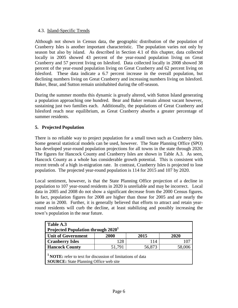#### 4.3. Island-Specific Trends

Although not shown in Census data, the geographic distribution of the population of Cranberry Isles is another important characteristic. The population varies not only by season but also by island. As described in Section 4.1 of this chapter, data collected locally in 2005 showed 43 percent of the year-round population living on Great Cranberry and 57 percent living on Islesford. Data collected locally in 2008 showed 38 percent of the year-round population living on Great Cranberry and 62 percent living on Islesford. These data indicate a 6.7 percent increase in the overall population, but declining numbers living on Great Cranberry and increasing numbers living on Islesford. Baker, Bear, and Sutton remain uninhabited during the off-season.

During the summer months this dynamic is greatly altered, with Sutton Island generating a population approaching one hundred. Bear and Baker remain almost vacant however, sustaining just two families each. Additionally, the populations of Great Cranberry and Islesford reach near equilibrium, as Great Cranberry absorbs a greater percentage of summer residents.

#### **5. Projected Population**

There is no reliable way to project population for a small town such as Cranberry Isles. Some general statistical models can be used, however. The State Planning Office (SPO) has developed year-round population projections for all towns in the state through 2020. The figures for Hancock County and Cranberry Isles are shown in Table A.3. As seen, Hancock County as a whole has considerable growth potential. This is consistent with recent trends of a high in-migration rate. In contrast, Cranberry Isles is projected to lose population. The projected year-round population is 114 for 2015 and 107 by 2020.

Local sentiment, however, is that the State Planning Office projection of a decline in population to 107 year-round residents in 2020 is unreliable and may be incorrect. Local data in 2005 and 2008 do not show a significant decrease from the 2000 Census figures. In fact, population figures for 2008 are higher than those for 2005 and are nearly the same as in 2000. Further, it is generally believed that efforts to attract and retain yearround residents will curb the decline, at least stabilizing and possibly increasing the town's population in the near future.

| Table A.3<br>Projected Population through $20201$                                                                 |                  |     |  |  |  |  |  |  |  |
|-------------------------------------------------------------------------------------------------------------------|------------------|-----|--|--|--|--|--|--|--|
| <b>Unit of Government</b><br>2000<br>2020<br>2015                                                                 |                  |     |  |  |  |  |  |  |  |
| <b>Cranberry Isles</b>                                                                                            | 128              | 114 |  |  |  |  |  |  |  |
| <b>Hancock County</b>                                                                                             | 56,873<br>51,791 |     |  |  |  |  |  |  |  |
| <b>NOTE:</b> refer to text for discussion of limitations of data<br><b>SOURCE:</b> State Planning Office web site |                  |     |  |  |  |  |  |  |  |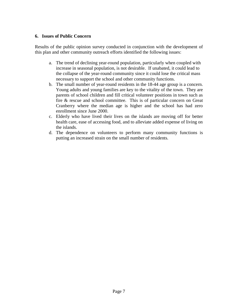#### **6. Issues of Public Concern**

Results of the public opinion survey conducted in conjunction with the development of this plan and other community outreach efforts identified the following issues:

- a. The trend of declining year-round population, particularly when coupled with increase in seasonal population, is not desirable. If unabated, it could lead to the collapse of the year-round community since it could lose the critical mass necessary to support the school and other community functions.
- b. The small number of year-round residents in the 18-44 age group is a concern. Young adults and young families are key to the vitality of the town. They are parents of school children and fill critical volunteer positions in town such as fire & rescue and school committee. This is of particular concern on Great Cranberry where the median age is higher and the school has had zero enrollment since June 2000.
- c. Elderly who have lived their lives on the islands are moving off for better health care, ease of accessing food, and to alleviate added expense of living on the islands.
- d. The dependence on volunteers to perform many community functions is putting an increased strain on the small number of residents.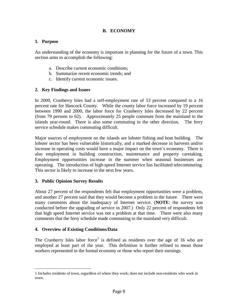#### **B. ECONOMY**

#### **1. Purpose**

An understanding of the economy is important in planning for the future of a town. This section aims to accomplish the following:

- a. Describe current economic conditions;
- b. Summarize recent economic trends; and
- c. Identify current economic issues.

#### **2. Key Findings and Issues**

In 2000, Cranberry Isles had a self-employment rate of 53 percent compared to a 16 percent rate for Hancock County. While the county labor force increased by 19 percent between 1990 and 2000, the labor force for Cranberry Isles decreased by 22 percent (from 79 persons to 62). Approximately 25 people commute from the mainland to the islands year-round. There is also some commuting in the other direction. The ferry service schedule makes commuting difficult.

Major sources of employment on the islands are lobster fishing and boat building. The lobster sector has been vulnerable historically, and a marked decrease in harvests and/or increase in operating costs would have a major impact on the town's economy. There is also employment in building construction, maintenance and property caretaking. Employment opportunities increase in the summer when seasonal businesses are operating. The introduction of high-speed Internet service has facilitated telecommuting. This sector is likely to increase in the next few years.

#### **3. Public Opinion Survey Results**

About 27 percent of the respondents felt that employment opportunities were a problem, and another 27 percent said that they would become a problem in the future. There were many comments about the inadequacy of Internet service. (**NOTE**: the survey was conducted before the upgrading of service in 2007.) Only 22 percent of respondents felt that high speed Internet service was not a problem at that time. There were also many comments that the ferry schedule made commuting to the mainland very difficult.

#### **4. Overview of Existing Conditions/Data**

 $\overline{a}$ 

The Cranberry Isles labor force<sup>[1](#page-17-0)</sup> is defined as residents over the age of 16 who are employed at least part of the year. This definition is further refined to mean those workers represented in the formal economy or those who report their earnings.

<span id="page-17-0"></span><sup>1</sup> Includes residents of town, regardless of where they work; does not include non-residents who work in town.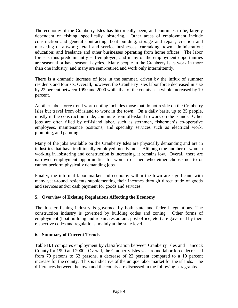The economy of the Cranberry Isles has historically been, and continues to be, largely dependent on fishing, specifically lobstering. Other areas of employment include construction and general contracting; boat building, storage and repair; creation and marketing of artwork; retail and service businesses; caretaking; town administration; education; and freelance and other businesses operating from home offices. The labor force is thus predominantly self-employed, and many of the employment opportunities are seasonal or have seasonal cycles. Many people in the Cranberry Isles work in more than one industry; and many are semi-retired and work only intermittently.

There is a dramatic increase of jobs in the summer, driven by the influx of summer residents and tourists. Overall, however, the Cranberry Isles labor force decreased in size by 22 percent between 1990 and 2000 while that of the county as a whole increased by 19 percent**.** 

Another labor force trend worth noting includes those that do not reside on the Cranberry Isles but travel from off island to work in the town. On a daily basis, up to 25 people, mostly in the construction trade, commute from off-island to work on the islands. Other jobs are often filled by off-island labor, such as sternmen, fishermen's co-operative employees, maintenance positions, and specialty services such as electrical work, plumbing, and painting.

Many of the jobs available on the Cranberry Isles are physically demanding and are in industries that have traditionally employed mostly men. Although the number of women working in lobstering and construction is increasing, it remains low. Overall, there are narrower employment opportunities for women or men who either choose not to or cannot perform physically demanding jobs.

Finally, the informal labor market and economy within the town are significant, with many year-round residents supplementing their incomes through direct trade of goods and services and/or cash payment for goods and services.

#### **5. Overview of Existing Regulations Affecting the Economy**

The lobster fishing industry is governed by both state and federal regulations. The construction industry is governed by building codes and zoning. Other forms of employment (boat building and repair, restaurant, post office, etc.) are governed by their respective codes and regulations, mainly at the state level.

#### **6. Summary of Current Trends**

Table B.1 compares employment by classification between Cranberry Isles and Hancock County for 1990 and 2000. Overall, the Cranberry Isles year-round labor force decreased from 79 persons to 62 persons, a decrease of 22 percent compared to a 19 percent increase for the county. This is indicative of the unique labor market for the islands. The differences between the town and the county are discussed in the following paragraphs.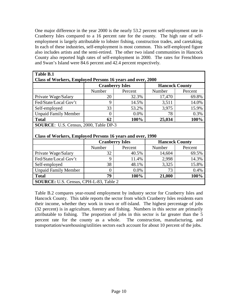One major difference in the year 2000 is the nearly 53.2 percent self-employment rate in Cranberry Isles compared to a 16 percent rate for the county. The high rate of selfemployment is largely attributable to lobster fishing, construction trades, and caretaking. In each of these industries, self-employment is most common. This self-employed figure also includes artists and the semi-retired. The other two island communities in Hancock County also reported high rates of self-employment in 2000. The rates for Frenchboro and Swan's Island were 84.6 percent and 42.4 percent respectively.

| Table B.1                                                  |          |                        |                       |         |  |  |  |  |
|------------------------------------------------------------|----------|------------------------|-----------------------|---------|--|--|--|--|
| Class of Workers, Employed Persons 16 years and over, 2000 |          |                        |                       |         |  |  |  |  |
|                                                            |          | <b>Cranberry Isles</b> | <b>Hancock County</b> |         |  |  |  |  |
|                                                            | Number   | Percent                | Number                | Percent |  |  |  |  |
| Private Wage/Salary                                        | 20       | 32.3%                  | 17,470                | 69.8%   |  |  |  |  |
| Fed/State/Local Gov't                                      | 9        | 14.5%                  | 3,511                 | 14.0%   |  |  |  |  |
| Self-employed                                              | 33       | 53.2%                  | 3,975                 | 15.9%   |  |  |  |  |
| <b>Unpaid Family Member</b>                                | $\Omega$ | $0.0\%$                | 78                    | 0.3%    |  |  |  |  |
| <b>Total</b>                                               | 62       | 100%                   | 25,034                | 100%    |  |  |  |  |
| <b>SOURCE:</b> U.S. Census, 2000, Table DP-3               |          |                        |                       |         |  |  |  |  |
|                                                            |          |                        |                       |         |  |  |  |  |
| Class of Workers, Employed Persons 16 years and over, 1990 |          |                        |                       |         |  |  |  |  |
|                                                            |          | <b>Cranberry Isles</b> | <b>Hancock County</b> |         |  |  |  |  |
|                                                            | Number   | Percent                | Number                | Percent |  |  |  |  |
| Private Wage/Salary                                        | 32       | 40.5%                  | 14,604                | 69.5%   |  |  |  |  |
| Fed/State/Local Gov't                                      | 9        | 11.4%                  | 2,998                 | 14.3%   |  |  |  |  |
| Self-employed                                              | 38       | 48.1%                  | 3,325                 | 15.8%   |  |  |  |  |
| <b>Unpaid Family Member</b>                                | $\Omega$ | 0.0%                   | 73                    | 0.4%    |  |  |  |  |
| <b>Total</b>                                               | 79       | 100%                   | 21,000                | 100%    |  |  |  |  |
| <b>SOURCE:</b> U.S. Census, CPH-L-83, Table 2              |          |                        |                       |         |  |  |  |  |

Table B.2 compares year-round employment by industry sector for Cranberry Isles and Hancock County. This table reports the sector from which Cranberry Isles residents earn their income, whether they work in town or off-island. The highest percentage of jobs (32 percent) is in agriculture, forestry and fishing. Numbers in this sector are primarily attributable to fishing. The proportion of jobs in this sector is far greater than the 5 percent rate for the county as a whole. The construction, manufacturing, and transportation/warehousing/utilities sectors each account for about 10 percent of the jobs.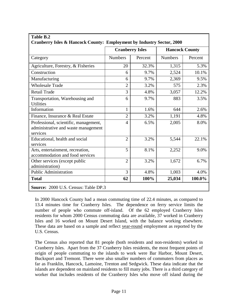| <b>Cranberry Isles</b><br><b>Numbers</b> | Cranberry Isles & Hancock County: Employment by Industry Sector, 2000 | <b>Hancock County</b> |         |
|------------------------------------------|-----------------------------------------------------------------------|-----------------------|---------|
|                                          |                                                                       |                       |         |
|                                          | Percent                                                               | <b>Numbers</b>        | Percent |
| 20                                       | 32.3%                                                                 | 1,315                 | 5.3%    |
| 6                                        | 9.7%                                                                  | 2,524                 | 10.1%   |
| 6                                        | 9.7%                                                                  | 2,369                 | 9.5%    |
| $\overline{2}$                           | 3.2%                                                                  | 575                   | 2.3%    |
| 3                                        | 4.8%                                                                  | 3,057                 | 12.2%   |
| 6                                        | 9.7%                                                                  | 883                   | 3.5%    |
| $\mathbf{1}$                             | 1.6%                                                                  | 644                   | 2.6%    |
| $\overline{2}$                           | 3.2%                                                                  | 1,191                 | 4.8%    |
| 4                                        | 6.5%                                                                  | 2,005                 | 8.0%    |
| $\overline{2}$                           | 3.2%                                                                  | 5,544                 | 22.1%   |
| 5                                        | 8.1%                                                                  | 2,252                 | 9.0%    |
| $\overline{2}$                           | 3.2%                                                                  | 1,672                 | 6.7%    |
| 3                                        | 4.8%                                                                  | 1,003                 | 4.0%    |
| 62                                       | 100%                                                                  | 25,034                | 100.0%  |
|                                          |                                                                       |                       |         |

#### In 2000 Hancock County had a mean commuting time of 22.4 minutes, as compared to 13.4 minutes time for Cranberry Isles. The dependence on ferry service limits the number of people who commute off-island. Of the 62 employed Cranberry Isles residents for whom 2000 Census commuting data are available, 37 worked in Cranberry Isles and 16 worked on Mount Desert Island, with the balance working elsewhere. These data are based on a sample and reflect year-round employment as reported by the U.S. Census.

The Census also reported that 81 people (both residents and non-residents) worked in Cranberry Isles. Apart from the 37 Cranberry Isles residents, the most frequent points of origin of people commuting to the islands to work were Bar Harbor, Mount Desert, Bucksport and Tremont. There were also smaller numbers of commuters from places as far as Franklin, Hancock, Lamoine, Trenton and Sedgwick. These data indicate that the islands are dependent on mainland residents to fill many jobs. There is a third category of worker that includes residents of the Cranberry Isles who move off island during the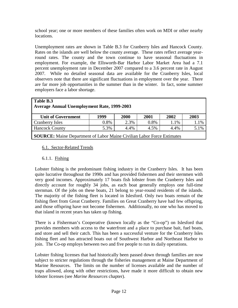school year; one or more members of these families often work on MDI or other nearby locations.

Unemployment rates are shown in Table B.3 for Cranberry Isles and Hancock County. Rates on the islands are well below the county average. These rates reflect average yearround rates. The county and the town continue to have seasonal fluctuations in employment. For example, the Ellsworth-Bar Harbor Labor Market Area had a 7.1 percent unemployment rate in December 2007 compared to a 3.6 percent rate in August 2007. While no detailed seasonal data are available for the Cranberry Isles, local observers note that there are significant fluctuations in employment over the year. There are far more job opportunities in the summer than in the winter. In fact, some summer employers face a labor shortage.

| Table B.3                                                                     |      |      |      |      |      |  |  |  |
|-------------------------------------------------------------------------------|------|------|------|------|------|--|--|--|
| <b>Average Annual Unemployment Rate, 1999-2003</b>                            |      |      |      |      |      |  |  |  |
| <b>Unit of Government</b>                                                     | 1999 | 2000 | 2001 | 2002 | 2003 |  |  |  |
| Cranberry Isles                                                               | 0.8% | 2.3% | 0.8% | 1.1% | 1.1% |  |  |  |
| <b>Hancock County</b>                                                         | 5.3% | 4.4% | 4.5% | 4.4% | 5.1% |  |  |  |
| <b>SOURCE:</b> Maine Department of Labor Maine Civilian Labor Force Estimates |      |      |      |      |      |  |  |  |

#### 6.1. Sector-Related Trends

#### 6.1.1. Fishing

Lobster fishing is the predominant fishing industry in the Cranberry Isles. It has been quite lucrative throughout the 1990s and has provided fishermen and their sternmen with very good incomes. Approximately 17 boats fish lobster from the Cranberry Isles and directly account for roughly 34 jobs, as each boat generally employs one full-time sternman. Of the jobs on these boats, 21 belong to year-round residents of the islands. The majority of the fishing fleet is located in Islesford. Only two boats remain of the fishing fleet from Great Cranberry. Families on Great Cranberry have had few offspring, and those offspring have not become fishermen. Additionally, no one who has moved to that island in recent years has taken up fishing.

There is a Fisherman's Cooperative (known locally as the "Co-op") on Islesford that provides members with access to the waterfront and a place to purchase bait, fuel boats, and store and sell their catch. This has been a successful venture for the Cranberry Isles fishing fleet and has attracted boats out of Southwest Harbor and Northeast Harbor to join. The Co-op employs between two and five people to run its daily operations.

Lobster fishing licenses that had historically been passed down through families are now subject to stricter regulations through the fisheries management at Maine Department of Marine Resources. The limits on the number of licenses available and the number of traps allowed, along with other restrictions, have made it more difficult to obtain new lobster licenses (see *Marine Resources* chapter).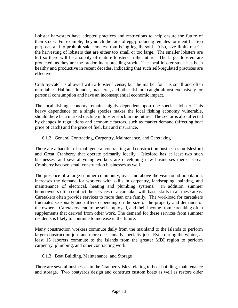Lobster harvesters have adopted practices and restrictions to help ensure the future of their stock. For example, they notch the tails of egg-producing females for identification purposes and to prohibit said females from being legally sold. Also, size limits restrict the harvesting of lobsters that are either too small or too large. The smaller lobsters are left so there will be a supply of mature lobsters in the future. The larger lobsters are protected, as they are the predominant breeding stock. The local lobster stock has been healthy and productive in recent decades, indicating that such self-regulated practices are effective.

Crab by-catch is allowed with a lobster license, but the market for it is small and often unreliable. Halibut, flounder, mackerel, and other fish are caught almost exclusively for personal consumption and have an inconsequential economic impact.

The local fishing economy remains highly dependent upon one species: lobster. This heavy dependence on a single species makes the local fishing economy vulnerable, should there be a marked decline in lobster stock in the future. The sector is also affected by changes in regulations and economic factors, such as market demand (affecting boat price of catch) and the price of fuel, bait and insurance.

#### 6.1.2. General Contracting, Carpentry, Maintenance, and Caretaking

There are a handful of small general contracting and construction businesses on Islesford and Great Cranberry that operate primarily locally. Islesford has at least two such businesses, and several young workers are developing new businesses there. Great Cranberry has two small construction businesses as well.

The presence of a large summer community, over and above the year-round population, increases the demand for workers with skills in carpentry, landscaping, painting, and maintenance of electrical, heating and plumbing systems. In addition, summer homeowners often contract the services of a caretaker with basic skills in all these areas. Caretakers often provide services to more than one family. The workload for caretakers fluctuates seasonally and differs depending on the size of the property and demands of the owners. Caretakers tend to be self-employed, and their income from caretaking often supplements that derived from other work. The demand for these services from summer residents is likely to continue to increase in the future.

Many construction workers commute daily from the mainland to the islands to perform larger construction jobs and more occasionally specialty jobs. Even during the winter, at least 15 laborers commute to the islands from the greater MDI region to perform carpentry, plumbing, and other contracting work.

#### 6.1.3. Boat Building, Maintenance, and Storage

There are several businesses in the Cranberry Isles relating to boat building, maintenance and storage. Two boatyards design and construct custom boats as well as restore older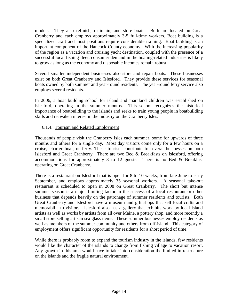models. They also refinish, maintain, and store boats. Both are located on Great Cranberry and each employs approximately 3-5 full-time workers. Boat building is a specialized craft and most positions require considerable training. Boat building is an important component of the Hancock County economy. With the increasing popularity of the region as a vacation and cruising yacht destination, coupled with the presence of a successful local fishing fleet, consumer demand in the boating-related industries is likely to grow as long as the economy and disposable incomes remain robust.

Several smaller independent businesses also store and repair boats. These businesses exist on both Great Cranberry and Islesford. They provide these services for seasonal boats owned by both summer and year-round residents. The year-round ferry service also employs several residents.

In 2006, a boat building school for island and mainland children was established on Islesford, operating in the summer months. This school recognizes the historical importance of boatbuilding to the islands and seeks to train young people in boatbuilding skills and reawaken interest in the industry on the Cranberry Isles.

#### 6.1.4. Tourism and Related Employment

Thousands of people visit the Cranberry Isles each summer, some for upwards of three months and others for a single day. Most day visitors come only for a few hours on a cruise, charter boat, or ferry. These tourists contribute to several businesses on both Islesford and Great Cranberry. There are two Bed & Breakfasts on Islesford, offering accommodations for approximately 8 to 12 guests. There is no Bed & Breakfast operating on Great Cranberry.

There is a restaurant on Islesford that is open for 8 to 10 weeks, from late June to early September, and employs approximately 35 seasonal workers. A seasonal take-out restaurant is scheduled to open in 2008 on Great Cranberry. The short but intense summer season is a major limiting factor in the success of a local restaurant or other business that depends heavily on the patronage of summer residents and tourists. Both Great Cranberry and Islesford have a museum and gift shops that sell local crafts and memorabilia to visitors. Islesford also has a gallery that exhibits work by local island artists as well as works by artists from all over Maine, a pottery shop, and more recently a small store selling artisan sea glass items. These summer businesses employ residents as well as members of the summer community and others from off-island. This category of employment offers significant opportunity for residents for a short period of time.

While there is probably room to expand the tourism industry in the islands, few residents would like the character of the islands to change from fishing village to vacation resort. Any growth in this area would have to take into consideration the limited infrastructure on the islands and the fragile natural environment.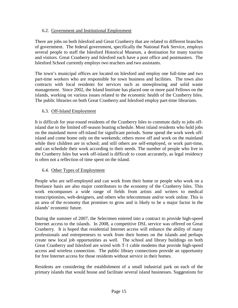#### 6.2. Government and Institutional Employment

There are jobs on both Islesford and Great Cranberry that are related to different branches of government. The federal government, specifically the National Park Service, employs several people to staff the Islesford Historical Museum, a destination for many tourists and visitors. Great Cranberry and Islesford each have a post office and postmasters. The Islesford School currently employs two teachers and two assistants.

The town's municipal offices are located on Islesford and employ one full-time and two part-time workers who are responsible for town business and facilities. The town also contracts with local residents for services such as snowplowing and solid waste management. Since 2002, the Island Institute has placed one or more paid Fellows on the islands, working on various issues related to the economic health of the Cranberry Isles. The public libraries on both Great Cranberry and Islesford employ part-time librarians.

#### 6.3. Off-Island Employment

It is difficult for year-round residents of the Cranberry Isles to commute daily to jobs offisland due to the limited off-season boating schedule. Most island residents who hold jobs on the mainland move off-island for significant periods. Some spend the work week offisland and come home only on the weekends; others move off and work on the mainland while their children are in school; and still others are self-employed, or work part-time, and can schedule their work according to their needs. The number of people who live in the Cranberry Isles but work off-island is difficult to count accurately, as legal residency is often not a reflection of time spent on the island.

#### 6.4. Other Types of Employment

People who are self-employed and can work from their home or people who work on a freelance basis are also major contributors to the economy of the Cranberry Isles. This work encompasses a wide range of fields from artists and writers to medical transcriptionists, web-designers, and others who telecommute and/or work online. This is an area of the economy that promises to grow and is likely to be a major factor in the islands' economic future.

During the summer of 2007, the Selectmen entered into a contract to provide high-speed Internet access to the islands. In 2008, a competitive DSL service was offered on Great Cranberry. It is hoped that residential Internet access will enhance the ability of many professionals and entrepreneurs to work from their homes on the islands and perhaps create new local job opportunities as well. The school and library buildings on both Great Cranberry and Islesford are wired with T-1 cable modems that provide high-speed access and wireless connection. The public library connections provide an opportunity for free Internet access for those residents without service in their homes.

Residents are considering the establishment of a small industrial park on each of the primary islands that would house and facilitate several island businesses. Suggestions for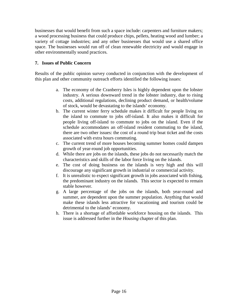businesses that would benefit from such a space include: carpenters and furniture makers; a wood processing business that could produce chips, pellets, heating wood and lumber; a variety of cottage industries; and any other businesses that would use a shared office space. The businesses would run off of clean renewable electricity and would engage in other environmentally sound practices.

#### **7. Issues of Public Concern**

Results of the public opinion survey conducted in conjunction with the development of this plan and other community outreach efforts identified the following issues:

- a. The economy of the Cranberry Isles is highly dependent upon the lobster industry. A serious downward trend in the lobster industry, due to rising costs, additional regulations, declining product demand, or health/volume of stock, would be devastating to the islands' economy.
- b. The current winter ferry schedule makes it difficult for people living on the island to commute to jobs off-island. It also makes it difficult for people living off-island to commute to jobs on the island. Even if the schedule accommodates an off-island resident commuting to the island, there are two other issues: the cost of a round trip boat ticket and the costs associated with extra hours commuting.
- c. The current trend of more houses becoming summer homes could dampen growth of year-round job opportunities.
- d. While there are jobs on the islands, these jobs do not necessarily match the characteristics and skills of the labor force living on the islands.
- e. The cost of doing business on the islands is very high and this will discourage any significant growth in industrial or commercial activity.
- f. It is unrealistic to expect significant growth in jobs associated with fishing, the predominant industry on the islands. This sector is expected to remain stable however.
- g. A large percentage of the jobs on the islands, both year-round and summer, are dependent upon the summer population. Anything that would make these islands less attractive for vacationing and tourism could be detrimental to the islands' economy.
- h. There is a shortage of affordable workforce housing on the islands. This issue is addressed further in the *Housing* chapter of this plan.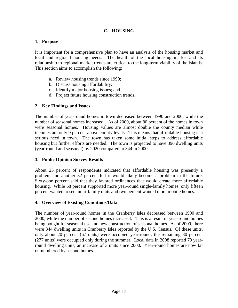#### **C. HOUSING**

#### **1. Purpose**

It is important for a comprehensive plan to have an analysis of the housing market and local and regional housing needs. The health of the local housing market and its relationship to regional market trends are critical to the long-term viability of the islands. This section aims to accomplish the following:

- a. Review housing trends since 1990;
- b. Discuss housing affordability;
- c. Identify major housing issues; and
- d. Project future housing construction trends.

#### **2. Key Findings and Issues**

The number of year-round homes in town decreased between 1990 and 2000, while the number of seasonal homes increased. As of 2000, about 80 percent of the homes in town were seasonal homes. Housing values are almost double the county median while incomes are only 9 percent above county levels. This means that affordable housing is a serious need in town. The town has taken some initial steps to address affordable housing but further efforts are needed. The town is projected to have 396 dwelling units (year-round and seasonal) by 2020 compared to 344 in 2000.

#### **3. Public Opinion Survey Results**

About 25 percent of respondents indicated that affordable housing was presently a problem and another 32 percent felt it would likely become a problem in the future. Sixty-one percent said that they favored ordinances that would create more affordable housing. While 68 percent supported more year-round single-family homes, only fifteen percent wanted to see multi-family units and two percent wanted more mobile homes.

#### **4. Overview of Existing Conditions/Data**

The number of year-round homes in the Cranberry Isles decreased between 1990 and 2000, while the number of second homes increased. This is a result of year-round homes being bought for seasonal use and new construction of seasonal homes. As of 2000, there were 344 dwelling units in Cranberry Isles reported by the U.S. Census. Of these units, only about 20 percent (67 units) were occupied year-round; the remaining 80 percent (277 units) were occupied only during the summer. Local data in 2008 reported 70 yearround dwelling units, an increase of 3 units since 2000. Year-round homes are now far outnumbered by second homes.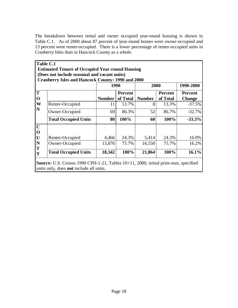The breakdown between rental and owner occupied year-round housing is shown in Table C.1. As of 2000 about 87 percent of year-round homes were owner-occupied and 13 percent were renter-occupied. There is a lower percentage of renter-occupied units in Cranberry Isles than in Hancock County as a whole.

| Table C.1                                 |                                                          |               |                |               |                |                |
|-------------------------------------------|----------------------------------------------------------|---------------|----------------|---------------|----------------|----------------|
|                                           | <b>Estimated Tenure of Occupied Year-round Housing</b>   |               |                |               |                |                |
|                                           | (Does not include seasonal and vacant units)             |               |                |               |                |                |
|                                           | <b>Cranberry Isles and Hancock County: 1990 and 2000</b> |               |                |               |                |                |
|                                           |                                                          | 1990          |                | 2000          |                | 1990-2000      |
| $ \mathbf{T} $                            |                                                          |               | <b>Percent</b> |               | <b>Percent</b> | <b>Percent</b> |
| $ 0\rangle$                               |                                                          | <b>Number</b> | of Total       | <b>Number</b> | of Total       | <b>Change</b>  |
| $ \mathbf{W} $                            | Renter-Occupied                                          | 11            | 13.7%          | 8             | 13.3%          | $-37.5\%$      |
| N                                         | Owner-Occupied                                           | 69            | 86.3%          | 52            | 86.7%          | $-32.7%$       |
|                                           | <b>Total Occupied Units</b>                              | 80            | 100%           | 60            | 100%           | $-33.3%$       |
| $\mathbf C$                               |                                                          |               |                |               |                |                |
| $ 0\rangle$                               |                                                          |               |                |               |                |                |
| U                                         | Renter-Occupied                                          | 4,466         | 24.3%          | 5,414         | 24.3%          | 16.0%          |
| $\overline{\mathbf{N}}$<br>$ \mathbf{T} $ | Owner-Occupied                                           | 13,876        | 75.7%          | 16,550        | 75.7%          | 16.2%          |
| Y                                         | <b>Total Occupied Units</b>                              | 18,342        | 100%           | 21,864        | 100%           | 16.1%          |

**Source:** U.S. Census 1990 CPH-1-21, Tables 10+11, 2000, initial print-outs, specified units only, does **not** include all units.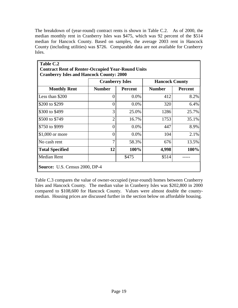The breakdown of (year-round) contract rents is shown in Table C.2. As of 2000, the median monthly rent in Cranberry Isles was \$475, which was 92 percent of the \$514 median for Hancock County. Based on samples, the average 2003 rent in Hancock County (including utilities) was \$726. Comparable data are not available for Cranberry Isles.

|                        | <b>Cranberry Isles</b> |                | <b>Hancock County</b> |                |  |
|------------------------|------------------------|----------------|-----------------------|----------------|--|
| <b>Monthly Rent</b>    | <b>Number</b>          | <b>Percent</b> | <b>Number</b>         | <b>Percent</b> |  |
| Less than \$200        | $\Omega$               | $0.0\%$        | 412                   | 8.2%           |  |
| \$200 to \$299         | $\Omega$               | 0.0%           | 320                   | 6.4%           |  |
| \$300 to \$499         | 3                      | 25.0%          | 1286                  | 25.7%          |  |
| \$500 to \$749         | $\overline{2}$         | 16.7%          | 1753                  | 35.1%          |  |
| \$750 to \$999         | $\Omega$               | 0.0%           | 447                   | 8.9%           |  |
| $$1,000$ or more       | $\theta$               | 0.0%           | 104                   | 2.1%           |  |
| No cash rent           | 7                      | 58.3%          | 676                   | 13.5%          |  |
| <b>Total Specified</b> | 12                     | 100%           | 4,998                 | 100%           |  |
| <b>Median Rent</b>     |                        | \$475          | \$514                 |                |  |

Table C.3 compares the value of owner-occupied (year-round) homes between Cranberry Isles and Hancock County. The median value in Cranberry Isles was \$202,800 in 2000 compared to \$108,600 for Hancock County. Values were almost double the countymedian. Housing prices are discussed further in the section below on affordable housing.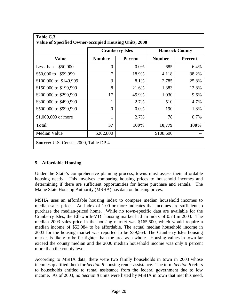|                        | <b>Cranberry Isles</b> |                | <b>Hancock County</b> |                |
|------------------------|------------------------|----------------|-----------------------|----------------|
| <b>Value</b>           | <b>Number</b>          | <b>Percent</b> | <b>Number</b>         | <b>Percent</b> |
| Less than<br>\$50,000  | $\overline{0}$         | 0.0%           | 685                   | 6.4%           |
| \$50,000 to \$99,999   | 7                      | 18.9%          | 4,118                 | 38.2%          |
| \$100,000 to \$149,999 | 3                      | 8.1%           | 2,785                 | 25.8%          |
| \$150,000 to \$199,999 | 8                      | 21.6%          | 1,383                 | 12.8%          |
| \$200,000 to \$299,999 | 17                     | 45.9%          | 1,030                 | 9.6%           |
| \$300,000 to \$499,999 | 1                      | 2.7%           | 510                   | 4.7%           |
| \$500,000 to \$999,999 | $\theta$               | 0.0%           | 190                   | 1.8%           |
| \$1,000,000 or more    | 1                      | 2.7%           | 78                    | 0.7%           |
| <b>Total</b>           | 37                     | 100%           | 10,779                | 100%           |
| Median Value           | \$202,800              |                | \$108,600             |                |

#### **5. Affordable Housing**

Under the State's comprehensive planning process, towns must assess their affordable housing needs. This involves comparing housing prices to household incomes and determining if there are sufficient opportunities for home purchase and rentals. The Maine State Housing Authority (MSHA) has data on housing prices.

MSHA uses an affordable housing index to compare median household incomes to median sales prices. An index of 1.00 or more indicates that incomes are sufficient to purchase the median-priced home. While no town-specific data are available for the Cranberry Isles, the Ellsworth-MDI housing market had an index of 0.73 in 2003. The median 2003 sales price in the housing market was \$165,500, which would require a median income of \$53,984 to be affordable. The actual median household income in 2003 for the housing market was reported to be \$39,564. The Cranberry Isles housing market is likely to be far tighter than the area as a whole. Housing values in town far exceed the county median and the 2000 median household income was only 9 percent more than the county level.

According to MSHA data, there were two family households in town in 2003 whose incomes qualified them for *Section 8* housing renter assistance. The term *Section 8* refers to households entitled to rental assistance from the federal government due to low income. As of 2003, no *Section 8* units were listed by MSHA in town that met this need.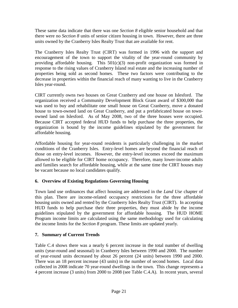These same data indicate that there was one *Section 8* eligible senior household and that there were no *Section 8* units of senior citizen housing in town. However, there are three units owned by the Cranberry Isles Realty Trust that are available for rent.

The Cranberry Isles Realty Trust (CIRT) was formed in 1996 with the support and encouragement of the town to support the vitality of the year-round community by providing affordable housing. This  $501(c)(3)$  non-profit organization was formed in response to the rising values of Cranberry Island real estate and the increasing number of properties being sold as second homes. These two factors were contributing to the decrease in properties within the financial reach of many wanting to live in the Cranberry Isles year-round.

CIRT currently owns two houses on Great Cranberry and one house on Islesford. The organization received a Community Development Block Grant award of \$300,000 that was used to buy and rehabilitate one small house on Great Cranberry, move a donated house to town-owned land on Great Cranberry, and put a prefabricated house on townowned land on Islesford. As of May 2008, two of the three houses were occupied. Because CIRT accepted federal HUD funds to help purchase the three properties, the organization is bound by the income guidelines stipulated by the government for affordable housing.

Affordable housing for year-round residents is particularly challenging in the market conditions of the Cranberry Isles. Entry-level homes are beyond the financial reach of those on entry-level incomes. However, the entry-level incomes exceed the maximum allowed to be eligible for CIRT home occupancy. Therefore, many lower-income adults and families search for affordable housing, while at the same time the CIRT houses may be vacant because no local candidates qualify.

#### **6. Overview of Existing Regulations Governing Housing**

Town land use ordinances that affect housing are addressed in the *Land Use* chapter of this plan. There are income-related occupancy restrictions for the three affordable housing units owned and rented by the Cranberry Isles Realty Trust (CIRT). In accepting HUD funds to help purchase their three properties, they must abide by the income guidelines stipulated by the government for affordable housing. The HUD HOME Program income limits are calculated using the same methodology used for calculating the income limits for the *Section 8* program. These limits are updated yearly.

#### **7. Summary of Current Trends**

Table C.4 shows there was a nearly 6 percent increase in the total number of dwelling units (year-round and seasonal) in Cranberry Isles between 1990 and 2000. The number of year-round units decreased by about 26 percent (24 units) between 1990 and 2000. There was an 18 percent increase (43 units) in the number of second homes. Local data collected in 2008 indicate 70 year-round dwellings in the town. This change represents a 4 percent increase (3 units) from 2000 to 2008 (see Table C.4.A). In recent years, several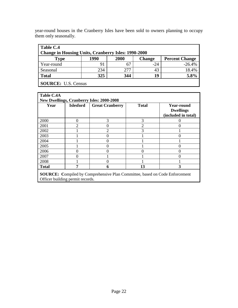| year-round houses in the Cranberry Isles have been sold to owners planning to occupy |  |  |  |  |  |
|--------------------------------------------------------------------------------------|--|--|--|--|--|
| them only seasonally.                                                                |  |  |  |  |  |
|                                                                                      |  |  |  |  |  |
| $\mathbf{m}$ $\mathbf{m}$ $\alpha$ $\mathbf{m}$                                      |  |  |  |  |  |

| Table C.4                                                                                                                           |     |      |       |          |  |  |  |  |  |
|-------------------------------------------------------------------------------------------------------------------------------------|-----|------|-------|----------|--|--|--|--|--|
| <b>Change in Housing Units, Cranberry Isles: 1990-2000</b><br>1990<br>2000<br><b>Change</b><br><b>Percent Change</b><br><b>Type</b> |     |      |       |          |  |  |  |  |  |
| Year-round                                                                                                                          | 91  |      | $-24$ | $-26.4%$ |  |  |  |  |  |
| Seasonal                                                                                                                            | 234 | 2.77 | 43    | 18.4%    |  |  |  |  |  |
| <b>Total</b>                                                                                                                        | 325 | 344  | 19    | 5.8%     |  |  |  |  |  |
| <b>SOURCE:</b> U.S. Census                                                                                                          |     |      |       |          |  |  |  |  |  |

| Table C.4A<br><b>New Dwellings, Cranberry Isles: 2000-2008</b> |                  |                                                                                    |                |                                                              |  |  |  |  |  |
|----------------------------------------------------------------|------------------|------------------------------------------------------------------------------------|----------------|--------------------------------------------------------------|--|--|--|--|--|
| Year                                                           | <b>Islesford</b> | <b>Great Cranberry</b>                                                             | <b>Total</b>   | <b>Year-round</b><br><b>Dwellings</b><br>(included in total) |  |  |  |  |  |
| 2000                                                           | 0                | 3                                                                                  | 3              |                                                              |  |  |  |  |  |
| 2001                                                           | $\mathfrak{D}$   | 0                                                                                  | $\overline{c}$ |                                                              |  |  |  |  |  |
| 2002                                                           |                  | $\overline{2}$                                                                     | 3              |                                                              |  |  |  |  |  |
| 2003                                                           |                  | 0                                                                                  |                |                                                              |  |  |  |  |  |
| 2004                                                           |                  | 0                                                                                  |                |                                                              |  |  |  |  |  |
| 2005                                                           |                  | 0                                                                                  |                |                                                              |  |  |  |  |  |
| 2006                                                           |                  | ∩                                                                                  |                |                                                              |  |  |  |  |  |
| 2007                                                           |                  |                                                                                    |                |                                                              |  |  |  |  |  |
| 2008                                                           |                  |                                                                                    |                |                                                              |  |  |  |  |  |
| <b>Total</b>                                                   |                  | 6                                                                                  | 13             | 3                                                            |  |  |  |  |  |
|                                                                |                  | <b>SOURCE:</b> Compiled by Comprehensive Plan Committee, based on Code Enforcement |                |                                                              |  |  |  |  |  |

Officer building permit records.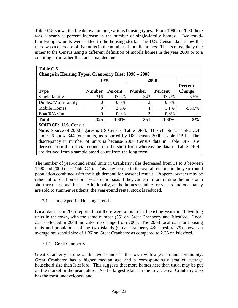Table C.5 shows the breakdown among various housing types. From 1990 to 2000 there was a nearly 9 percent increase in the number of single-family homes. Two multifamily/duplex units were added to the housing stock. The U.S. Census data show that there was a decrease of five units in the number of mobile homes. This is most likely due either to the Census using a different definition of mobile homes in the year 2000 or to a counting error rather than an actual decline.

| Table C.5<br>Change in Housing Types, Cranberry Isles: 1990 – 2000         |                                                                                                                       |         |               |                |                          |  |  |  |  |
|----------------------------------------------------------------------------|-----------------------------------------------------------------------------------------------------------------------|---------|---------------|----------------|--------------------------|--|--|--|--|
|                                                                            | 1990                                                                                                                  |         | 2000          |                |                          |  |  |  |  |
| <b>Type</b>                                                                | <b>Number</b>                                                                                                         | Percent | <b>Number</b> | <b>Percent</b> | Percent<br><b>Change</b> |  |  |  |  |
| Single family                                                              | 316                                                                                                                   | 97.2%   | 343           | 97.7%          | 8.5%                     |  |  |  |  |
| Duplex/Multi-family                                                        |                                                                                                                       | $0.0\%$ | 2             | $0.6\%$        |                          |  |  |  |  |
| <b>Mobile Homes</b>                                                        | 9                                                                                                                     | 2.8%    | 4             | 1.1%           | $-55.6%$                 |  |  |  |  |
| Boat/RV/Van                                                                |                                                                                                                       | $0.0\%$ | $\mathcal{D}$ | $0.6\%$        |                          |  |  |  |  |
| <b>Total</b>                                                               | 325                                                                                                                   | 100%    | 351           | 100%           | 8%                       |  |  |  |  |
| ond $C_6$ show 244 total units as reported by US Cansus 2000. Table $DD_1$ | <b>SOURCE: U.S. Census</b><br><b>Note:</b> Source of 2000 figures is US Census, Table DP-4. This chapter's Tables C.4 |         |               |                |                          |  |  |  |  |

and C.6 show 344 total units, as reported by US Census 2000, Table DP-1. The discrepancy in number of units is because 2000 Census data in Table DP-1 are derived from the official count from the short form whereas the data in Table DP-4 are derived from a sample based count from the long form.

The number of year-round rental units in Cranberry Isles decreased from 11 to 8 between 1990 and 2000 (see Table C.1). This may be due to the overall decline in the year-round population combined with the high demand for seasonal rentals. Property owners may be reluctant to rent homes on a year-round basis if they can earn more renting the units on a short-term seasonal basis. Additionally, as the homes suitable for year-round occupancy are sold to summer residents, the year-round rental stock is reduced.

#### 7.1. Island-Specific Housing Trends

Local data from 2005 reported that there were a total of 70 existing year-round dwelling units in the town, with the same number (35) on Great Cranberry and Islesford. Local data collected in 2008 indicated no change from 2005. The 2008 local data for housing units and populations of the two islands (Great Cranberry 48; Islesford 79) shows an average household size of 1.37 on Great Cranberry as compared to 2.26 on Islesford.

#### 7.1.1. Great Cranberry

Great Cranberry is one of the two islands in the town with a year-round community. Great Cranberry has a higher median age and a correspondingly smaller average household size than Islesford. This suggests that more homes here than usual may be put on the market in the near future. As the largest island in the town, Great Cranberry also has the most undeveloped land.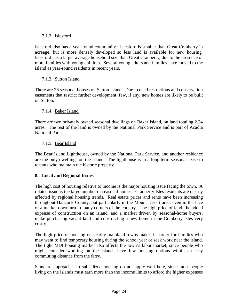#### 7.1.2. Islesford

Islesford also has a year-round community. Islesford is smaller than Great Cranberry in acreage, but is more densely developed so less land is available for new housing. Islesford has a larger average household size than Great Cranberry, due to the presence of more families with young children. Several young adults and families have moved to the island as year-round residents in recent years.

#### 7.1.3. Sutton Island

There are 26 seasonal houses on Sutton Island. Due to deed restrictions and conservation easements that restrict further development, few, if any, new homes are likely to be built on Sutton.

#### 7.1.4. Baker Island

There are two privately owned seasonal dwellings on Baker Island, on land totaling 2.24 acres. The rest of the land is owned by the National Park Service and is part of Acadia National Park.

#### 7.1.5. Bear Island

The Bear Island Lighthouse, owned by the National Park Service, and another residence are the only dwellings on the island. The lighthouse is in a long-term seasonal lease to tenants who maintain the historic property.

#### **8. Local and Regional Issues**

The high cost of housing relative to income is the major housing issue facing the town. A related issue is the large number of seasonal homes. Cranberry Isles residents are clearly affected by regional housing trends. Real estate prices and rents have been increasing throughout Hancock County, but particularly in the Mount Desert area, even in the face of a market downturn in many corners of the country. The high price of land, the added expense of construction on an island, and a market driven by seasonal-home buyers, make purchasing vacant land and constructing a new home in the Cranberry Isles very costly.

The high price of housing on nearby mainland towns makes it harder for families who may want to find temporary housing during the school year or seek work near the island. The tight MDI housing market also affects the town's labor market, since people who might consider working on the islands have few housing options within an easy commuting distance from the ferry.

Standard approaches to subsidized housing do not apply well here, since most people living on the islands must earn more than the income limits to afford the higher expenses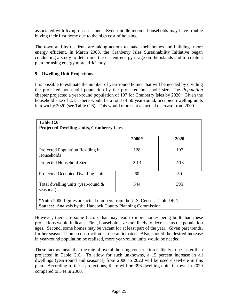associated with living on an island. Even middle-income households may have trouble buying their first home due to the high cost of housing.

The town and its residents are taking actions to make their homes and buildings more energy efficient. In March 2008, the Cranberry Isles Sustainability Initiative began conducting a study to determine the current energy usage on the islands and to create a plan for using energy more efficiently.

#### **9. Dwelling Unit Projections**

It is possible to estimate the number of year-round homes that will be needed by dividing the projected household population by the projected household size. The *Population* chapter projected a year-round population of 107 for Cranberry Isles by 2020. Given the household size of 2.13, there would be a total of 50 year-round, occupied dwelling units in town by 2020 (see Table C.6). This would represent an actual decrease from 2000.

| Table C.6<br><b>Projected Dwelling Units, Cranberry Isles</b>                                                                                        |       |      |
|------------------------------------------------------------------------------------------------------------------------------------------------------|-------|------|
|                                                                                                                                                      | 2000* | 2020 |
| Projected Population Residing in<br>Households                                                                                                       | 128   | 107  |
| Projected Household Size                                                                                                                             | 2.13  | 2.13 |
| Projected Occupied Dwelling Units                                                                                                                    | 60    | 50   |
| Total dwelling units (year-round $\&$<br>seasonal)                                                                                                   | 344   | 396  |
| <b>*Note:</b> 2000 figures are actual numbers from the U.S. Census, Table DP-1.<br><b>Source:</b> Analysis by the Hancock County Planning Commission |       |      |

However, there are some factors that may lead to more homes being built than these projections would indicate. First, household sizes are likely to decrease as the population ages. Second, some homes may be vacant for at least part of the year. Given past trends, further seasonal home construction can be anticipated. Also, should the desired increase in year-round population be realized, more year-round units would be needed.

These factors mean that the rate of overall housing construction is likely to be faster than projected in Table C.6. To allow for such unknowns, a 15 percent increase in all dwellings (year-round and seasonal) from 2000 to 2020 will be used elsewhere in this plan. According to these projections, there will be 396 dwelling units in town in 2020 compared to 344 in 2000.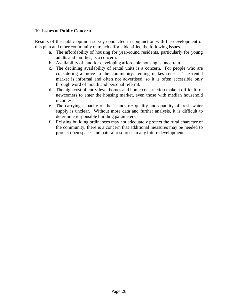#### **10. Issues of Public Concern**

Results of the public opinion survey conducted in conjunction with the development of this plan and other community outreach efforts identified the following issues.

- a. The affordability of housing for year-round residents, particularly for young adults and families, is a concern.
- b. Availability of land for developing affordable housing is uncertain.
- c. The declining availability of rental units is a concern. For people who are considering a move to the community, renting makes sense. The rental market is informal and often not advertised, so it is often accessible only through word of mouth and personal referral.
- d. The high cost of entry-level homes and home construction make it difficult for newcomers to enter the housing market, even those with median household incomes.
- e. The carrying capacity of the islands re: quality and quantity of fresh water supply is unclear. Without more data and further analysis, it is difficult to determine responsible building parameters.
- f. Existing building ordinances may not adequately protect the rural character of the community; there is a concern that additional measures may be needed to protect open spaces and natural resources in any future development.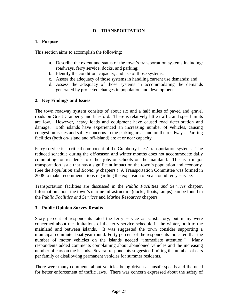# **D. TRANSPORTATION**

#### **1. Purpose**

This section aims to accomplish the following:

- a. Describe the extent and status of the town's transportation systems including: roadways, ferry service, docks, and parking;
- b. Identify the condition, capacity, and use of those systems;
- c. Assess the adequacy of those systems in handling current use demands; and
- d. Assess the adequacy of those systems in accommodating the demands generated by projected changes in population and development.

#### **2. Key Findings and Issues**

The town roadway system consists of about six and a half miles of paved and gravel roads on Great Cranberry and Islesford. There is relatively little traffic and speed limits are low. However, heavy loads and equipment have caused road deterioration and damage. Both islands have experienced an increasing number of vehicles, causing congestion issues and safety concerns in the parking areas and on the roadways. Parking facilities (both on-island and off-island) are at or near capacity.

Ferry service is a critical component of the Cranberry Isles' transportation systems. The reduced schedule during the off-season and winter months does not accommodate daily commuting for residents to either jobs or schools on the mainland. This is a major transportation issue that has a significant impact on the town's population and economy. (See the *Population* and *Economy* chapters.) A Transportation Committee was formed in 2008 to make recommendations regarding the expansion of year-round ferry service.

Transportation facilities are discussed in the *Public Facilities and Services* chapter. Information about the town's marine infrastructure (docks, floats, ramps) can be found in the *Public Facilities and Services* and *Marine Resources* chapters.

#### **3. Public Opinion Survey Results**

Sixty percent of respondents rated the ferry service as satisfactory, but many were concerned about the limitations of the ferry service schedule in the winter, both to the mainland and between islands. It was suggested the town consider supporting a municipal commuter boat year round. Forty percent of the respondents indicated that the number of motor vehicles on the islands needed "immediate attention." Many respondents added comments complaining about abandoned vehicles and the increasing number of cars on the islands. Several respondents suggested limiting the number of cars per family or disallowing permanent vehicles for summer residents.

There were many comments about vehicles being driven at unsafe speeds and the need for better enforcement of traffic laws. There was concern expressed about the safety of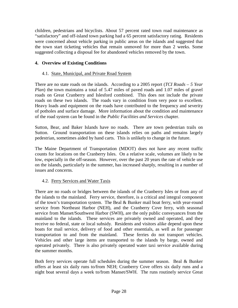children, pedestrians and bicyclists. About 57 percent rated town road maintenance as "satisfactory" and off-island town parking had a 65 percent satisfactory rating. Residents were concerned about vehicle parking in public areas on the islands and suggested that the town start ticketing vehicles that remain unmoved for more than 2 weeks. Some suggested collecting a disposal fee for abandoned vehicles removed by the town.

# **4. Overview of Existing Conditions**

## 4.1. State, Municipal, and Private Road System

There are no state roads on the islands. According to a 2005 report (*TCI Roads – 5 Year Plan*) the town maintains a total of 5.47 miles of paved roads and 1.07 miles of gravel roads on Great Cranberry and Islesford combined. This does not include the private roads on these two islands. The roads vary in condition from very poor to excellent. Heavy loads and equipment on the roads have contributed to the frequency and severity of potholes and surface damage. More information about the condition and maintenance of the road system can be found in the *Public Facilities and Services* chapter.

Sutton, Bear, and Baker Islands have no roads. There are town pedestrian trails on Sutton. Ground transportation on these islands relies on paths and remains largely pedestrian, sometimes aided by hand carts. This is unlikely to change in the future.

The Maine Department of Transportation (MDOT) does not have any recent traffic counts for locations on the Cranberry Isles. On a relative scale, volumes are likely to be low, especially in the off-season. However, over the past 20 years the rate of vehicle use on the islands, particularly in the summer, has increased sharply, resulting in a number of issues and concerns.

# 4.2. Ferry Services and Water Taxis

There are no roads or bridges between the islands of the Cranberry Isles or from any of the islands to the mainland. Ferry service, therefore, is a critical and integral component of the town's transportation system. The Beal & Bunker mail boat ferry, with year-round service from Northeast Harbor (NEH), and the Cranberry Cove ferry, with seasonal service from Manset/Southwest Harbor (SWH), are the only public conveyances from the mainland to the islands. These services are privately owned and operated, and they receive no federal, state or local subsidy. Residents and visitors alike depend upon these boats for mail service, delivery of food and other essentials, as well as for passenger transportation to and from the mainland. These ferries do not transport vehicles. Vehicles and other large items are transported to the islands by barge, owned and operated privately. There is also privately operated water taxi service available during the summer months.

Both ferry services operate full schedules during the summer season. Beal & Bunker offers at least six daily runs to/from NEH; Cranberry Cove offers six daily runs and a night boat several days a week to/from Manset/SWH. The runs routinely service Great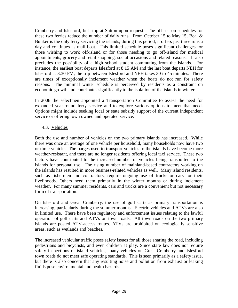Cranberry and Islesford, but stop at Sutton upon request. The off-season schedules for these two ferries reduce the number of daily runs. From October 15 to May 15, Beal  $\&$ Bunker is the only ferry servicing the islands; during this period, it offers just three runs a day and continues as mail boat. This limited schedule poses significant challenges for those wishing to work off-island or for those needing to go off-island for medical appointments, grocery and retail shopping, social occasions and related reasons. It also precludes the possibility of a high school student commuting from the islands. For instance, the earliest boat departs Islesford at 8:15 AM and the last boat departs NEH for Islesford at 3:30 PM; the trip between Islesford and NEH takes 30 to 45 minutes. There are times of exceptionally inclement weather when the boats do not run for safety reasons. The minimal winter schedule is perceived by residents as a constraint on economic growth and contributes significantly to the isolation of the islands in winter.

In 2008 the selectmen appointed a Transportation Committee to assess the need for expanded year-round ferry service and to explore various options to meet that need. Options might include seeking local or state subsidy support of the current independent service or offering town owned and operated service.

# 4.3. Vehicles

Both the use and number of vehicles on the two primary islands has increased. While there was once an average of one vehicle per household, many households now have two or three vehicles. The barges used to transport vehicles to the islands have become more weather-resistant, and there are no longer residents offering local taxi service. These two factors have contributed to the increased number of vehicles being transported to the islands for personal use. The rising number of mainland-based contractors working on the islands has resulted in more business-related vehicles as well. Many island residents, such as fishermen and contractors, require ongoing use of trucks or cars for their livelihoods. Others need them primarily in the winter months or during inclement weather. For many summer residents, cars and trucks are a convenient but not necessary form of transportation.

On Islesford and Great Cranberry, the use of golf carts as primary transportation is increasing, particularly during the summer months. Electric vehicles and ATVs are also in limited use. There have been regulatory and enforcement issues relating to the lawful operation of golf carts and ATVs on town roads. All town roads on the two primary islands are posted ATV-access routes. ATVs are prohibited on ecologically sensitive areas, such as wetlands and beaches.

The increased vehicular traffic poses safety issues for all those sharing the road, including pedestrians and bicyclists, and even children at play. Since state law does not require safety inspections of island vehicles, many vehicles on Great Cranberry and Islesford town roads do not meet safe operating standards. This is seen primarily as a safety issue, but there is also concern that any resulting noise and pollution from exhaust or leaking fluids pose environmental and health hazards.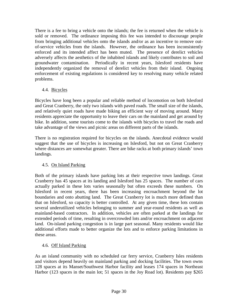There is a fee to bring a vehicle onto the islands; the fee is returned when the vehicle is sold or removed. The ordinance imposing this fee was intended to discourage people from bringing additional vehicles onto the islands and/or as an incentive to remove outof-service vehicles from the islands. However, the ordinance has been inconsistently enforced and its intended affect has been muted. The presence of derelict vehicles adversely affects the aesthetics of the inhabited islands and likely contributes to soil and groundwater contamination. Periodically in recent years, Islesford residents have independently organized the removal of derelict vehicles from their island. Ongoing enforcement of existing regulations is considered key to resolving many vehicle related problems.

# 4.4. Bicycles

Bicycles have long been a popular and reliable method of locomotion on both Islesford and Great Cranberry, the only two islands with paved roads. The small size of the islands, and relatively quiet roads have made biking an efficient way of moving around. Many residents appreciate the opportunity to leave their cars on the mainland and get around by bike. In addition, some tourists come to the islands with bicycles to travel the roads and take advantage of the views and picnic areas on different parts of the islands.

There is no registration required for bicycles on the islands. Anecdotal evidence would suggest that the use of bicycles is increasing on Islesford, but not on Great Cranberry where distances are somewhat greater. There are bike racks at both primary islands' town landings.

# 4.5. On Island Parking

Both of the primary islands have parking lots at their respective town landings. Great Cranberry has 45 spaces at its landing and Islesford has 25 spaces. The number of cars actually parked in these lots varies seasonally but often exceeds these numbers. On Islesford in recent years, there has been increasing encroachment beyond the lot boundaries and onto abutting land. The Great Cranberry lot is much more defined than that on Islesford, so capacity is better controlled. At any given time, these lots contain several underutilized vehicles belonging to summer and year-round residents as well as mainland-based contractors. In addition, vehicles are often parked at the landings for extended periods of time, resulting in overcrowded lots and/or encroachment on adjacent land. On-island parking congestion is in large part seasonal. Many residents would like additional efforts made to better organize the lots and to enforce parking limitations in these areas.

# 4.6. Off Island Parking

As an island community with no scheduled car ferry service, Cranberry Isles residents and visitors depend heavily on mainland parking and docking facilities. The town owns 128 spaces at its Manset/Southwest Harbor facility and leases 174 spaces in Northeast Harbor (123 spaces in the main lot; 51 spaces in the Joy Road lot). Residents pay \$265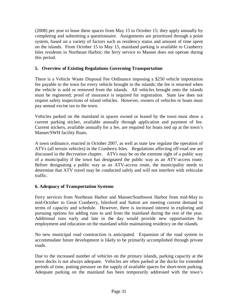(2008) per year to lease these spaces from May 15 to October 15; they apply annually by completing and submitting a questionnaire. Assignments are prioritized through a point system, based on a variety of factors such as residency status and amount of time spent on the islands. From October 15 to May 15, mainland parking is available to Cranberry Isles residents in Northeast Harbor; the ferry service to Manset does not operate during this period.

# **5. Overview of Existing Regulations Governing Transportation**

There is a Vehicle Waste Disposal Fee Ordinance imposing a \$250 vehicle importation fee payable to the town for every vehicle brought to the islands; the fee is returned when the vehicle is sold or removed from the islands. All vehicles brought onto the islands must be registered; proof of insurance is required for registration. State law does not require safety inspections of island vehicles. However, owners of vehicles or boats must pay annual excise tax to the town.

Vehicles parked on the mainland in spaces owned or leased by the town must show a current parking sticker, available annually through application and payment of fee. Current stickers, available annually for a fee, are required for boats tied up at the town's Manset/SWH facility floats.

A town ordinance, enacted in October 2007, as well as state law regulate the operation of ATVs (all terrain vehicles) in the Cranberry Isles. Regulations affecting off-road use are discussed in the *Recreation* chapter. ATVs may be on the extreme right of a public way of a municipality if the town has designated the public way as an ATV-access route. Before designating a public way as an ATV-access route, the municipality needs to determine that ATV travel may be conducted safely and will not interfere with vehicular traffic.

### **6. Adequacy of Transportation Systems**

Ferry services from Northeast Harbor and Manset/Southwest Harbor from mid-May to mid-October to Great Cranberry, Islesford and Sutton are meeting current demand in terms of capacity and schedule. However, there is increased interest in exploring and pursuing options for adding runs to and from the mainland during the rest of the year. Additional runs early and late in the day would provide new opportunities for employment and education on the mainland while maintaining residency on the islands.

No new municipal road construction is anticipated. Expansion of the road system to accommodate future development is likely to be primarily accomplished through private roads.

Due to the increased number of vehicles on the primary islands, parking capacity at the town docks is not always adequate. Vehicles are often parked at the docks for extended periods of time, putting pressure on the supply of available spaces for short-term parking. Adequate parking on the mainland has been temporarily addressed with the town's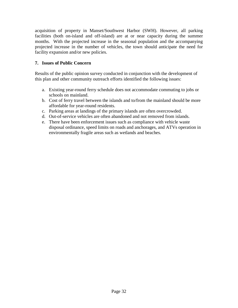acquisition of property in Manset/Southwest Harbor (SWH). However, all parking facilities (both on-island and off-island) are at or near capacity during the summer months. With the projected increase in the seasonal population and the accompanying projected increase in the number of vehicles, the town should anticipate the need for facility expansion and/or new policies.

# **7. Issues of Public Concern**

Results of the public opinion survey conducted in conjunction with the development of this plan and other community outreach efforts identified the following issues:

- a. Existing year-round ferry schedule does not accommodate commuting to jobs or schools on mainland.
- b. Cost of ferry travel between the islands and to/from the mainland should be more affordable for year-round residents.
- c. Parking areas at landings of the primary islands are often overcrowded.
- d. Out-of-service vehicles are often abandoned and not removed from islands.
- e. There have been enforcement issues such as compliance with vehicle waste disposal ordinance, speed limits on roads and anchorages, and ATVs operation in environmentally fragile areas such as wetlands and beaches.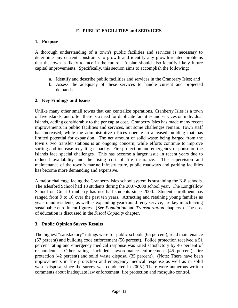### **E. PUBLIC FACILITIES and SERVICES**

#### **1. Purpose**

A thorough understanding of a town's public facilities and services is necessary to determine any current constraints to growth and identify any growth-related problems that the town is likely to face in the future. A plan should also identify likely future capital improvements. Specifically, this section aims to accomplish the following:

- a. Identify and describe public facilities and services in the Cranberry Isles; and
- b. Assess the adequacy of these services to handle current and projected demands.

### **2. Key Findings and Issues**

Unlike many other small towns that can centralize operations, Cranberry Isles is a town of five islands, and often there is a need for duplicate facilities and services on individual islands, adding considerably to the per capita cost. Cranberry Isles has made many recent improvements in public facilities and services, but some challenges remain. Town staff has increased, while the administrative offices operate in a leased building that has limited potential for expansion. The net amount of solid waste being barged from the town's two transfer stations is an ongoing concern, while efforts continue to improve sorting and increase recycling capacity. Fire protection and emergency response on the islands face special challenges. This has become a larger issue in recent years due to reduced availability and the rising cost of fire insurance. The supervision and maintenance of the town's marine infrastructure, public roadways and parking facilities has become more demanding and expensive.

A major challenge facing the Cranberry Isles school system is sustaining the K-8 schools. The Islesford School had 13 students during the 2007-2008 school year. The Longfellow School on Great Cranberry has not had students since 2000. Student enrollment has ranged from 9 to 16 over the past ten years. Attracting and retaining young families as year-round residents, as well as expanding year-round ferry service, are key in achieving sustainable enrollment figures. (See *Population* and *Transportation* chapters.) The cost of education is discussed in the *Fiscal Capacity* chapter.

### **3. Public Opinion Survey Results**

The highest "satisfactory" ratings were for public schools (65 percent), road maintenance (57 percent) and building code enforcement (56 percent). Police protection received a 51 percent rating and emergency medical response was rated satisfactory by 46 percent of respondents. Other ratings included law/ordinance enforcement (45 percent), fire protection (42 percent) and solid waste disposal (35 percent). (Note: There have been improvements in fire protection and emergency medical response as well as in solid waste disposal since the survey was conducted in 2005.) There were numerous written comments about inadequate law enforcement, fire protection and mosquito control.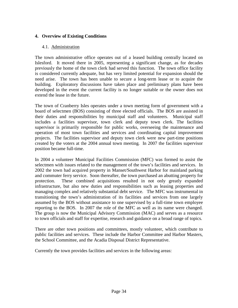## **4. Overview of Existing Conditions**

#### 4.1. Administration

The town administrative office operates out of a leased building centrally located on Islesford. It moved there in 2005, representing a significant change, as for decades previously the home of the town clerk had served this function. The town office facility is considered currently adequate, but has very limited potential for expansion should the need arise. The town has been unable to secure a long-term lease or to acquire the building. Exploratory discussions have taken place and preliminary plans have been developed in the event the current facility is no longer suitable or the owner does not extend the lease in the future.

The town of Cranberry Isles operates under a town meeting form of government with a board of selectmen (BOS) consisting of three elected officials. The BOS are assisted in their duties and responsibilities by municipal staff and volunteers. Municipal staff includes a facilities supervisor, town clerk and deputy town clerk. The facilities supervisor is primarily responsible for public works, overseeing the maintenance and operation of most town facilities and services and coordinating capital improvement projects. The facilities supervisor and deputy town clerk were new part-time positions created by the voters at the 2004 annual town meeting. In 2007 the facilities supervisor position became full-time.

In 2004 a volunteer Municipal Facilities Commission (MFC) was formed to assist the selectmen with issues related to the management of the town's facilities and services. In 2002 the town had acquired property in Manset/Southwest Harbor for mainland parking and commuter ferry service. Soon thereafter, the town purchased an abutting property for protection. These combined acquisitions resulted in not only greatly expanded infrastructure, but also new duties and responsibilities such as leasing properties and managing complex and relatively substantial debt service. The MFC was instrumental in transitioning the town's administration of its facilities and services from one largely assumed by the BOS without assistance to one supervised by a full-time town employee reporting to the BOS. In 2007 the role of the MFC as well as its name were changed. The group is now the Municipal Advisory Commission (MAC) and serves as a resource to town officials and staff for expertise, research and guidance on a broad range of topics.

There are other town positions and committees, mostly volunteer, which contribute to public facilities and services. These include the Harbor Committee and Harbor Masters, the School Committee, and the Acadia Disposal District Representative.

Currently the town provides facilities and services in the following areas: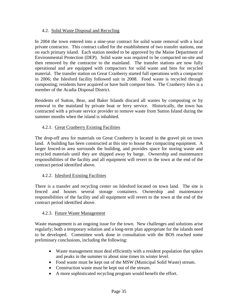### 4.2. Solid Waste Disposal and Recycling

In 2004 the town entered into a nine-year contract for solid waste removal with a local private contractor. This contract called for the establishment of two transfer stations, one on each primary island. Each station needed to be approved by the Maine Department of Environmental Protection (DEP). Solid waste was required to be compacted on-site and then removed by the contractor to the mainland. The transfer stations are now fully operational and are equipped with compactors for solid waste and bins for recycled material. The transfer station on Great Cranberry started full operations with a compactor in 2006; the Islesford facility followed suit in 2008. Food waste is recycled through composting; residents have acquired or have built compost bins. The Cranberry Isles is a member of the Acadia Disposal District.

Residents of Sutton, Bear, and Baker Islands discard all wastes by composting or by removal to the mainland by private boat or ferry service. Historically, the town has contracted with a private service provider to remove waste from Sutton Island during the summer months when the island is inhabited.

### 4.2.1. Great Cranberry Existing Facilities

The drop-off area for materials on Great Cranberry is located in the gravel pit on town land. A building has been constructed at this site to house the compacting equipment. A larger fenced-in area surrounds the building, and provides space for storing waste and recycled materials until they are shipped away by barge. Ownership and maintenance responsibilities of the facility and all equipment will revert to the town at the end of the contract period identified above.

### 4.2.2. Islesford Existing Facilities

There is a transfer and recycling center on Islesford located on town land. The site is fenced and houses several storage containers. Ownership and maintenance responsibilities of the facility and all equipment will revert to the town at the end of the contract period identified above.

#### 4.2.3. Future Waste Management

Waste management is an ongoing issue for the town. New challenges and solutions arise regularly; both a temporary solution and a long-term plan appropriate for the islands need to be developed. Committee work done in consultation with the BOS reached some preliminary conclusions, including the following:

- Waste management must deal efficiently with a resident population that spikes and peaks in the summer to about nine times its winter level.
- Food waste must be kept out of the MSW (Municipal Solid Waste) stream.
- Construction waste must be kept out of the stream.
- A more sophisticated recycling program would benefit the effort.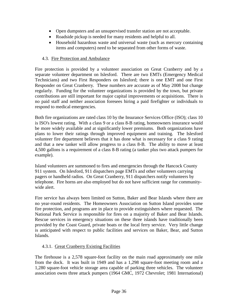- Open dumpsters and an unsupervised transfer station are not acceptable.
- Roadside pickup is needed for many residents and helpful to all.
- Household hazardous waste and universal waste (such as mercury containing items and computers) need to be separated from other forms of waste.

# 4.3. Fire Protection and Ambulance

Fire protection is provided by a volunteer association on Great Cranberry and by a separate volunteer department on Islesford. There are two EMTs (Emergency Medical Technicians) and two First Responders on Islesford; there is one EMT and one First Responder on Great Cranberry. These numbers are accurate as of May 2008 but change regularly. Funding for the volunteer organizations is provided by the town, but private contributions are still important for major capital improvements or acquisitions. There is no paid staff and neither association foresees hiring a paid firefighter or individuals to respond to medical emergencies.

Both fire organizations are rated class 10 by the Insurance Services Office (ISO); class 10 is ISO's lowest rating. With a class 9 or a class 8-B rating, homeowners insurance would be more widely available and at significantly lower premiums. Both organizations have plans to lower their ratings through improved equipment and training. The Islesford volunteer fire department believes that it has done what is necessary for a class 9 rating and that a new tanker will allow progress to a class 8-B. The ability to move at least 4,500 gallons is a requirement of a class 8-B rating (a tanker plus two attack pumpers for example).

Island volunteers are summoned to fires and emergencies through the Hancock County 911 system. On Islesford, 911 dispatchers page EMTs and other volunteers carrying pagers or handheld radios. On Great Cranberry, 911 dispatchers notify volunteers by telephone. Fire horns are also employed but do not have sufficient range for communitywide alert.

Fire service has always been limited on Sutton, Baker and Bear Islands where there are no year-round residents. The Homeowners Association on Sutton Island provides some fire protection, and programs are in place to provide extinguishers where requested. The National Park Service is responsible for fires on a majority of Baker and Bear Islands. Rescue services in emergency situations on these three islands have traditionally been provided by the Coast Guard, private boats or the local ferry service. Very little change is anticipated with respect to public facilities and services on Baker, Bear, and Sutton Islands.

# 4.3.1. Great Cranberry Existing Facilities

The firehouse is a 2,578 square-foot facility on the main road approximately one mile from the dock. It was built in 1949 and has a 1,298 square-foot meeting room and a 1,280 square-foot vehicle storage area capable of parking three vehicles. The volunteer association owns three attack pumpers (1964 GMC, 1972 Chevrolet; 1981 International)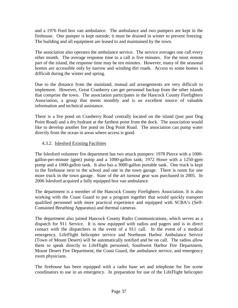and a 1976 Ford box van ambulance. The ambulance and two pumpers are kept in the firehouse. One pumper is kept outside; it must be drained in winter to prevent freezing. The building and all equipment are leased to and maintained by the town.

The association also operates the ambulance service. The service averages one call every other month. The average response time to a call is five minutes. For the most remote part of the island, the response time may be ten minutes. However, many of the seasonal homes are accessible only by narrow and winding dirt roads. Access to some homes is difficult during the winter and spring.

Due to the distance from the mainland, mutual aid arrangements are very difficult to implement. However, Great Cranberry can get personnel backup from the other islands that comprise the town. The association participates in the Hancock County Firefighters Association, a group that meets monthly and is an excellent source of valuable information and technical assistance.

There is a fire pond on Cranberry Road centrally located on the island (just past Dog Point Road) and a dry hydrant at the farthest point from the dock. The association would like to develop another fire pond on Dog Point Road. The association can pump water directly from the ocean in areas where access is good.

# 4.3.2. Islesford Existing Facilities

The Islesford volunteer fire department has two attack pumpers: 1978 Pierce with a 1000 gallon-per-minute (gpm) pump and a 1000-gallon tank; 1972 Howe with a 1250-gpm pump and a 1000-gallon tank. It also has a 3000-gallon portable tank. One truck is kept in the firehouse next to the school and one in the town garage. There is room for one more truck in the town garage. State of the art turnout gear was purchased in 2005. In 2006 Islesford acquired a fully equipped box van ambulance.

The department is a member of the Hancock County Firefighters Association. It is also working with the Coast Guard to put a program together that would quickly transport qualified personnel with more practical experience and equipped with SCBA's (Self-Contained Breathing Apparatus) and thermal cameras.

The department also joined Hancock County Radio Communications, which serves as a dispatch for 911 Service. It is now equipped with radios and pagers and is in direct contact with the dispatchers in the event of a 911 call. In the event of a medical emergency, LifeFlight helicopter service and Northeast Harbor Ambulance Service (Town of Mount Desert) will be automatically notified and be on call. The radios allow them to speak directly to LifeFlight personnel, Southwest Harbor Fire Department, Mount Desert Fire Department, the Coast Guard, the ambulance service, and emergency room physicians.

The firehouse has been equipped with a radio base set and telephone for fire scene coordinators to use in an emergency. In preparation for use of the LifeFlight helicopter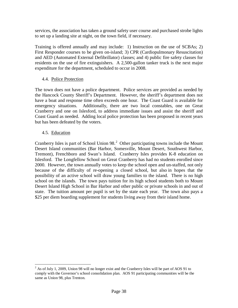services, the association has taken a ground safety user course and purchased strobe lights to set up a landing site at night, on the town field, if necessary.

Training is offered annually and may include: 1) Instruction on the use of SCBAs; 2) First Responder courses to be given on-island; 3) CPR (Cardiopulmonary Resuscitation) and AED (Automated External Defibrillator) classes; and 4) public fire safety classes for residents on the use of fire extinguishers. A 2,500-gallon tanker truck is the next major expenditure for the department, scheduled to occur in 2008.

# 4.4. Police Protection

The town does not have a police department. Police services are provided as needed by the Hancock County Sheriff's Department. However, the sheriff's department does not have a boat and response time often exceeds one hour. The Coast Guard is available for emergency situations. Additionally, there are two local constables, one on Great Cranberry and one on Islesford, to address immediate issues and assist the sheriff and Coast Guard as needed. Adding local police protection has been proposed in recent years but has been defeated by the voters.

# 4.5. Education

Cranberry Isles is part of School Union 98. $<sup>2</sup>$  $<sup>2</sup>$  $<sup>2</sup>$  Other participating towns include the Mount</sup> Desert Island communities (Bar Harbor, Somesville, Mount Desert, Southwest Harbor, Tremont), Frenchboro and Swan's Island. Cranberry Isles provides K-8 education on Islesford. The Longfellow School on Great Cranberry has had no students enrolled since 2000. However, the town annually votes to keep the school open and un-staffed, not only because of the difficulty of re-opening a closed school, but also in hopes that the possibility of an active school will draw young families to the island. There is no high school on the islands. The town pays tuition for its high school students both to Mount Desert Island High School in Bar Harbor and other public or private schools in and out of state. The tuition amount per pupil is set by the state each year. The town also pays a \$25 per diem boarding supplement for students living away from their island home.

<span id="page-47-0"></span><sup>&</sup>lt;sup>2</sup> As of July 1, 2009, Union 98 will no longer exist and the Cranberry Isles will be part of AOS 91 to comply with the Governor's school consolidation plan. AOS 91 participating communities will be the same as Union 98, plus Trenton.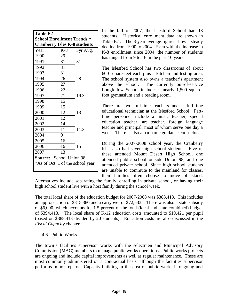| Table E.1                                                                |       |          |  |  |
|--------------------------------------------------------------------------|-------|----------|--|--|
| <b>School Enrollment Trends *</b><br><b>Cranberry Isles K-8 students</b> |       |          |  |  |
| Year                                                                     | $K-8$ | 3yr Avg. |  |  |
| 1990                                                                     | 29    |          |  |  |
| 1991                                                                     | 31    | 31       |  |  |
| 1992                                                                     | 31    |          |  |  |
| 1993                                                                     | 31    |          |  |  |
| 1994                                                                     | 26    | 28       |  |  |
| 1995                                                                     | 27    |          |  |  |
| 1996                                                                     | 22    |          |  |  |
| 1997                                                                     | 21    | 19.3     |  |  |
| 1998                                                                     | 15    |          |  |  |
| 1999                                                                     | 15    |          |  |  |
| 2000                                                                     | 12    | 13       |  |  |
| 2001                                                                     | 12    |          |  |  |
| 2002                                                                     | 14    |          |  |  |
| 2003                                                                     | 11    | 11.3     |  |  |
| 2004                                                                     | 9     |          |  |  |
| 2005                                                                     | 16    |          |  |  |
| 2006                                                                     | 16    | 15       |  |  |
| 2007                                                                     | 13    |          |  |  |
| Source: School Union 98                                                  |       |          |  |  |
| *As of Oct. 1 of the school year                                         |       |          |  |  |

In the fall of 2007, the Islesford School had 13 students. Historical enrollment data are shown in Table E.1. The 3-year average figures show a steady decline from 1990 to 2004. Even with the increase in K-8 enrollment since 2004, the number of students has ranged from 9 to 16 in the past 10 years.

The Islesford School has two classrooms of about 600 square-feet each plus a kitchen and testing area. The school system also owns a teacher's apartment above the school. The currently out-of-service Longfellow School includes a nearly 1,500 squarefoot gymnasium and a reading room.

There are two full-time teachers and a full-time educational technician at the Islesford School. Parttime personnel include a music teacher, special education teacher, art teacher, foreign language teacher and principal, most of whom serve one day a week. There is also a part-time guidance counselor.

During the 2007-2008 school year, the Cranberry Isles also had seven high school students. Five of these attended Mount Desert High School, one attended public school outside Union 98, and one attended private school. Since high school students are unable to commute to the mainland for classes, their families often choose to move off-island.

Alternatives include separating the family, enrolling in private school, or having their high school student live with a host family during the school week.

The total local share of the education budget for 2007-2008 was \$388,413. This includes an appropriation of \$315,880 and a carryover of \$72,533. There was also a state subsidy of \$6,000, which accounts for 1.5 percent of the total (local and state combined) budget of \$394,413. The local share of K-12 education costs amounted to \$19,421 per pupil (based on \$388,413 divided by 20 students). Education costs are also discussed in the *Fiscal Capacity* chapter.

### 4.6. Public Works

The town's facilities supervisor works with the selectmen and Municipal Advisory Commission (MAC) members to manage public works operations. Public works projects are ongoing and include capital improvements as well as regular maintenance. These are most commonly administered on a contractual basis, although the facilities supervisor performs minor repairs. Capacity building in the area of public works is ongoing and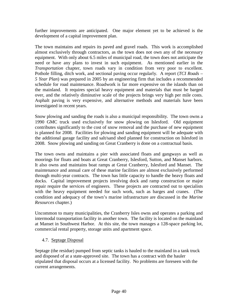further improvements are anticipated. One major element yet to be achieved is the development of a capital improvement plan.

The town maintains and repairs its paved and gravel roads. This work is accomplished almost exclusively through contractors, as the town does not own any of the necessary equipment. With only about 6.5 miles of municipal road, the town does not anticipate the need or have any plans to invest in such equipment. As mentioned earlier in the *Transportation* chapter, town roads vary in condition from very poor to excellent. Pothole filling, ditch work, and sectional paving occur regularly. A report (*TCI Roads – 5 Year Plan*) was prepared in 2005 by an engineering firm that includes a recommended schedule for road maintenance. Roadwork is far more expensive on the islands than on the mainland. It requires special heavy equipment and materials that must be barged over, and the relatively diminutive scale of the projects brings very high per mile costs. Asphalt paving is very expensive, and alternative methods and materials have been investigated in recent years.

Snow plowing and sanding the roads is also a municipal responsibility. The town owns a 1990 GMC truck used exclusively for snow plowing on Islesford. Old equipment contributes significantly to the cost of snow removal and the purchase of new equipment is planned for 2008. Facilities for plowing and sanding equipment will be adequate with the additional garage facility and salt/sand shed planned for construction on Islesford in 2008. Snow plowing and sanding on Great Cranberry is done on a contractual basis.

The town owns and maintains a pier with associated floats and gangways as well as moorings for floats and boats at Great Cranberry, Islesford, Sutton, and Manset harbors. It also owns and maintains boat ramps at Great Cranberry, Islesford and Manset. The maintenance and annual care of these marine facilities are almost exclusively performed through multi-year contracts. The town has little capacity to handle the heavy floats and docks. Capital improvement projects involving dock and ramp construction or major repair require the services of engineers. These projects are contracted out to specialists with the heavy equipment needed for such work, such as barges and cranes. (The condition and adequacy of the town's marine infrastructure are discussed in the *Marine Resources* chapter.)

Uncommon to many municipalities, the Cranberry Isles owns and operates a parking and intermodal transportation facility in another town. The facility is located on the mainland at Manset in Southwest Harbor. At this site, the town manages a 128-space parking lot, commercial rental property, storage units and apartment space.

# 4.7. Septage Disposal

Septage (the residue) pumped from septic tanks is hauled to the mainland in a tank truck and disposed of at a state-approved site. The town has a contract with the hauler stipulated that disposal occurs at a licensed facility. No problems are foreseen with the current arrangements.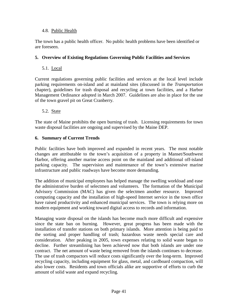### 4.8. Public Health

The town has a public health officer. No public health problems have been identified or are foreseen.

# **5. Overview of Existing Regulations Governing Public Facilities and Services**

# 5.1. Local

Current regulations governing public facilities and services at the local level include parking requirements on-island and at mainland sites (discussed in the *Transportation* chapter), guidelines for trash disposal and recycling at town facilities, and a Harbor Management Ordinance adopted in March 2007. Guidelines are also in place for the use of the town gravel pit on Great Cranberry.

# 5.2. State

The state of Maine prohibits the open burning of trash. Licensing requirements for town waste disposal facilities are ongoing and supervised by the Maine DEP.

# **6. Summary of Current Trends**

Public facilities have both improved and expanded in recent years. The most notable changes are attributable to the town's acquisition of a property in Manset/Southwest Harbor, offering another marine access point on the mainland and additional off-island parking capacity. The supervision and maintenance of the town's extensive marine infrastructure and public roadways have become more demanding.

The addition of municipal employees has helped manage the swelling workload and ease the administrative burden of selectmen and volunteers. The formation of the Municipal Advisory Commission (MAC) has given the selectmen another resource. Improved computing capacity and the installation of high-speed Internet service in the town office have raised productivity and enhanced municipal services. The town is relying more on modern equipment and working toward digital access to records and information.

Managing waste disposal on the islands has become much more difficult and expensive since the state ban on burning. However, great progress has been made with the installation of transfer stations on both primary islands. More attention is being paid to the sorting and proper handling of trash; hazardous waste needs special care and consideration. After peaking in 2005, town expenses relating to solid waste began to decline. Further streamlining has been achieved now that both islands are under one contract. The net amount of waste being removed from the islands continues to decrease. The use of trash compactors will reduce costs significantly over the long-term. Improved recycling capacity, including equipment for glass, metal, and cardboard compaction, will also lower costs. Residents and town officials alike are supportive of efforts to curb the amount of solid waste and expand recycling.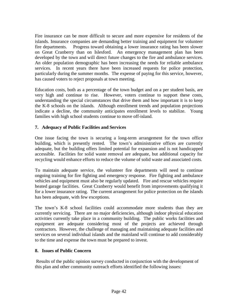Fire insurance can be more difficult to secure and more expensive for residents of the islands. Insurance companies are demanding better training and equipment for volunteer fire departments. Progress toward obtaining a lower insurance rating has been slower on Great Cranberry than on Islesford. An emergency management plan has been developed by the town and will direct future changes to the fire and ambulance services. An older population demographic has been increasing the needs for reliable ambulance services. In recent years there have been increased requests for police protection, particularly during the summer months. The expense of paying for this service, however, has caused voters to reject proposals at town meeting.

Education costs, both as a percentage of the town budget and on a per student basis, are very high and continue to rise. However, voters continue to support these costs, understanding the special circumstances that drive them and how important it is to keep the K-8 schools on the islands. Although enrollment trends and population projections indicate a decline, the community anticipates enrollment levels to stabilize. Young families with high school students continue to move off-island.

# **7. Adequacy of Public Facilities and Services**

One issue facing the town is securing a long-term arrangement for the town office building, which is presently rented. The town's administrative offices are currently adequate, but the building offers limited potential for expansion and is not handicapped accessible. Facilities for solid waste removal are adequate, but additional capacity for recycling would enhance efforts to reduce the volume of solid waste and associated costs.

To maintain adequate service, the volunteer fire departments will need to continue ongoing training for fire fighting and emergency response. Fire fighting and ambulance vehicles and equipment must also be regularly updated. Fire and rescue vehicles require heated garage facilities. Great Cranberry would benefit from improvements qualifying it for a lower insurance rating. The current arrangement for police protection on the islands has been adequate, with few exceptions.

The town's K-8 school facilities could accommodate more students than they are currently servicing. There are no major deficiencies, although indoor physical education activities currently take place in a community building. The public works facilities and equipment are adequate considering most of the projects are achieved through contractors. However, the challenge of managing and maintaining adequate facilities and services on several individual islands and the mainland will continue to add considerably to the time and expense the town must be prepared to invest.

### **8. Issues of Public Concern**

Results of the public opinion survey conducted in conjunction with the development of this plan and other community outreach efforts identified the following issues: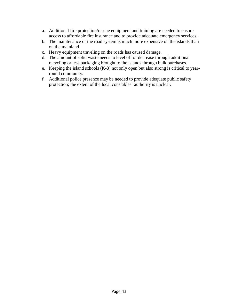- a. Additional fire protection/rescue equipment and training are needed to ensure access to affordable fire insurance and to provide adequate emergency services.
- b. The maintenance of the road system is much more expensive on the islands than on the mainland.
- c. Heavy equipment traveling on the roads has caused damage.
- d. The amount of solid waste needs to level off or decrease through additional recycling or less packaging brought to the islands through bulk purchases.
- e. Keeping the island schools (K-8) not only open but also strong is critical to yearround community.
- f. Additional police presence may be needed to provide adequate public safety protection; the extent of the local constables' authority is unclear.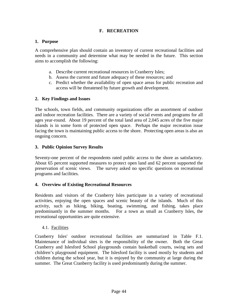# **F. RECREATION**

#### **1. Purpose**

A comprehensive plan should contain an inventory of current recreational facilities and needs in a community and determine what may be needed in the future. This section aims to accomplish the following:

- a. Describe current recreational resources in Cranberry Isles;
- b. Assess the current and future adequacy of these resources; and
- c. Predict whether the availability of open space areas for public recreation and access will be threatened by future growth and development.

#### **2. Key Findings and Issues**

The schools, town fields, and community organizations offer an assortment of outdoor and indoor recreation facilities. There are a variety of social events and programs for all ages year-round. About 19 percent of the total land area of 2,045 acres of the five major islands is in some form of protected open space. Perhaps the major recreation issue facing the town is maintaining public access to the shore. Protecting open areas is also an ongoing concern.

#### **3. Public Opinion Survey Results**

Seventy-one percent of the respondents rated public access to the shore as satisfactory. About 65 percent supported measures to protect open land and 62 percent supported the preservation of scenic views. The survey asked no specific questions on recreational programs and facilities.

#### **4. Overview of Existing Recreational Resources**

Residents and visitors of the Cranberry Isles participate in a variety of recreational activities, enjoying the open spaces and scenic beauty of the islands. Much of this activity, such as hiking, biking, boating, swimming, and fishing, takes place predominantly in the summer months. For a town as small as Cranberry Isles, the recreational opportunities are quite extensive.

#### 4.1. Facilities

Cranberry Isles' outdoor recreational facilities are summarized in Table F.1. Maintenance of individual sites is the responsibility of the owner. Both the Great Cranberry and Islesford School playgrounds contain basketball courts, swing sets and children's playground equipment. The Islesford facility is used mostly by students and children during the school year, but it is enjoyed by the community at large during the summer. The Great Cranberry facility is used predominantly during the summer.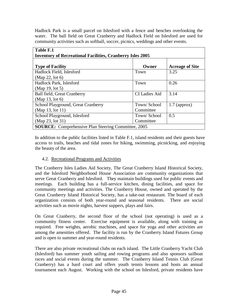Hadlock Park is a small parcel on Islesford with a fence and benches overlooking the water. The ball field on Great Cranberry and Hadlock Field on Islesford are used for community activities such as softball, soccer, picnics, weddings and other events.

| Table F.1                                                         |                      |                        |  |  |  |
|-------------------------------------------------------------------|----------------------|------------------------|--|--|--|
| <b>Inventory of Recreational Facilities, Cranberry Isles 2005</b> |                      |                        |  |  |  |
|                                                                   |                      |                        |  |  |  |
| <b>Type of Facility</b>                                           | Owner                | <b>Acreage of Site</b> |  |  |  |
| Hadlock Field, Islesford                                          | Town                 | 3.25                   |  |  |  |
| (Map 22, lot 6)                                                   |                      |                        |  |  |  |
| Hadlock Park, Islesford                                           | Town                 | 0.26                   |  |  |  |
| (Map 19, lot 5)                                                   |                      |                        |  |  |  |
| <b>Ball field, Great Cranberry</b>                                | <b>CI</b> Ladies Aid | 3.14                   |  |  |  |
| (Map 13, lot 6)                                                   |                      |                        |  |  |  |
| School Playground, Great Cranberry                                | Town/School          | $1.7$ (approx)         |  |  |  |
| (Map 13, lot 11)                                                  | Committee            |                        |  |  |  |
| School Playground, Islesford                                      | Town/School          | 0.5                    |  |  |  |
| (Map 23, lot 31)                                                  | Committee            |                        |  |  |  |
| <b>SOURCE:</b> Comprehensive Plan Steering Committee, 2005        |                      |                        |  |  |  |

In addition to the public facilities listed in Table F.1, island residents and their guests have access to trails, beaches and tidal zones for hiking, swimming, picnicking, and enjoying the beauty of the area.

### 4.2. Recreational Programs and Activities

The Cranberry Isles Ladies Aid Society, The Great Cranberry Island Historical Society, and the Islesford Neighborhood House Association are community organizations that serve Great Cranberry and Islesford. They maintain buildings used for public events and meetings. Each building has a full-service kitchen, dining facilities, and space for community meetings and activities. The Cranberry House, owned and operated by the Great Cranberry Island Historical Society, has a take-out restaurant. The board of each organization consists of both year-round and seasonal residents. There are social activities such as movie nights, harvest suppers, plays and fairs.

On Great Cranberry, the second floor of the school (not operating) is used as a community fitness center. Exercise equipment is available, along with training as required. Free weights, aerobic machines, and space for yoga and other activities are among the amenities offered. The facility is run by the Cranberry Island Futures Group and is open to summer and year-round residents.

There are also private recreational clubs on each island. The Little Cranberry Yacht Club (Islesford) has summer youth sailing and rowing programs and also sponsors sailboat races and social events during the summer. The Cranberry Island Tennis Club (Great Cranberry) has a hard court and offers youth tennis lessons and hosts an annual tournament each August. Working with the school on Islesford, private residents have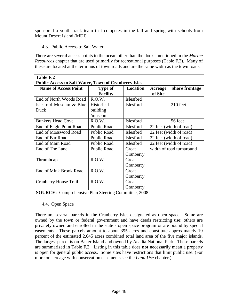sponsored a youth track team that competes in the fall and spring with schools from Mount Desert Island (MDI).

# 4.3. Public Access to Salt Water

There are several access points to the ocean other than the docks mentioned in the *Marine Resources* chapter that are used primarily for recreational purposes (Table F.2). Many of these are located at the terminus of town roads and are the same width as the town roads.

| Table F.2                                                   |                    |                  |                          |                       |  |
|-------------------------------------------------------------|--------------------|------------------|--------------------------|-----------------------|--|
| <b>Public Access to Salt Water, Town of Cranberry Isles</b> |                    |                  |                          |                       |  |
| <b>Name of Access Point</b>                                 | <b>Type of</b>     | Location         | Acreage                  | <b>Shore frontage</b> |  |
|                                                             | <b>Facility</b>    |                  | of Site                  |                       |  |
| End of North Woods Road                                     | R.O.W.             | Islesford        |                          |                       |  |
| Islesford Museum & Blue                                     | Historical         | Islesford        |                          | 210 feet              |  |
| Duck                                                        | building           |                  |                          |                       |  |
|                                                             | /museum            |                  |                          |                       |  |
| <b>Bunkers Head Cove</b>                                    | R.O.W.             | <b>Islesford</b> |                          | 56 feet               |  |
| End of Eagle Point Road                                     | <b>Public Road</b> | Islesford        | 22 feet (width of road)  |                       |  |
| End of Mosswood Road                                        | Public Road        | Islesford        | 22 feet (width of road)  |                       |  |
| End of Bar Road                                             | Public Road        | Islesford        | 22 feet (width of road)  |                       |  |
| End of Main Road                                            | Public Road        | Islesford        | 22 feet (width of road)  |                       |  |
| End of The Lane                                             | <b>Public Road</b> | Great            | width of road turnaround |                       |  |
|                                                             |                    | Cranberry        |                          |                       |  |
| Thrumbcap                                                   | R.O.W.             | Great            |                          |                       |  |
|                                                             |                    | Cranberry        |                          |                       |  |
| <b>End of Mink Brook Road</b>                               | R.O.W.             | Great            |                          |                       |  |
|                                                             |                    | Cranberry        |                          |                       |  |
| <b>Cranberry House Trail</b>                                | R.O.W.             | Great            |                          |                       |  |
|                                                             |                    | Cranberry        |                          |                       |  |
| <b>SOURCE:</b> Comprehensive Plan Steering Committee, 2008  |                    |                  |                          |                       |  |

### 4.4. Open Space

There are several parcels in the Cranberry Isles designated as open space. Some are owned by the town or federal government and have deeds restricting use; others are privately owned and enrolled in the state's open space program or are bound by special easements. These parcels amount to about 395 acres and constitute approximately 19 percent of the estimated 2,045 acres combined total land area of the five major islands. The largest parcel is on Baker Island and owned by Acadia National Park. These parcels are summarized in Table F.3. Listing in this table does **not** necessarily mean a property is open for general public access. Some sites have restrictions that limit public use. (For more on acreage with conservation easements see the *Land Use* chapter.)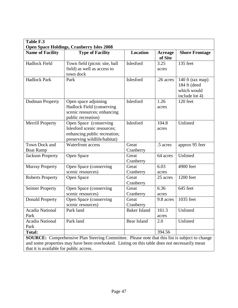| Table F.3                                                                                                                                                                                              |                                                                                                                       |                     |                           |                                                                   |
|--------------------------------------------------------------------------------------------------------------------------------------------------------------------------------------------------------|-----------------------------------------------------------------------------------------------------------------------|---------------------|---------------------------|-------------------------------------------------------------------|
| <b>Name of Facility</b>                                                                                                                                                                                | <b>Open Space Holdings, Cranberry Isles 2008</b><br><b>Type of Facility</b>                                           | <b>Location</b>     | <b>Acreage</b><br>of Site | <b>Shore Frontage</b>                                             |
| Hadlock Field                                                                                                                                                                                          | Town field (picnic site, ball<br>field) as well as access to<br>town dock                                             | Islesford           | 3.25<br>acres             | 135 feet                                                          |
| <b>Hadlock Park</b>                                                                                                                                                                                    | Park                                                                                                                  | Islesford           | .26 acres                 | 140 ft (tax map)<br>184 ft (deed<br>which would<br>include lot 4) |
| <b>Dudman Property</b>                                                                                                                                                                                 | Open space adjoining<br>Hadlock Field (conserving<br>scenic resources; enhancing<br>public recreation)                | Islesford           | 1.26<br>acres             | 120 feet                                                          |
| <b>Merrill Property</b>                                                                                                                                                                                | Open Space (conserving<br>Islesford scenic resources;<br>enhancing public recreation;<br>preserving wildlife/habitat) | Islesford           | 104.8<br>acres            | Unlisted                                                          |
| Town Dock and<br><b>Boat Ramp</b>                                                                                                                                                                      | Waterfront access                                                                                                     | Great<br>Cranberry  | .5 acres                  | approx 95 feet                                                    |
| <b>Jackson Property</b>                                                                                                                                                                                | Open Space                                                                                                            | Great<br>Cranberry  | 64 acres                  | Unlisted                                                          |
| <b>Murray Property</b>                                                                                                                                                                                 | Open Space (conserving<br>scenic resources)                                                                           | Great<br>Cranberry  | 6.03<br>acres             | 4900 feet                                                         |
| <b>Roberts Property</b>                                                                                                                                                                                | Open Space                                                                                                            | Great<br>Cranberry  | 25 acres                  | 1200 feet                                                         |
| <b>Seimer Property</b>                                                                                                                                                                                 | Open Space (conserving<br>scenic resources)                                                                           | Great<br>Cranberry  | 6.36<br>acres             | 645 feet                                                          |
| <b>Donald Property</b>                                                                                                                                                                                 | Open Space (conserving<br>scenic resources)                                                                           | Great<br>Cranberry  | 9.8 acres                 | 1035 feet                                                         |
| Acadia National<br>Park                                                                                                                                                                                | Park land                                                                                                             | <b>Baker Island</b> | 161.3<br>acres            | Unlisted                                                          |
| <b>Acadia National</b><br>Park                                                                                                                                                                         | Park land                                                                                                             | Bear Island         | 2.0                       | Unlisted                                                          |
| <b>Total:</b>                                                                                                                                                                                          |                                                                                                                       |                     | 394.56                    |                                                                   |
| <b>SOURCE:</b> Comprehensive Plan Steering Committee. Please note that this list is subject to change<br>and some properties may have been overlooked. Listing on this table does not necessarily mean |                                                                                                                       |                     |                           |                                                                   |

that it is available for public access.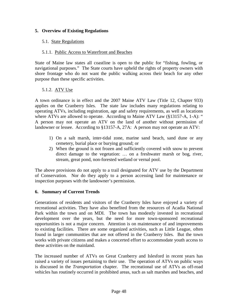## **5. Overview of Existing Regulations**

# 5.1. State Regulations

## 5.1.1. Public Access to Waterfront and Beaches

State of Maine law states all coastline is open to the public for "fishing, fowling, or navigational purposes." The State courts have upheld the rights of property owners with shore frontage who do not want the public walking across their beach for any other purpose than these specific activities.

# 5.1.2. ATV Use

A town ordinance is in effect and the 2007 Maine ATV Law (Title 12, Chapter 933) applies on the Cranberry Isles. The state law includes many regulations relating to operating ATVs, including registration, age and safety requirements, as well as locations where ATVs are allowed to operate. According to Maine ATV Law (§13157-A, 1-A): " A person may not operate an ATV on the land of another without permission of landowner or lessee. According to §13157-A, 27A: A person may not operate an ATV:

- 1) On a salt marsh, inter-tidal zone, marine sand beach, sand dune or any cemetery, burial place or burying ground; or
- 2) When the ground is not frozen and sufficiently covered with snow to prevent direct damage to the vegetation: … on a freshwater marsh or bog, river, stream, great pond, non-forested wetland or vernal pool.

The above provisions do not apply to a trail designated for ATV use by the Department of Conservation. Nor do they apply to a person accessing land for maintenance or inspection purposes with the landowner's permission.

### **6. Summary of Current Trends**

Generations of residents and visitors of the Cranberry Isles have enjoyed a variety of recreational activities. They have also benefited from the resources of Acadia National Park within the town and on MDI. The town has modestly invested in recreational development over the years, but the need for more town-sponsored recreational opportunities is not a major concern. Attention is on maintenance of and improvements to existing facilities. There are some organized activities, such as Little League, often found in larger communities that are not offered in the Cranberry Isles. But the town works with private citizens and makes a concerted effort to accommodate youth access to these activities on the mainland.

The increased number of ATVs on Great Cranberry and Islesford in recent years has raised a variety of issues pertaining to their use. The operation of ATVs on public ways is discussed in the *Transportation* chapter. The recreational use of ATVs as off-road vehicles has routinely occurred in prohibited areas, such as salt marshes and beaches, and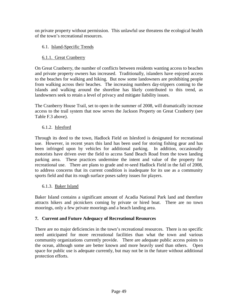on private property without permission. This unlawful use threatens the ecological health of the town's recreational resources.

# 6.1. Island-Specific Trends

# 6.1.1. Great Cranberry

On Great Cranberry, the number of conflicts between residents wanting access to beaches and private property owners has increased. Traditionally, islanders have enjoyed access to the beaches for walking and hiking. But now some landowners are prohibiting people from walking across their beaches. The increasing numbers day-trippers coming to the islands and walking around the shoreline has likely contributed to this trend, as landowners seek to retain a level of privacy and mitigate liability issues.

The Cranberry House Trail, set to open in the summer of 2008, will dramatically increase access to the trail system that now serves the Jackson Property on Great Cranberry (see Table F.3 above).

# 6.1.2. Islesford

Through its deed to the town, Hadlock Field on Islesford is designated for recreational use. However, in recent years this land has been used for storing fishing gear and has been infringed upon by vehicles for additional parking. In addition, occasionally motorists have driven over the field to access Sand Beach Road from the town landing parking area. These practices undermine the intent and value of the property for recreational use. There are plans to grade and re-seed Hadlock Field in the fall of 2008, to address concerns that its current condition is inadequate for its use as a community sports field and that its rough surface poses safety issues for players.

# 6.1.3. Baker Island

Baker Island contains a significant amount of Acadia National Park land and therefore attracts hikers and picnickers coming by private or hired boat. There are no town moorings, only a few private moorings and a beach landing area.

### **7. Current and Future Adequacy of Recreational Resources**

There are no major deficiencies in the town's recreational resources. There is no specific need anticipated for more recreational facilities than what the town and various community organizations currently provide. There are adequate public access points to the ocean, although some are better known and more heavily used than others. Open space for public use is adequate currently, but may not be in the future without additional protection efforts.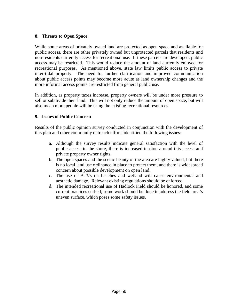## **8. Threats to Open Space**

While some areas of privately owned land are protected as open space and available for public access, there are other privately owned but unprotected parcels that residents and non-residents currently access for recreational use. If these parcels are developed, public access may be restricted. This would reduce the amount of land currently enjoyed for recreational purposes. As mentioned above, state law limits public access to private inter-tidal property. The need for further clarification and improved communication about public access points may become more acute as land ownership changes and the more informal access points are restricted from general public use.

In addition, as property taxes increase, property owners will be under more pressure to sell or subdivide their land. This will not only reduce the amount of open space, but will also mean more people will be using the existing recreational resources.

### **9. Issues of Public Concern**

Results of the public opinion survey conducted in conjunction with the development of this plan and other community outreach efforts identified the following issues:

- a. Although the survey results indicate general satisfaction with the level of public access to the shore, there is increased tension around this access and private property owner rights.
- b. The open spaces and the scenic beauty of the area are highly valued, but there is no local land use ordinance in place to protect them, and there is widespread concern about possible development on open land.
- c. The use of ATVs on beaches and wetland will cause environmental and aesthetic damage. Relevant existing regulations should be enforced.
- d. The intended recreational use of Hadlock Field should be honored, and some current practices curbed; some work should be done to address the field area's uneven surface, which poses some safety issues.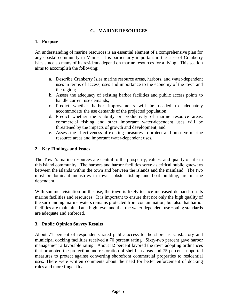# **G. MARINE RESOURCES**

#### **1. Purpose**

An understanding of marine resources is an essential element of a comprehensive plan for any coastal community in Maine. It is particularly important in the case of Cranberry Isles since so many of its residents depend on marine resources for a living. This section aims to accomplish the following:

- a. Describe Cranberry Isles marine resource areas, harbors, and water-dependent uses in terms of access, uses and importance to the economy of the town and the region;
- b. Assess the adequacy of existing harbor facilities and public access points to handle current use demands;
- c. Predict whether harbor improvements will be needed to adequately accommodate the use demands of the projected population;
- d. Predict whether the viability or productivity of marine resource areas, commercial fishing and other important water-dependent uses will be threatened by the impacts of growth and development; and
- e. Assess the effectiveness of existing measures to protect and preserve marine resource areas and important water-dependent uses.

#### **2. Key Findings and Issues**

The Town's marine resources are central to the prosperity, values, and quality of life in this island community. The harbors and harbor facilities serve as critical public gateways between the islands within the town and between the islands and the mainland. The two most predominant industries in town, lobster fishing and boat building, are marine dependent.

With summer visitation on the rise, the town is likely to face increased demands on its marine facilities and resources. It is important to ensure that not only the high quality of the surrounding marine waters remains protected from contamination, but also that harbor facilities are maintained at a high level and that the water dependent use zoning standards are adequate and enforced.

### **3. Public Opinion Survey Results**

About 71 percent of respondents rated public access to the shore as satisfactory and municipal docking facilities received a 70 percent rating. Sixty-two percent gave harbor management a favorable rating. About 82 percent favored the town adopting ordinances that promoted the protection and restoration of shellfish areas and 75 percent supported measures to protect against converting shorefront commercial properties to residential uses. There were written comments about the need for better enforcement of docking rules and more finger floats.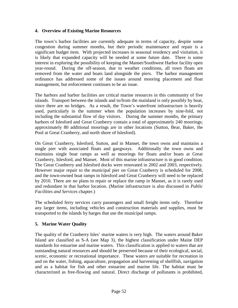#### **4. Overview of Existing Marine Resources**

The town's harbor facilities are currently adequate in terms of capacity, despite some congestion during summer months, but their periodic maintenance and repair is a significant budget item. With projected increases in seasonal residency and visitation, it is likely that expanded capacity will be needed at some future date. There is some interest in exploring the possibility of keeping the Manset/Southwest Harbor facility open year-round. During the off-season, due to weather conditions, all town floats are removed from the water and boats land alongside the piers. The harbor management ordinance has addressed some of the issues around mooring placement and float management, but enforcement continues to be an issue.

The harbors and harbor facilities are critical marine resources in this community of five islands. Transport between the islands and to/from the mainland is only possibly by boat, since there are no bridges. As a result, the Town's waterfront infrastructure is heavily used, particularly in the summer when the population increases by nine-fold, not including the substantial flow of day visitors. During the summer months, the primary harbors of Islesford and Great Cranberry contain a total of approximately 240 moorings; approximately 80 additional moorings are in other locations (Sutton, Bear, Baker, the Pool at Great Cranberry, and north shore of Islesford).

On Great Cranberry, Islesford, Sutton, and in Manset, the town owns and maintains a single pier with associated floats and gangways. Additionally the town owns and maintains single boat ramps as well as moorings for floats and/or boats at Great Cranberry, Islesford, and Manset. Most of this marine infrastructure is in good condition. The Great Cranberry and Islesford docks were renovated in 2002 and 2003, respectively. However major repair to the municipal pier on Great Cranberry is scheduled for 2008, and the town-owned boat ramps in Islesford and Great Cranberry will need to be replaced by 2010. There are no plans to repair or replace the ramp in Manset, as it is rarely used and redundant in that harbor location. (Marine infrastructure is also discussed in *Public Facilities and Services* chapter.)

The scheduled ferry services carry passengers and small freight items only. Therefore any larger items, including vehicles and construction materials and supplies, must be transported to the islands by barges that use the municipal ramps.

### **5. Marine Water Quality**

The quality of the Cranberry Isles' marine waters is very high. The waters around Baker Island are classified as S-A (see Map 3), the highest classification under Maine DEP standards for estuarine and marine waters. This classification is applied to waters that are outstanding natural resources and should be preserved because of their ecological, social, scenic, economic or recreational importance. These waters are suitable for recreation in and on the water, fishing, aquaculture, propagation and harvesting of shellfish, navigation and as a habitat for fish and other estuarine and marine life. The habitat must be characterized as free-flowing and natural. Direct discharge of pollutants is prohibited,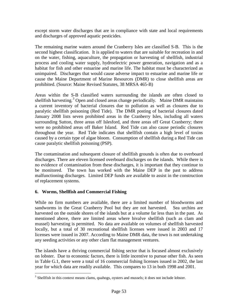except storm water discharges that are in compliance with state and local requirements and discharges of approved aquatic pesticides.

The remaining marine waters around the Cranberry Isles are classified S-B. This is the second highest classification. It is applied to waters that are suitable for recreation in and on the water, fishing, aquaculture, the propagation or harvesting of shellfish, industrial process and cooling water supply, hydroelectric power generation, navigation and as a habitat for fish and other estuarine and marine life. The habitat must be characterized as unimpaired. Discharges that would cause adverse impact to estuarine and marine life or cause the Maine Department of Marine Resources (DMR) to close shellfish areas are prohibited. (Source: Maine Revised Statutes, 38 MRSA 465-B)

Areas within the S-B classified waters surrounding the islands are often closed to shellfish harvesting.<sup>[3](#page-62-0)</sup> Open and closed areas change periodically. Maine DMR maintains a current inventory of bacterial closures due to pollution as well as closures due to paralytic shellfish poisoning (Red Tide). The DMR posting of bacterial closures dated January 2008 lists seven prohibited areas in the Cranberry Isles, including all waters surrounding Sutton, three areas off Islesford, and three areas off Great Cranberry; there were no prohibited areas off Baker Island. Red Tide can also cause periodic closures throughout the year. Red Tide indicates that shellfish contain a high level of toxins caused by a certain type of algae bloom. Consumption of shellfish during a Red Tide can cause paralytic shellfish poisoning (PSP).

The contamination and subsequent closure of shellfish grounds is often due to overboard discharges. There are eleven licensed overboard discharges on the islands. While there is no evidence of contamination from these discharges, it is important that they continue to be monitored. The town has worked with the Maine DEP in the past to address malfunctioning discharges. Limited DEP funds are available to assist in the construction of replacement systems.

### **6. Worms, Shellfish and Commercial Fishing**

While no firm numbers are available, there are a limited number of bloodworms and sandworms in the Great Cranberry Pool but they are not harvested. Sea urchins are harvested on the outside shores of the islands but at a volume far less than in the past. As mentioned above, there are limited areas where bivalve shellfish (such as clam and mussel) harvesting is permitted. No data are available on volumes of shellfish harvested locally, but a total of 30 recreational shellfish licenses were issued in 2003 and 17 licenses were issued in 2007. According to Maine DMR data, the town is not undertaking any seeding activities or any other clam flat management ventures.

The islands have a thriving commercial fishing sector that is focused almost exclusively on lobster. Due to economic factors, there is little incentive to pursue other fish. As seen in Table G.1, there were a total of 16 commercial fishing licenses issued in 2002, the last year for which data are readily available. This compares to 13 in both 1998 and 2001.

<span id="page-62-0"></span> $3$  Shellfish in this context means clams, quahogs, oysters and mussels; it does not include lobster.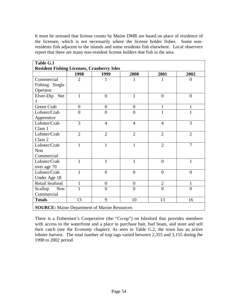It must be stressed that license counts by Maine DMR are based on place of residence of the licensee, which is not necessarily where the license holder fishes. Some nonresidents fish adjacent to the islands and some residents fish elsewhere. Local observers report that there are many non-resident license holders that fish in the area.

| Table G.1                                           |                |                  |                  |                |                |
|-----------------------------------------------------|----------------|------------------|------------------|----------------|----------------|
| <b>Resident Fishing Licenses, Cranberry Isles</b>   |                |                  |                  |                |                |
|                                                     | 1998           | 1999             | 2000             | 2001           | 2002           |
| Commercial                                          | $\overline{2}$ | 1                | 1                | 1              | $\overline{0}$ |
| Fishing Single                                      |                |                  |                  |                |                |
| Operator                                            |                |                  |                  |                |                |
| Elver-Dip Net                                       | $\mathbf{1}$   | $\boldsymbol{0}$ | $\mathbf{1}$     | $\overline{0}$ | $\overline{0}$ |
|                                                     |                |                  |                  |                |                |
| Green Crab                                          | $\overline{0}$ | $\overline{0}$   | $\overline{0}$   | $\mathbf{1}$   | $\mathbf{1}$   |
| Lobster/Crab                                        | $\overline{0}$ | $\overline{0}$   | $\overline{0}$   | $\mathbf{1}$   | $\mathbf{1}$   |
| Apprentice                                          |                |                  |                  |                |                |
| Lobster/Crab                                        | 3              | $\overline{4}$   | $\overline{4}$   | $\overline{4}$ | 3              |
| Class 1                                             |                |                  |                  |                |                |
| Lobster/Crab                                        | $\overline{2}$ | $\overline{2}$   | $\overline{2}$   | $\overline{2}$ | $\overline{2}$ |
| Class 2                                             |                |                  |                  |                |                |
| Lobster/Crab                                        | $\mathbf{1}$   | $\mathbf{1}$     | $\mathbf{1}$     | $\overline{2}$ | $\overline{7}$ |
| Non                                                 |                |                  |                  |                |                |
| Commercial                                          |                |                  |                  |                |                |
| Lobster/Crab                                        | 1              | 1                | $\mathbf{1}$     | $\overline{0}$ | 1              |
| over age 70                                         |                |                  |                  |                |                |
| Lobster/Crab                                        | $\mathbf{1}$   | $\overline{0}$   | $\overline{0}$   | $\overline{0}$ | $\overline{0}$ |
| Under Age 18                                        |                |                  |                  |                |                |
| Retail Seafood                                      | 1              | $\overline{0}$   | $\boldsymbol{0}$ | $\overline{2}$ | $\mathbf{1}$   |
| Scallop<br>Non                                      | $\mathbf{1}$   | $\overline{0}$   | $\overline{0}$   | $\overline{0}$ | $\overline{0}$ |
| Commercial                                          |                |                  |                  |                |                |
| <b>Totals</b>                                       | 13             | 9                | 10               | 13             | 16             |
| <b>SOURCE:</b> Maine Department of Marine Resources |                |                  |                  |                |                |

There is a Fishermen's Cooperative (the "Co-op") on Islesford that provides members with access to the waterfront and a place to purchase bait, fuel boats, and store and sell their catch (see the *Economy* chapter). As seen in Table G.2, the town has an active lobster harvest. The total number of trap tags varied between 2,355 and 3,155 during the 1998 to 2002 period.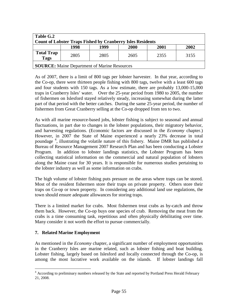| Table G.2<br><b>Count of Lobster Traps Fished by Cranberry Isles Residents</b> |      |      |      |      |      |
|--------------------------------------------------------------------------------|------|------|------|------|------|
|                                                                                | 1998 | 1999 | 2000 | 2001 | 2002 |
| <b>Total Trap</b><br>Tags                                                      | 2805 | 2805 | 2605 | 2355 | 3155 |
| <b>SOURCE:</b> Maine Department of Marine Resources                            |      |      |      |      |      |

As of 2007, there is a limit of 800 tags per lobster harvester. In that year, according to the Co-op, there were thirteen people fishing with 800 tags, twelve with a least 600 tags and four students with 150 tags. As a low estimate, there are probably 13,000-15,000 traps in Cranberry Isles' water. Over the 25-year period from 1980 to 2005, the number of fishermen on Islesford stayed relatively steady, increasing somewhat during the latter part of that period with the better catches. During the same 25-year period, the number of fishermen from Great Cranberry selling at the Co-op dropped from ten to two.

As with all marine resource-based jobs, lobster fishing is subject to seasonal and annual fluctuations, in part due to changes in the lobster populations, their migratory behavior, and harvesting regulations. (Economic factors are discussed in the *Economy* chapter.) However, in 2007 the State of Maine experienced a nearly 23% decrease in total poundage<sup>[4](#page-64-0)</sup>, illustrating the volatile nature of this fishery. Maine DMR has published a Bureau of Resource Management 2007 Research Plan and has been conducting a Lobster Program. In addition to lobster landings statistics, the Lobster Program has been collecting statistical information on the commercial and natural population of lobsters along the Maine coast for 30 years. It is responsible for numerous studies pertaining to the lobster industry as well as some information on crabs.

The high volume of lobster fishing puts pressure on the areas where traps can be stored. Most of the resident fishermen store their traps on private property. Others store their traps on Co-op or town property. In considering any additional land use regulations, the town should ensure adequate allowances for storing traps.

There is a limited market for crabs. Most fishermen treat crabs as by-catch and throw them back. However, the Co-op buys one species of crab. Removing the meat from the crabs is a time consuming task, repetitious and often physically debilitating over time. Many consider it not worth the effort to pursue commercially.

### **7. Related Marine Employment**

As mentioned in the *Economy* chapter, a significant number of employment opportunities in the Cranberry Isles are marine related, such as lobster fishing and boat building. Lobster fishing, largely based on Islesford and locally connected through the Co-op, is among the most lucrative work available on the islands. If lobster landings fall

<span id="page-64-0"></span> <sup>4</sup> According to preliminary numbers released by the State and reported by Portland Press Herald February 21, 2008.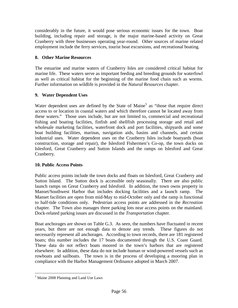considerably in the future, it would pose serious economic issues for the town. Boat building, including repair and storage, is the major marine-based activity on Great Cranberry with three businesses operating year-round. Other sources of marine related employment include the ferry services, tourist boat excursions, and recreational boating.

# **8. Other Marine Resources**

The estuarine and marine waters of Cranberry Isles are considered critical habitat for marine life. These waters serve as important feeding and breeding grounds for waterfowl as well as critical habitat for the beginning of the marine food chain such as worms. Further information on wildlife is provided in the *Natural Resources* chapter.

# **9. Water Dependent Uses**

Water dependent uses are defined by the State of Maine<sup>[5](#page-65-0)</sup> as "those that require direct" access to or location in coastal waters and which therefore cannot be located away from these waters." Those uses include, but are not limited to, commercial and recreational fishing and boating facilities, finfish and shellfish processing storage and retail and wholesale marketing facilities, waterfront dock and port facilities, shipyards and some boat building facilities, marinas, navigation aids, basins and channels, and certain industrial uses. Water dependent uses on the Cranberry Isles include boatyards (boat construction, storage and repair), the Islesford Fishermen's Co-op, the town docks on Islesford, Great Cranberry and Sutton Islands and the ramps on Islesford and Great Cranberry.

### **10. Public Access Points**

Public access points include the town docks and floats on Islesford, Great Cranberry and Sutton Island. The Sutton dock is accessible only seasonally. There are also public launch ramps on Great Cranberry and Islesford. In addition, the town owns property in Manset/Southwest Harbor that includes docking facilities and a launch ramp. The Manset facilities are open from mid-May to mid-October only and the ramp is functional to half-tide conditions only. Pedestrian access points are addressed in the *Recreation*  chapter. The Town also manages three parking lots near access points on the mainland. Dock-related parking issues are discussed in the *Transportation* chapter.

Boat anchorages are shown on Table G.3. As seen, the numbers have fluctuated in recent years, but there are not enough data to denote any trends. These figures do not necessarily represent all anchorages. According to town records, there are 181 registered boats; this number includes the 17 boats documented through the U.S. Coast Guard. These data do not reflect boats moored in the town's harbors that are registered elsewhere. In addition, these data do not include human or wind-powered vessels such as rowboats and sailboats. The town is in the process of developing a mooring plan in compliance with the Harbor Management Ordinance adopted in March 2007.

<span id="page-65-0"></span> <sup>5</sup> Maine 2008 Planning and Land Use Laws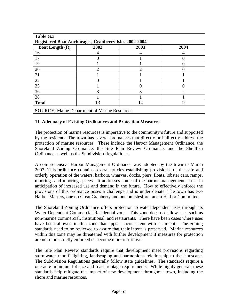| Table G.3                                             |      |                |      |  |  |
|-------------------------------------------------------|------|----------------|------|--|--|
| Registered Boat Anchorages, Cranberry Isles 2002-2004 |      |                |      |  |  |
| <b>Boat Length (ft)</b>                               | 2002 | 2003           | 2004 |  |  |
| 16                                                    |      |                |      |  |  |
| 17                                                    |      |                |      |  |  |
| 19                                                    |      |                |      |  |  |
| 20                                                    | 2    | $\mathfrak{D}$ |      |  |  |
| 21                                                    |      |                |      |  |  |
| 22                                                    |      |                |      |  |  |
| 35                                                    |      |                |      |  |  |
| 36                                                    | 3    | 3              | ി    |  |  |
| 38                                                    |      |                |      |  |  |
| <b>Total</b>                                          | 13   | 14             |      |  |  |
| <b>SOURCE:</b> Maine Department of Marine Resources   |      |                |      |  |  |

### **11. Adequacy of Existing Ordinances and Protection Measures**

The protection of marine resources is imperative to the community's future and supported by the residents. The town has several ordinances that directly or indirectly address the protection of marine resources. These include the Harbor Management Ordinance, the Shoreland Zoning Ordinance, the Site Plan Review Ordinance, and the Shellfish Ordinance as well as the Subdivision Regulations.

A comprehensive Harbor Management Ordinance was adopted by the town in March 2007. This ordinance contains several articles establishing provisions for the safe and orderly operation of the waters, harbors, wharves, docks, piers, floats, lobster cars, ramps, moorings and mooring spaces. It addresses some of the harbor management issues in anticipation of increased use and demand in the future. How to effectively enforce the provisions of this ordinance poses a challenge and is under debate. The town has two Harbor Masters, one on Great Cranberry and one on Islesford, and a Harbor Committee.

The Shoreland Zoning Ordinance offers protection to water-dependent uses through its Water-Dependent Commercial Residential zone. This zone does not allow uses such as non-marine commercial, institutional, and restaurants. There have been cases where uses have been allowed in this zone that appear inconsistent with its intent. The zoning standards need to be reviewed to assure that their intent is preserved. Marine resources within this zone may be threatened with further development if measures for protection are not more strictly enforced or become more restrictive.

The Site Plan Review standards require that development meet provisions regarding stormwater runoff, lighting, landscaping and harmonious relationship to the landscape. The Subdivision Regulations generally follow state guidelines. The standards require a one-acre minimum lot size and road frontage requirements. While highly general, these standards help mitigate the impact of new development throughout town, including the shore and marine resources.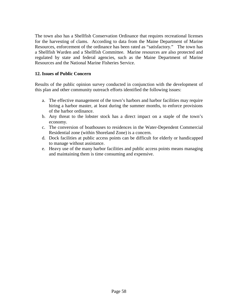The town also has a Shellfish Conservation Ordinance that requires recreational licenses for the harvesting of clams. According to data from the Maine Department of Marine Resources, enforcement of the ordinance has been rated as "satisfactory." The town has a Shellfish Warden and a Shellfish Committee. Marine resources are also protected and regulated by state and federal agencies, such as the Maine Department of Marine Resources and the National Marine Fisheries Service.

#### **12. Issues of Public Concern**

Results of the public opinion survey conducted in conjunction with the development of this plan and other community outreach efforts identified the following issues:

- a. The effective management of the town's harbors and harbor facilities may require hiring a harbor master, at least during the summer months, to enforce provisions of the harbor ordinance.
- b. Any threat to the lobster stock has a direct impact on a staple of the town's economy.
- c. The conversion of boathouses to residences in the Water-Dependent Commercial Residential zone (within Shoreland Zone) is a concern.
- d. Dock facilities at public access points can be difficult for elderly or handicapped to manage without assistance.
- e. Heavy use of the many harbor facilities and public access points means managing and maintaining them is time consuming and expensive.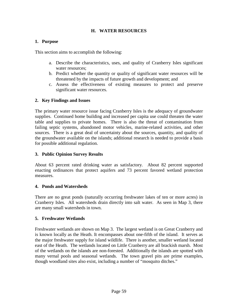# **H. WATER RESOURCES**

## **1. Purpose**

This section aims to accomplish the following:

- a. Describe the characteristics, uses, and quality of Cranberry Isles significant water resources:
- b. Predict whether the quantity or quality of significant water resources will be threatened by the impacts of future growth and development; and
- c. Assess the effectiveness of existing measures to protect and preserve significant water resources.

# **2. Key Findings and Issues**

The primary water resource issue facing Cranberry Isles is the adequacy of groundwater supplies. Continued home building and increased per capita use could threaten the water table and supplies to private homes. There is also the threat of contamination from failing septic systems, abandoned motor vehicles, marine-related activities, and other sources. There is a great deal of uncertainty about the sources, quantity, and quality of the groundwater available on the islands; additional research is needed to provide a basis for possible additional regulation.

# **3. Public Opinion Survey Results**

About 63 percent rated drinking water as satisfactory. About 82 percent supported enacting ordinances that protect aquifers and 73 percent favored wetland protection measures.

### **4. Ponds and Watersheds**

There are no great ponds (naturally occurring freshwater lakes of ten or more acres) in Cranberry Isles. All watersheds drain directly into salt water. As seen in Map 3, there are many small watersheds in town.

### **5. Freshwater Wetlands**

Freshwater wetlands are shown on Map 3. The largest wetland is on Great Cranberry and is known locally as the Heath. It encompasses about one-fifth of the island. It serves as the major freshwater supply for island wildlife. There is another, smaller wetland located east of the Heath. The wetlands located on Little Cranberry are all brackish marsh. Most of the wetlands on the islands are non-forested. Additionally the islands are spotted with many vernal pools and seasonal wetlands. The town gravel pits are prime examples, though woodland sites also exist, including a number of "mosquito ditches."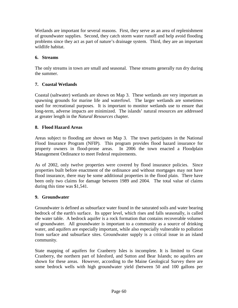Wetlands are important for several reasons. First, they serve as an area of replenishment of groundwater supplies. Second, they catch storm water runoff and help avoid flooding problems since they act as part of nature's drainage system. Third, they are an important wildlife habitat.

# **6. Streams**

The only streams in town are small and seasonal. These streams generally run dry during the summer.

# **7. Coastal Wetlands**

Coastal (saltwater) wetlands are shown on Map 3. These wetlands are very important as spawning grounds for marine life and waterfowl. The larger wetlands are sometimes used for recreational purposes. It is important to monitor wetlands use to ensure that long-term, adverse impacts are minimized. The islands' natural resources are addressed at greater length in the *Natural Resources* chapter.

# **8. Flood Hazard Areas**

Areas subject to flooding are shown on Map 3. The town participates in the National Flood Insurance Program (NFIP). This program provides flood hazard insurance for property owners in flood-prone areas. In 2006 the town enacted a Floodplain Management Ordinance to meet Federal requirements.

As of 2002, only twelve properties were covered by flood insurance policies. Since properties built before enactment of the ordinance and without mortgages may not have flood insurance, there may be some additional properties in the flood plain. There have been only two claims for damage between 1989 and 2004. The total value of claims during this time was \$1,541.

### **9. Groundwater**

Groundwater is defined as subsurface water found in the saturated soils and water bearing bedrock of the earth's surface. Its upper level, which rises and falls seasonally, is called the water table. A bedrock aquifer is a rock formation that contains recoverable volumes of groundwater. All groundwater is important to a community as a source of drinking water, and aquifers are especially important, while also especially vulnerable to pollution from surface and subsurface sites. Groundwater supply is a critical issue in an island community.

State mapping of aquifers for Cranberry Isles is incomplete. It is limited to Great Cranberry, the northern part of Islesford, and Sutton and Bear Islands; no aquifers are shown for these areas. However, according to the Maine Geological Survey there are some bedrock wells with high groundwater yield (between 50 and 100 gallons per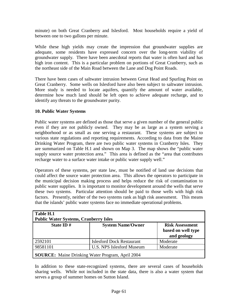minute) on both Great Cranberry and Islesford. Most households require a yield of between one to two gallons per minute.

While these high yields may create the impression that groundwater supplies are adequate, some residents have expressed concern over the long-term viability of groundwater supply. There have been anecdotal reports that water is often hard and has high iron content. This is a particular problem on portions of Great Cranberry, such as the northeast side of the Main Road between the Lane and Dog Point Roads.

There have been cases of saltwater intrusion between Great Head and Spurling Point on Great Cranberry. Some wells on Islesford have also been subject to saltwater intrusion. More study is needed to locate aquifers, quantify the amount of water available, determine how much land should be left open to achieve adequate recharge, and to identify any threats to the groundwater purity.

### **10. Public Water Systems**

Public water systems are defined as those that serve a given number of the general public even if they are not publicly owned. They may be as large as a system serving a neighborhood or as small as one serving a restaurant. These systems are subject to various state regulations and reporting requirements. According to data from the Maine Drinking Water Program, there are two public water systems in Cranberry Isles. They are summarized on Table H.1 and shown on Map 3. The map shows the "public water supply source water protection area." This area is defined as the "area that contributes recharge water to a surface water intake or public water supply well."

Operators of these systems, per state law, must be notified of land use decisions that could affect the source water protection area. This allows the operators to participate in the municipal decision making process and helps reduce the risk of contamination to public water supplies. It is important to monitor development around the wells that serve these two systems. Particular attention should be paid to those wells with high risk factors. Presently, neither of the two systems rank as high risk assessment. This means that the islands' public water systems face no immediate operational problems.

| Table H.1<br><b>Public Water Systems, Cranberry Isles</b> |                                  |                                                             |  |  |
|-----------------------------------------------------------|----------------------------------|-------------------------------------------------------------|--|--|
| State ID $#$                                              | <b>System Name/Owner</b>         | <b>Risk Assessment</b><br>based on well type<br>and geology |  |  |
| 2592101                                                   | <b>Islesford Dock Restaurant</b> | Moderate                                                    |  |  |
| 98581101                                                  | U.S. NPS Islesford Museum        | Moderate                                                    |  |  |
| <b>SOURCE:</b> Maine Drinking Water Program, April 2004   |                                  |                                                             |  |  |

In addition to these state-recognized systems, there are several cases of households sharing wells. While not included in the state data, there is also a water system that serves a group of summer homes on Sutton Island.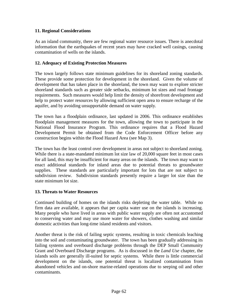# **11. Regional Considerations**

As an island community, there are few regional water resource issues. There is anecdotal information that the earthquakes of recent years may have cracked well casings, causing contamination of wells on the islands.

## **12. Adequacy of Existing Protection Measures**

The town largely follows state minimum guidelines for its shoreland zoning standards. These provide some protection for development in the shoreland. Given the volume of development that has taken place in the shoreland, the town may want to explore stricter shoreland standards such as greater side setbacks, minimum lot sizes and road frontage requirements. Such measures would help limit the density of shorefront development and help to protect water resources by allowing sufficient open area to ensure recharge of the aquifer, and by avoiding unsupportable demand on water supply.

The town has a floodplain ordinance, last updated in 2006. This ordinance establishes floodplain management measures for the town, allowing the town to participate in the National Flood Insurance Program. This ordinance requires that a Flood Hazard Development Permit be obtained from the Code Enforcement Officer before any construction begins within the Flood Hazard Area (see Map 3).

The town has the least control over development in areas not subject to shoreland zoning. While there is a state-mandated minimum lot size law of 20,000 square feet in most cases for all land, this may be insufficient for many areas on the islands. The town may want to enact additional standards for inland areas due to potential threats to groundwater supplies. These standards are particularly important for lots that are not subject to subdivision review. Subdivision standards presently require a larger lot size than the state minimum lot size.

### **13. Threats to Water Resources**

Continued building of homes on the islands risks depleting the water table. While no firm data are available, it appears that per capita water use on the islands is increasing. Many people who have lived in areas with public water supply are often not accustomed to conserving water and may use more water for showers, clothes washing and similar domestic activities than long-time island residents and visitors.

Another threat is the risk of failing septic systems, resulting in toxic chemicals leaching into the soil and contaminating groundwater. The town has been gradually addressing its failing systems and overboard discharge problems through the DEP Small Community Grant and Overboard Discharge programs. As is discussed in the *Land Use* chapter, the islands soils are generally ill-suited for septic systems. While there is little commercial development on the islands, one potential threat is localized contamination from abandoned vehicles and on-shore marine-related operations due to seeping oil and other contaminants.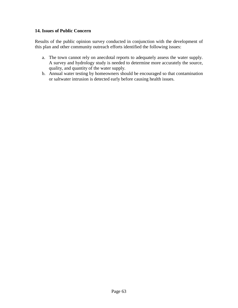## **14. Issues of Public Concern**

Results of the public opinion survey conducted in conjunction with the development of this plan and other community outreach efforts identified the following issues:

- a. The town cannot rely on anecdotal reports to adequately assess the water supply. A survey and hydrology study is needed to determine more accurately the source, quality, and quantity of the water supply.
- b. Annual water testing by homeowners should be encouraged so that contamination or saltwater intrusion is detected early before causing health issues.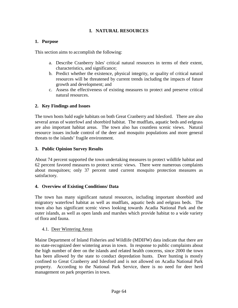# **I. NATURAL RESOURCES**

# **1. Purpose**

This section aims to accomplish the following:

- a. Describe Cranberry Isles' critical natural resources in terms of their extent, characteristics, and significance;
- b. Predict whether the existence, physical integrity, or quality of critical natural resources will be threatened by current trends including the impacts of future growth and development; and
- c. Assess the effectiveness of existing measures to protect and preserve critical natural resources.

# **2. Key Findings and Issues**

The town hosts bald eagle habitats on both Great Cranberry and Islesford. There are also several areas of waterfowl and shorebird habitat. The mudflats, aquatic beds and eelgrass are also important habitat areas. The town also has countless scenic views. Natural resource issues include control of the deer and mosquito populations and more general threats to the islands' fragile environment.

# **3. Public Opinion Survey Results**

About 74 percent supported the town undertaking measures to protect wildlife habitat and 62 percent favored measures to protect scenic views. There were numerous complaints about mosquitoes; only 37 percent rated current mosquito protection measures as satisfactory.

# **4. Overview of Existing Conditions/ Data**

The town has many significant natural resources, including important shorebird and migratory waterfowl habitat as well as mudflats, aquatic beds and eelgrass beds. The town also has significant scenic views looking towards Acadia National Park and the outer islands, as well as open lands and marshes which provide habitat to a wide variety of flora and fauna.

# 4.1. Deer Wintering Areas

Maine Department of Inland Fisheries and Wildlife (MDIFW) data indicate that there are no state-recognized deer wintering areas in town. In response to public complaints about the high number of deer on the islands and related health concerns, since 2000 the town has been allowed by the state to conduct depredation hunts. Deer hunting is mostly confined to Great Cranberry and Islesford and is not allowed on Acadia National Park property. According to the National Park Service, there is no need for deer herd management on park properties in town.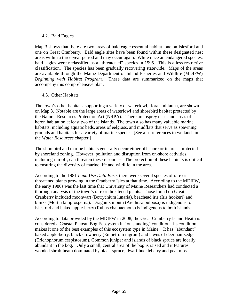## 4.2. Bald Eagles

Map 3 shows that there are two areas of bald eagle essential habitat, one on Islesford and one on Great Cranberry. Bald eagle sites have been found within these designated nest areas within a three-year period and may occur again. While once an endangered species, bald eagles were reclassified as a "threatened" species in 1995. This is a less restrictive classification. The species has been gradually recovering statewide. Maps of the areas are available through the Maine Department of Inland Fisheries and Wildlife (MDIFW) *Beginning with Habitat Program*. These data are summarized on the maps that accompany this comprehensive plan.

#### 4.3. Other Habitats

The town's other habitats, supporting a variety of waterfowl, flora and fauna, are shown on Map 3. Notable are the large areas of waterfowl and shorebird habitat protected by the Natural Resources Protection Act (NRPA). There are osprey nests and areas of heron habitat on at least two of the islands. The town also has many valuable marine habitats, including aquatic beds, areas of eelgrass, and mudflats that serve as spawning grounds and habitats for a variety of marine species. [See also references to wetlands in the *Water Resources* chapter.]

The shorebird and marine habitats generally occur either off-shore or in areas protected by shoreland zoning. However, pollution and disruption from on-shore activities, including run-off, can threaten these resources. The protection of these habitats is critical to ensuring the diversity of marine life and wildlife in the area.

According to the 1981 *Land Use Data Base*, there were several species of rare or threatened plants growing in the Cranberry Isles at that time. According to the MDIFW, the early 1980s was the last time that University of Maine Researchers had conducted a thorough analysis of the town's rare or threatened plants. Those found on Great Cranberry included moonwart (Botrychium lunaria), beachead iris (Iris hookeri) and blinks (Mortia lamprosperna). Dragon's mouth (Arethusa bulbosa) is indigenous to Islesford and baked apple-berry (Rubus chamaemous) is indigenous to both islands.

According to data provided by the MDIFW in 2008, the Great Cranberry Island Heath is considered a Coastal Plateau Bog Ecosystem in "outstanding" condition. Its condition makes it one of the best examples of this ecosystem type in Maine. It has "abundant" baked apple-berry, black crowberry (Empetrum nigrum) and lawns of deer hair sedge (Trichophorum cespistosum). Common juniper and islands of black spruce are locally abundant in the bog. Only a small, central area of the bog is raised and it features wooded shrub-heath dominated by black spruce, dwarf huckleberry and peat moss.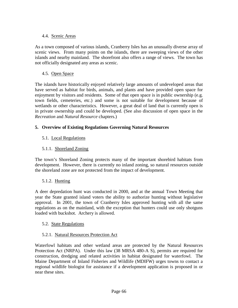# 4.4. Scenic Areas

As a town composed of various islands, Cranberry Isles has an unusually diverse array of scenic views. From many points on the islands, there are sweeping views of the other islands and nearby mainland. The shorefront also offers a range of views. The town has not officially designated any areas as scenic.

# 4.5. Open Space

The islands have historically enjoyed relatively large amounts of undeveloped areas that have served as habitat for birds, animals, and plants and have provided open space for enjoyment by visitors and residents. Some of that open space is in public ownership (e.g. town fields, cemeteries, etc.) and some is not suitable for development because of wetlands or other characteristics. However, a great deal of land that is currently open is in private ownership and could be developed. (See also discussion of open space in the *Recreation* and *Natural Resource* chapters.)

# **5. Overview of Existing Regulations Governing Natural Resources**

# 5.1. Local Regulations

# 5.1.1. Shoreland Zoning

The town's Shoreland Zoning protects many of the important shorebird habitats from development. However, there is currently no inland zoning, so natural resources outside the shoreland zone are not protected from the impact of development.

# 5.1.2. Hunting

A deer depredation hunt was conducted in 2000, and at the annual Town Meeting that year the State granted island voters the ability to authorize hunting without legislative approval. In 2001, the town of Cranberry Isles approved hunting with all the same regulations as on the mainland, with the exception that hunters could use only shotguns loaded with buckshot. Archery is allowed.

# 5.2. State Regulations

# 5.2.1. Natural Resources Protection Act

Waterfowl habitats and other wetland areas are protected by the Natural Resources Protection Act (NRPA). Under this law (38 MRSA 480-A S), permits are required for construction, dredging and related activities in habitat designated for waterfowl. The Maine Department of Inland Fisheries and Wildlife (MDIFW) urges towns to contact a regional wildlife biologist for assistance if a development application is proposed in or near these sites.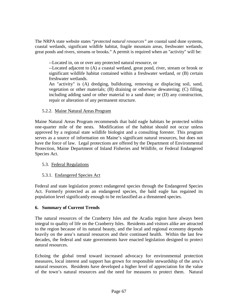The NRPA state website states "*protected natural resources"* are coastal sand dune systems, coastal wetlands, significant wildlife habitat, fragile mountain areas, freshwater wetlands, great ponds and rivers, streams or brooks." A permit is required when an "activity" will be:

--Located in, on or over any protected natural resource, or

--Located adjacent to (A) a coastal wetland, great pond, river, stream or brook or significant wildlife habitat contained within a freshwater wetland, or (B) certain freshwater wetlands.

An "activity" is (A) dredging, bulldozing, removing or displacing soil, sand, vegetation or other materials; (B) draining or otherwise dewatering; (C) filling, including adding sand or other material to a sand dune; or (D) any construction, repair or alteration of any permanent structure.

# 5.2.2. Maine Natural Areas Program

Maine Natural Areas Program recommends that bald eagle habitats be protected within one-quarter mile of the nests. Modification of the habitat should not occur unless approved by a regional state wildlife biologist and a consulting forester. This program serves as a source of information on Maine's significant natural resources, but does not have the force of law. Legal protections are offered by the Department of Environmental Protection, Maine Department of Inland Fisheries and Wildlife, or Federal Endangered Species Act.

# 5.3. Federal Regulations

# 5.3.1. Endangered Species Act

Federal and state legislation protect endangered species through the Endangered Species Act. Formerly protected as an endangered species, the bald eagle has regained its population level significantly enough to be reclassified as a threatened species.

# **6. Summary of Current Trends**

The natural resources of the Cranberry Isles and the Acadia region have always been integral to quality of life on the Cranberry Isles. Residents and visitors alike are attracted to the region because of its natural beauty, and the local and regional economy depends heavily on the area's natural resources and their continued health. Within the last few decades, the federal and state governments have enacted legislation designed to protect natural resources.

Echoing the global trend toward increased advocacy for environmental protection measures, local interest and support has grown for responsible stewardship of the area's natural resources. Residents have developed a higher level of appreciation for the value of the town's natural resources and the need for measures to protect them. Natural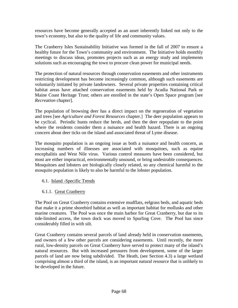resources have become generally accepted as an asset inherently linked not only to the town's economy, but also to the quality of life and community values.

The Cranberry Isles Sustainability Initiative was formed in the fall of 2007 to ensure a healthy future for the Town's community and environment. The Initiative holds monthly meetings to discuss ideas, promotes projects such as an energy study and implements solutions such as encouraging the town to procure clean power for municipal needs.

The protection of natural resources through conservation easements and other instruments restricting development has become increasingly common, although such easements are voluntarily initiated by private landowners. Several private properties containing critical habitat areas have attached conservation easements held by Acadia National Park or Maine Coast Heritage Trust; others are enrolled in the state's Open Space program [see *Recreation* chapter].

The population of browsing deer has a direct impact on the regeneration of vegetation and trees [see *Agriculture and Forest Resources* chapter.] The deer population appears to be cyclical. Periodic hunts reduce the herds, and then the deer repopulate to the point where the residents consider them a nuisance and health hazard. There is an ongoing concern about deer ticks on the island and associated threat of Lyme disease.

The mosquito population is an ongoing issue as both a nuisance and health concern, as increasing numbers of illnesses are associated with mosquitoes, such as equine encephalitis and West Nile virus. Various control measures have been considered, but most are either impractical, environmentally unsound, or bring undesirable consequences. Mosquitoes and lobsters are biologically closely related, so any chemical harmful to the mosquito population is likely to also be harmful to the lobster population.

# 6.1. Island -Specific Trends

6.1.1. Great Cranberry

The Pool on Great Cranberry contains extensive mudflats, eelgrass beds, and aquatic beds that make it a prime shorebird habitat as well as important habitat for mollusks and other marine creatures. The Pool was once the main harbor for Great Cranberry, but due to its tide-limited access, the town dock was moved to Spurling Cove. The Pool has since considerably filled in with silt.

Great Cranberry contains several parcels of land already held in conservation easements, and owners of a few other parcels are considering easements. Until recently, the more rural, low-density parcels on Great Cranberry have served to protect many of the island's natural resources. But with increased pressures from development, some of the larger parcels of land are now being subdivided. The Heath, (see Section 4.3) a large wetland comprising almost a third of the island, is an important natural resource that is unlikely to be developed in the future.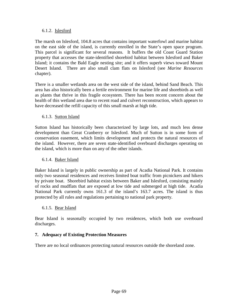#### 6.1.2. Islesford

The marsh on Islesford, 104.8 acres that contains important waterfowl and marine habitat on the east side of the island, is currently enrolled in the State's open space program. This parcel is significant for several reasons. It buffers the old Coast Guard Station property that accesses the state-identified shorebird habitat between Islesford and Baker Island; it contains the Bald Eagle nesting site; and it offers superb views toward Mount Desert Island. There are also small clam flats on Islesford (see *Marine Resources* chapter).

There is a smaller wetlands area on the west side of the island, behind Sand Beach. This area has also historically been a fertile environment for marine life and shorebirds as well as plants that thrive in this fragile ecosystem. There has been recent concern about the health of this wetland area due to recent road and culvert reconstruction, which appears to have decreased the refill capacity of this small marsh at high tide.

# 6.1.3. Sutton Island

Sutton Island has historically been characterized by large lots, and much less dense development than Great Cranberry or Islesford. Much of Sutton is in some form of conservation easement, which limits development and protects the natural resources of the island. However, there are seven state-identified overboard discharges operating on the island, which is more than on any of the other islands.

# 6.1.4. Baker Island

Baker Island is largely in public ownership as part of Acadia National Park. It contains only two seasonal residences and receives limited boat traffic from picnickers and hikers by private boat. Shorebird habitat exists between Baker and Islesford, consisting mainly of rocks and mudflats that are exposed at low tide and submerged at high tide. Acadia National Park currently owns 161.3 of the island's 163.7 acres. The island is thus protected by all rules and regulations pertaining to national park property.

# 6.1.5. Bear Island

Bear Island is seasonally occupied by two residences, which both use overboard discharges.

# **7. Adequacy of Existing Protection Measures**

There are no local ordinances protecting natural resources outside the shoreland zone.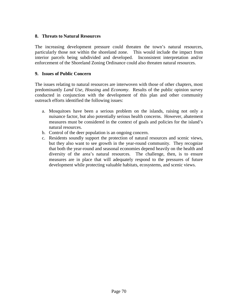#### **8. Threats to Natural Resources**

The increasing development pressure could threaten the town's natural resources, particularly those not within the shoreland zone. This would include the impact from interior parcels being subdivided and developed. Inconsistent interpretation and/or enforcement of the Shoreland Zoning Ordinance could also threaten natural resources.

#### **9. Issues of Public Concern**

The issues relating to natural resources are interwoven with those of other chapters, most predominantly *Land Use*, *Housing* and *Economy*. Results of the public opinion survey conducted in conjunction with the development of this plan and other community outreach efforts identified the following issues:

- a. Mosquitoes have been a serious problem on the islands, raising not only a nuisance factor, but also potentially serious health concerns. However, abatement measures must be considered in the context of goals and policies for the island's natural resources.
- b. Control of the deer population is an ongoing concern.
- c. Residents soundly support the protection of natural resources and scenic views, but they also want to see growth in the year-round community. They recognize that both the year-round and seasonal economies depend heavily on the health and diversity of the area's natural resources. The challenge, then, is to ensure measures are in place that will adequately respond to the pressures of future development while protecting valuable habitats, ecosystems, and scenic views.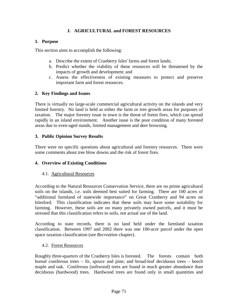# **J. AGRICULTURAL and FOREST RESOURCES**

# **1. Purpose**

This section aims to accomplish the following:

- a. Describe the extent of Cranberry Isles' farms and forest lands;
- b. Predict whether the viability of these resources will be threatened by the impacts of growth and development; and
- c. Assess the effectiveness of existing measures to protect and preserve important farm and forest resources.

# **2. Key Findings and Issues**

There is virtually no large-scale commercial agricultural activity on the islands and very limited forestry. No land is held as either the farm or tree growth areas for purposes of taxation. The major forestry issue in town is the threat of forest fires, which can spread rapidly in an island environment. Another issue is the poor condition of many forested areas due to even-aged stands, limited management and deer browsing.

# **3. Public Opinion Survey Results**

There were no specific questions about agricultural and forestry resources. There were some comments about tree blow downs and the risk of forest fires.

# **4. Overview of Existing Conditions**

# 4.1. Agricultural Resources

According to the Natural Resources Conservation Service, there are no prime agricultural soils on the islands, i.e. soils deemed best suited for farming. There are 100 acres of "additional farmland of statewide importance" on Great Cranberry and 94 acres on Islesford. This classification indicates that these soils may have some suitability for farming. However, these soils are on many privately owned parcels, and it must be stressed that this classification refers to soils, not actual use of the land.

According to state records, there is no land held under the farmland taxation classification. Between 1997 and 2002 there was one 100-acre parcel under the open space taxation classification (see *Recreation* chapter).

# 4.2. Forest Resources

Roughly three-quarters of the Cranberry Isles is forested. The forests contain both boreal coniferous trees – fir, spruce and pine; and broad-leaf deciduous trees – beech maple and oak. Coniferous (softwood) trees are found in much greater abundance than deciduous (hardwood) trees. Hardwood trees are found only in small quantities and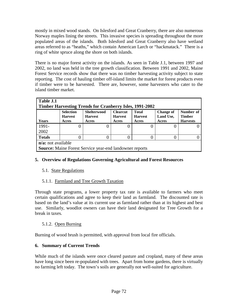mostly in mixed wood stands. On Islesford and Great Cranberry, there are also numerous Norway maples lining the streets. This invasive species is spreading throughout the more populated areas of the islands. Both Islesford and Great Cranberry also have wetland areas referred to as "heaths," which contain American Larch or "hackmatack." There is a ring of white spruce along the shore on both islands.

There is no major forest activity on the islands. As seen in Table J.1, between 1997 and 2002, no land was held in the tree growth classification. Between 1991 and 2002, Maine Forest Service records show that there was no timber harvesting activity subject to state reporting. The cost of hauling timber off-island limits the market for forest products even if timber were to be harvested. There are, however, some harvesters who cater to the island timber market.

| Table J.1<br><b>Timber Harvesting Trends for Cranberry Isles, 1991-2002</b> |                                             |                                                                |                                            |                                         |                                        |                                               |  |  |  |
|-----------------------------------------------------------------------------|---------------------------------------------|----------------------------------------------------------------|--------------------------------------------|-----------------------------------------|----------------------------------------|-----------------------------------------------|--|--|--|
| Years                                                                       | <b>Selection</b><br><b>Harvest</b><br>Acres | <b>Shelterwood</b><br><b>Harvest</b><br>Acres                  | <b>Clearcut</b><br><b>Harvest</b><br>Acres | <b>Total</b><br><b>Harvest</b><br>Acres | <b>Change of</b><br>Land Use,<br>Acres | Number of<br><b>Timber</b><br><b>Harvests</b> |  |  |  |
| 1991-                                                                       |                                             | O                                                              |                                            |                                         |                                        |                                               |  |  |  |
| 2002                                                                        |                                             |                                                                |                                            |                                         |                                        |                                               |  |  |  |
| <b>Totals</b>                                                               |                                             |                                                                |                                            |                                         |                                        |                                               |  |  |  |
| $n/a$ : not available                                                       |                                             |                                                                |                                            |                                         |                                        |                                               |  |  |  |
|                                                                             |                                             | <b>Source:</b> Maine Forest Service year-end landowner reports |                                            |                                         |                                        |                                               |  |  |  |

# **5. Overview of Regulations Governing Agricultural and Forest Resources**

# 5.1. State Regulations

# 5.1.1. Farmland and Tree Growth Taxation

Through state programs, a lower property tax rate is available to farmers who meet certain qualifications and agree to keep their land as farmland. The discounted rate is based on the land's value at its current use as farmland rather than at its highest and best use. Similarly, woodlot owners can have their land designated for Tree Growth for a break in taxes.

# 5.1.2. Open Burning

Burning of wood brush is permitted, with approval from local fire officials.

# **6. Summary of Current Trends**

While much of the islands were once cleared pasture and cropland, many of these areas have long since been re-populated with trees. Apart from home gardens, there is virtually no farming left today. The town's soils are generally not well-suited for agriculture.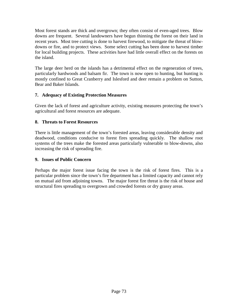Most forest stands are thick and overgrown; they often consist of even-aged trees. Blow downs are frequent. Several landowners have begun thinning the forest on their land in recent years. Most tree cutting is done to harvest firewood, to mitigate the threat of blowdowns or fire, and to protect views. Some select cutting has been done to harvest timber for local building projects. These activities have had little overall effect on the forests on the island.

The large deer herd on the islands has a detrimental effect on the regeneration of trees, particularly hardwoods and balsam fir. The town is now open to hunting, but hunting is mostly confined to Great Cranberry and Islesford and deer remain a problem on Sutton, Bear and Baker Islands.

# **7. Adequacy of Existing Protection Measures**

Given the lack of forest and agriculture activity, existing measures protecting the town's agricultural and forest resources are adequate.

# **8. Threats to Forest Resources**

There is little management of the town's forested areas, leaving considerable density and deadwood, conditions conducive to forest fires spreading quickly. The shallow root systems of the trees make the forested areas particularly vulnerable to blow-downs, also increasing the risk of spreading fire.

# **9. Issues of Public Concern**

Perhaps the major forest issue facing the town is the risk of forest fires. This is a particular problem since the town's fire department has a limited capacity and cannot rely on mutual aid from adjoining towns. The major forest fire threat is the risk of house and structural fires spreading to overgrown and crowded forests or dry grassy areas.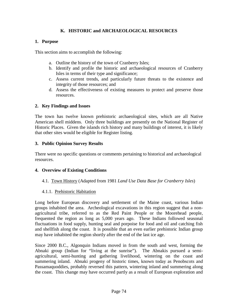# **K. HISTORIC and ARCHAEOLOGICAL RESOURCES**

# **1. Purpose**

This section aims to accomplish the following:

- a. Outline the history of the town of Cranberry Isles;
- b. Identify and profile the historic and archaeological resources of Cranberry Isles in terms of their type and significance;
- c. Assess current trends, and particularly future threats to the existence and integrity of those resources; and
- d. Assess the effectiveness of existing measures to protect and preserve those resources.

# **2. Key Findings and Issues**

The town has twelve known prehistoric archaeological sites, which are all Native American shell middens. Only three buildings are presently on the National Register of Historic Places. Given the islands rich history and many buildings of interest, it is likely that other sites would be eligible for Register listing.

# **3. Public Opinion Survey Results**

There were no specific questions or comments pertaining to historical and archaeological resources.

# **4. Overview of Existing Conditions**

# 4.1. Town History (Adapted from 1981 *Land Use Data Base for Cranberry Isles*)

# 4.1.1. Prehistoric Habitation

Long before European discovery and settlement of the Maine coast, various Indian groups inhabited the area. Archeological excavations in this region suggest that a nonagricultural tribe, referred to as the Red Paint People or the Moorehead people, frequented the region as long as 5,000 years ago. These Indians followed seasonal fluctuations in food supply, hunting seal and porpoise for food and oil and catching fish and shellfish along the coast. It is possible that an even earlier prehistoric Indian group may have inhabited the region shortly after the end of the last ice age.

Since 2000 B.C., Algonquin Indians moved in from the south and west, forming the Abnaki group (Indian for "living at the sunrise"). The Abnakis pursued a semiagricultural, semi-hunting and gathering livelihood, wintering on the coast and summering inland. Abnaki progeny of historic times, known today as Penobscots and Passamaquoddies, probably reversed this pattern, wintering inland and summering along the coast. This change may have occurred partly as a result of European exploration and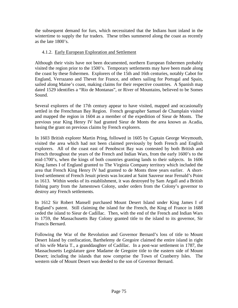the subsequent demand for furs, which necessitated that the Indians hunt inland in the wintertime to supply the fur traders. These tribes summered along the coast as recently as the late 1800's.

# 4.1.2. Early European Exploration and Settlement

Although their visits have not been documented, northern European fishermen probably visited the region prior to the 1500's. Temporary settlements may have been made along the coast by these fishermen. Explorers of the 15th and 16th centuries, notably Cabot for England, Verrazano and Thevet for France, and others sailing for Portugal and Spain, sailed along Maine's coast, making claims for their respective countries. A Spanish map dated 1529 identifies a "Rio de Montanas", or River of Mountains, believed to be Somes Sound.

Several explorers of the 17th century appear to have visited, mapped and occasionally settled in the Frenchman Bay Region. French geographer Samuel de Champlain visited and mapped the region in 1604 as a member of the expedition of Sieur de Monts. The previous year King Henry IV had granted Sieur de Monts the area known as Acadia, basing the grant on previous claims by French explorers.

In 1603 British explorer Martin Pring, followed in 1605 by Captain George Weymouth, visited the area which had not been claimed previously by both French and English explorers. All of the coast east of Penobscot Bay was contested by both British and French throughout the years of the French and Indian Wars, from the early 1600's to the mid-1700's, when the kings of both countries granting lands to their subjects. In 1606 King James I of England granted to The Virginia Company territory which included the area that French King Henry IV had granted to de Monts three years earlier. A shortlived settlement of French Jesuit priests was located at Saint Sauveur near Fernald's Point in 1613. Within weeks of its establishment, it was destroyed by Sam Argall and a British fishing party from the Jamestown Colony, under orders from the Colony's governor to destroy any French settlements.

In 1612 Sir Robert Mansell purchased Mount Desert Island under King James I of England's patent. Still claiming the island for the French, the King of France in 1688 ceded the island to Sieur de Cadillac. Then, with the end of the French and Indian Wars in 1759, the Massachusetts Bay Colony granted title to the island to its governor, Sir Francis Bernard.

Following the War of the Revolution and Governor Bernard's loss of title to Mount Desert Island by confiscation, Barthelemy de Gregoire claimed the entire island in right of his wife Maria T., a granddaughter of Cadillac. In a post-war settlement in 1787, the Massachusetts Legislature gave Madame de Gregoire title to the eastern side of Mount Desert; including the islands that now comprise the Town of Cranberry Isles. The western side of Mount Desert was deeded to the son of Governor Bernard.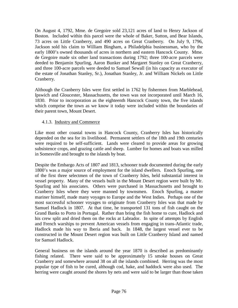On August 4, 1792, Mme. de Gregoire sold 23,121 acres of land to Henry Jackson of Boston. Included within this parcel were the whole of Baker, Sutton, and Bear Islands, 73 acres on Little Cranberry, and 490 acres on Great Cranberry. On July 9, 1796, Jackson sold his claim to William Bingham, a Philadelphia businessman, who by the early 1800's owned thousands of acres in northern and eastern Hancock County. Mme. de Gregoire made six other land transactions during 1792; three 100-acre parcels were deeded to Benjamin Spurling, Aaron Bunker and Margaret Stanley on Great Cranberry, and three 100-acre parcels were deeded to Samuel Sewall (in his capacity as executor of the estate of Jonathan Stanley, Sr.), Jonathan Stanley, Jr. and William Nickels on Little Cranberry.

Although the Cranberry Isles were first settled in 1762 by fishermen from Marblehead, Ipswich and Gloucester, Massachusetts, the town was not incorporated until March 16, 1830. Prior to incorporation as the eighteenth Hancock County town, the five islands which comprise the town as we know it today were included within the boundaries of their parent town, Mount Desert.

# 4.1.3. Industry and Commerce

Like most other coastal towns in Hancock County, Cranberry Isles has historically depended on the sea for its livelihood. Permanent settlers of the 18th and 19th centuries were required to be self-sufficient. Lands were cleared to provide areas for growing subsistence crops, and grazing cattle and sheep. Lumber for homes and boats was milled in Somesville and brought to the islands by boat.

Despite the Embargo Acts of 1807 and 1813, schooner trade documented during the early 1800's was a major source of employment for the island dwellers. Enoch Spurling, one of the first three selectmen of the town of Cranberry Isles, held substantial interest in vessel property. Many of the vessels built in the Mount Desert region were built by Mr. Spurling and his associates. Others were purchased in Massachusetts and brought to Cranberry Isles where they were manned by townsmen. Enoch Spurling, a master mariner himself, made many voyages to Europe and the West Indies. Perhaps one of the most successful schooner voyages to originate from Cranberry Isles was that made by Samuel Hadlock in 1807. At that time, he transported 131 tons of fish caught on the Grand Banks to Porto in Portugal. Rather than bring the fish home to cure, Hadlock and his crew split and dried them on the rocks at Labrador. In spite of attempts by English and French warships to prevent American vessels from engaging in trans-Atlantic trade, Hadlock made his way to Iberia and back. In 1848, the largest vessel ever to be constructed in the Mount Desert region was built on Little Cranberry Island and named for Samuel Hadlock.

General business on the islands around the year 1870 is described as predominantly fishing related. There were said to be approximately 15 smoke houses on Great Cranberry and somewhere around 38 on all the islands combined. Herring was the most popular type of fish to be cured, although cod, hake, and haddock were also used. The herring were caught around the shores by nets and were said to be larger than those taken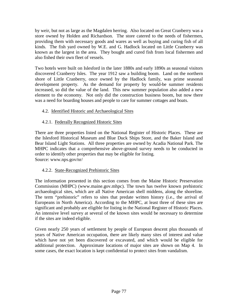by weir, but not as large as the Magdalen herring. Also located on Great Cranberry was a store owned by Holden and Richardson. The store catered to the needs of fishermen, providing them with necessary goods and wares as well as buying and curing fish of all kinds. The fish yard owned by W.E. and G. Hadlock located on Little Cranberry was known as the largest in the area. They bought and cured fish from local fishermen and also fished their own fleet of vessels.

Two hotels were built on Islesford in the later 1880s and early 1890s as seasonal visitors discovered Cranberry Isles. The year 1912 saw a building boom. Land on the northern shore of Little Cranberry, once owned by the Hadlock family, was prime seasonal development property. As the demand for property by would-be summer residents increased, so did the value of the land. This new summer population also added a new element to the economy. Not only did the construction business boom, but now there was a need for boarding houses and people to care for summer cottages and boats.

# 4.2. Identified Historic and Archaeological Sites

# 4.2.1. Federally Recognized Historic Sites

There are three properties listed on the National Register of Historic Places. These are the Islesford Historical Museum and Blue Duck Ships Store, and the Baker Island and Bear Island Light Stations. All three properties are owned by Acadia National Park. The MHPC indicates that a comprehensive above-ground survey needs to be conducted in order to identify other properties that may be eligible for listing. Source: www.nps.gov/nr/

# 4.2.2. State-Recognized Prehistoric Sites

The information presented in this section comes from the Maine Historic Preservation Commission (MHPC) (www.maine.gov.mhpc). The town has twelve known prehistoric archaeological sites, which are all Native American shell middens, along the shoreline. The term "prehistoric" refers to sites that predate written history (i.e., the arrival of Europeans in North America). According to the MHPC, at least three of these sites are significant and probably are eligible for listing in the National Register of Historic Places. An intensive level survey at several of the known sites would be necessary to determine if the sites are indeed eligible.

Given nearly 250 years of settlement by people of European descent plus thousands of years of Native American occupation, there are likely many sites of interest and value which have not yet been discovered or excavated, and which would be eligible for additional protection. Approximate locations of major sites are shown on Map 4. In some cases, the exact location is kept confidential to protect sites from vandalism.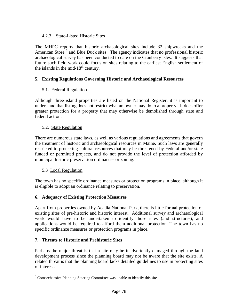# 4.2.3 State-Listed Historic Sites

The MHPC reports that historic archaeological sites include 32 shipwrecks and the American Store <sup>[6](#page-87-0)</sup> and Blue Duck sites. The agency indicates that no professional historic archaeological survey has been conducted to date on the Cranberry Isles. It suggests that future such field work could focus on sites relating to the earliest English settlement of the islands in the mid- $18<sup>th</sup>$  century.

# **5. Existing Regulations Governing Historic and Archaeological Resources**

# 5.1. Federal Regulation

Although three island properties are listed on the National Register, it is important to understand that listing does not restrict what an owner may do to a property. It does offer greater protection for a property that may otherwise be demolished through state and federal action.

# 5.2. State Regulation

There are numerous state laws, as well as various regulations and agreements that govern the treatment of historic and archaeological resources in Maine. Such laws are generally restricted to protecting cultural resources that may be threatened by Federal and/or state funded or permitted projects, and do not provide the level of protection afforded by municipal historic preservation ordinances or zoning.

# 5.3 Local Regulation

The town has no specific ordinance measures or protection programs in place, although it is eligible to adopt an ordinance relating to preservation.

# **6. Adequacy of Existing Protection Measures**

Apart from properties owned by Acadia National Park, there is little formal protection of existing sites of pre-historic and historic interest. Additional survey and archaeological work would have to be undertaken to identify those sites (and structures), and applications would be required to afford them additional protection. The town has no specific ordinance measures or protection programs in place.

# **7. Threats to Historic and Prehistoric Sites**

Perhaps the major threat is that a site may be inadvertently damaged through the land development process since the planning board may not be aware that the site exists. A related threat is that the planning board lacks detailed guidelines to use in protecting sites of interest.

<span id="page-87-0"></span><sup>&</sup>lt;sup>6</sup> Comprehensive Planning Steering Committee was unable to identify this site.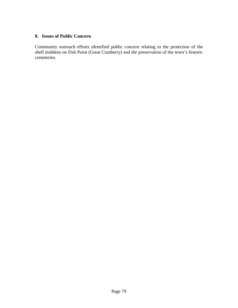#### **8. Issues of Public Concern**

Community outreach efforts identified public concern relating to the protection of the shell middens on Fish Point (Great Cranberry) and the preservation of the town's historic cemeteries.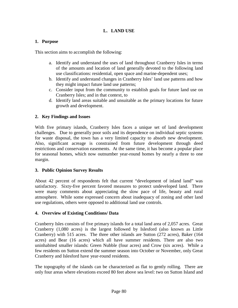# **L. LAND USE**

# **1. Purpose**

This section aims to accomplish the following:

- a. Identify and understand the uses of land throughout Cranberry Isles in terms of the amounts and location of land generally devoted to the following land use classifications: residential, open space and marine-dependent uses;
- b. Identify and understand changes in Cranberry Isles' land use patterns and how they might impact future land use patterns;
- c. Consider input from the community to establish goals for future land use on Cranberry Isles; and in that context, to
- d. Identify land areas suitable and unsuitable as the primary locations for future growth and development.

# **2. Key Findings and Issues**

With five primary islands, Cranberry Isles faces a unique set of land development challenges. Due to generally poor soils and its dependence on individual septic systems for waste disposal, the town has a very limited capacity to absorb new development. Also, significant acreage is constrained from future development through deed restrictions and conservation easements. At the same time, it has become a popular place for seasonal homes, which now outnumber year-round homes by nearly a three to one margin.

# **3. Public Opinion Survey Results**

About 42 percent of respondents felt that current "development of inland land" was satisfactory. Sixty-five percent favored measures to protect undeveloped land. There were many comments about appreciating the slow pace of life, beauty and rural atmosphere. While some expressed concern about inadequacy of zoning and other land use regulations, others were opposed to additional land use controls.

# **4. Overview of Existing Conditions/ Data**

Cranberry Isles consists of five primary islands for a total land area of 2,057 acres. Great Cranberry (1,080 acres) is the largest followed by Islesford (also known as Little Cranberry) with 515 acres. The three other islands are Sutton (272 acres), Baker (164 acres) and Bear (16 acres) which all have summer residents. There are also two uninhabited smaller islands: Green Nubble (four acres) and Crow (six acres). While a few residents on Sutton extend the summer season into October or November, only Great Cranberry and Islesford have year-round residents.

The topography of the islands can be characterized as flat to gently rolling. There are only four areas where elevations exceed 80 feet above sea level: two on Sutton Island and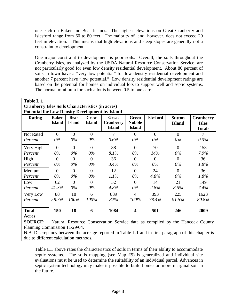one each on Baker and Bear Islands. The highest elevations on Great Cranberry and Islesford range from 60 to 80 feet. The majority of land, however, does not exceed 20 feet in elevation. This means that high elevations and steep slopes are generally not a constraint to development.

One major constraint to development is poor soils. Overall, the soils throughout the Cranberry Isles, as analyzed by the USDA Natural Resource Conservation Service, are not particularly good for even low density residential development. About 80 percent of soils in town have a "very low potential" for low density residential development and another 7 percent have "low potential." Low density residential development ratings are based on the potential for homes on individual lots to support well and septic systems. The normal minimum for such a lot is between 0.5 to one acre.

| Table L.1                                              |                                                         |                |                |                  |                         |                  |                |                  |  |
|--------------------------------------------------------|---------------------------------------------------------|----------------|----------------|------------------|-------------------------|------------------|----------------|------------------|--|
|                                                        | <b>Cranberry Isles Soils Characteristics (in acres)</b> |                |                |                  |                         |                  |                |                  |  |
| <b>Potential for Low Density Development by Island</b> |                                                         |                |                |                  |                         |                  |                |                  |  |
| Rating                                                 | <b>Baker</b>                                            | <b>Bear</b>    | <b>Crow</b>    | <b>Great</b>     | <b>Green</b>            | <b>Islesford</b> | <b>Sutton</b>  | <b>Cranberry</b> |  |
|                                                        | <b>Island</b>                                           | <b>Island</b>  | <b>Island</b>  | <b>Cranberry</b> | <b>Nubble</b>           |                  | <b>Island</b>  | <b>Isles</b>     |  |
|                                                        |                                                         |                |                | <b>Island</b>    | <b>Island</b>           |                  |                | <b>Totals</b>    |  |
| <b>Not Rated</b>                                       | $\overline{0}$                                          | $\overline{0}$ | $\overline{0}$ | $\overline{7}$   | $\theta$                | $\overline{0}$   | $\overline{0}$ | 7                |  |
| Percent                                                | $0\%$                                                   | $0\%$          | $0\%$          | 0.6%             | $0\%$                   | $0\%$            | $0\%$          | 0.3%             |  |
| Very High                                              | $\Omega$                                                | $\theta$       | $\Omega$       | 88               | $\theta$                | 70               | $\Omega$       | 158              |  |
| Percent                                                | $0\%$                                                   | $0\%$          | $0\%$          | 8.1%             | $0\%$                   | 14%              | $0\%$          | 7.9%             |  |
| High                                                   | $\overline{0}$                                          | $\overline{0}$ | $\Omega$       | 36               | $\Omega$                | $\theta$         | $\overline{0}$ | 36               |  |
| Percent                                                | $0\%$                                                   | $0\%$          | $0\%$          | 3.4%             | $0\%$                   | $0\%$            | $0\%$          | 1.8%             |  |
| Medium                                                 | $\Omega$                                                | $\theta$       | $\Omega$       | 12               | $\overline{0}$          | 24               | $\Omega$       | 36               |  |
| Percent                                                | $0\%$                                                   | $0\%$          | $0\%$          | 1.1%             | $0\%$                   | 4.8%             | $0\%$          | 1.8%             |  |
| Low                                                    | 62                                                      | $\overline{0}$ | $\Omega$       | 52               | $\Omega$                | 14               | 21             | 149              |  |
| Percent                                                | 41.3%                                                   | $0\%$          | $0\%$          | 4.8%             | $0\%$                   | 2.8%             | 8.5%           | 7.4%             |  |
| Very Low                                               | 88                                                      | 18             | 6              | 889              | $\overline{4}$          | 393              | 225            | 1623             |  |
| Percent                                                | 58.7%                                                   | 100%           | 100%           | 82%              | 100%                    | 78.4%            | 91.5%          | 80.8%            |  |
|                                                        |                                                         |                |                |                  |                         |                  |                |                  |  |
| <b>Total</b>                                           | 150                                                     | 18             | 6              | 1084             | $\overline{\mathbf{4}}$ | 501              | 246            | 2009             |  |
| Acres                                                  |                                                         |                |                |                  |                         |                  |                |                  |  |

**SOURCE:** Natural Resource Conservation Service data as compiled by the Hancock County Planning Commission 11/29/04.

N.B. Discrepancy between the acreage reported in Table L.1 and in first paragraph of this chapter is due to different calculation methods.

Table L.1 above rates the characteristics of soils in terms of their ability to accommodate septic systems. The soils mapping (see Map #5) is generalized and individual site evaluations must be used to determine the suitability of an individual parcel. Advances in septic system technology may make it possible to build homes on more marginal soil in the future.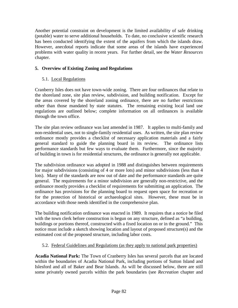Another potential constraint on development is the limited availability of safe drinking (potable) water to serve additional households. To date, no conclusive scientific research has been conducted identifying the extent of the aquifers from which the islands draw. However, anecdotal reports indicate that some areas of the islands have experienced problems with water quality in recent years. For further detail, see the *Water Resources* chapter.

# **5. Overview of Existing Zoning and Regulations**

# 5.1. Local Regulations

Cranberry Isles does not have town-wide zoning. There are four ordinances that relate to the shoreland zone, site plan review, subdivision, and building notification. Except for the areas covered by the shoreland zoning ordinance, there are no further restrictions other than those mandated by state statutes. The remaining existing local land use regulations are outlined below; complete information on all ordinances is available through the town office.

The site plan review ordinance was last amended in 1987. It applies to multi-family and non-residential uses, not to single-family residential uses. As written, the site plan review ordinance mostly provides a checklist of necessary application materials and a fairly general standard to guide the planning board in its review. The ordinance lists performance standards but few ways to evaluate them. Furthermore, since the majority of building in town is for residential structures, the ordinance is generally not applicable.

The subdivision ordinance was adopted in 1988 and distinguishes between requirements for major subdivisions (consisting of 4 or more lots) and minor subdivisions (less than 4 lots). Many of the standards are now out of date and the performance standards are quite general. The requirements for a minor subdivision are generally non-restrictive, and the ordinance mostly provides a checklist of requirements for submitting an application. The ordinance has provisions for the planning board to request open space for recreation or for the protection of historical or archaeological sites. However, these must be in accordance with those needs identified in the comprehensive plan.

The building notification ordinance was enacted in 1989. It requires that a notice be filed with the town clerk before construction is begun on any structure, defined as "a building, buildings or portions thereof, constructed with a fixed location on or in the ground." This notice must include a sketch showing location and layout of proposed structure(s) and the estimated cost of the proposed structure, including labor costs.

# 5.2. Federal Guidelines and Regulations (as they apply to national park properties)

**Acadia National Park:** The Town of Cranberry Isles has several parcels that are located within the boundaries of Acadia National Park, including portions of Sutton Island and Islesford and all of Baker and Bear Islands. As will be discussed below, there are still some privately owned parcels within the park boundaries (see *Recreation* chapter and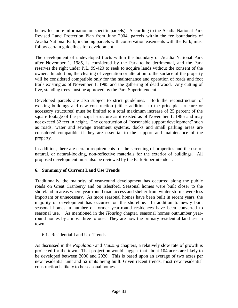below for more information on specific parcels). According to the Acadia National Park Revised Land Protection Plan from June 2004, parcels within the fee boundaries of Acadia National Park, including parcels with conservation easements with the Park, must follow certain guidelines for development.

The development of undeveloped tracts within the boundary of Acadia National Park after November 1, 1985, is considered by the Park to be detrimental, and the Park reserves the right under P.L. 99-420 to seek to acquire lands without the consent of the owner. In addition, the clearing of vegetation or alteration to the surface of the property will be considered compatible only for the maintenance and operation of roads and foot trails existing as of November 1, 1985 and the gathering of dead wood. Any cutting of live, standing trees must be approved by the Park Superintendent.

Developed parcels are also subject to strict guidelines. Both the reconstruction of existing buildings and new construction (either additions to the principle structure or accessory structures) must be limited to a total maximum increase of 25 percent of the square footage of the principal structure as it existed as of November 1, 1985 and may not exceed 32 feet in height. The construction of "reasonable support development" such as roads, water and sewage treatment systems, docks and small parking areas are considered compatible if they are essential to the support and maintenance of the property.

In addition, there are certain requirements for the screening of properties and the use of natural, or natural-looking, non-reflective materials for the exterior of buildings. All proposed development must also be reviewed by the Park Superintendent.

# **6. Summary of Current Land Use Trends**

Traditionally, the majority of year-round development has occurred along the public roads on Great Cranberry and on Islesford. Seasonal homes were built closer to the shoreland in areas where year-round road access and shelter from winter storms were less important or unnecessary. As more seasonal homes have been built in recent years, the majority of development has occurred on the shoreline. In addition to newly built seasonal homes, a number of former year-round residences have been converted to seasonal use. As mentioned in the *Housing* chapter, seasonal homes outnumber yearround homes by almost three to one. They are now the primary residential land use in town.

# 6.1. Residential Land Use Trends

As discussed in the *Population* and *Housing* chapters, a relatively slow rate of growth is projected for the town. That projection would suggest that about 104 acres are likely to be developed between 2000 and 2020. This is based upon an average of two acres per new residential unit and 52 units being built. Given recent trends, most new residential construction is likely to be seasonal homes.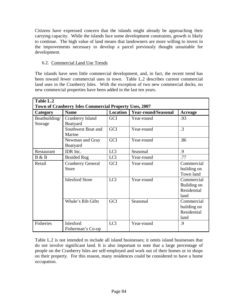Citizens have expressed concern that the islands might already be approaching their carrying capacity. While the islands face some development constraints, growth is likely to continue. The high value of land means that landowners are more willing to invest in the improvements necessary to develop a parcel previously thought unsuitable for development.

# 6.2. Commercial Land Use Trends

The islands have seen little commercial development, and, in fact, the recent trend has been toward fewer commercial uses in town. Table L.2 describes current commercial land uses in the Cranberry Isles. With the exception of two new commercial docks, no new commercial properties have been added in the last ten years.

| Table L.2                | Town of Cranberry Isles Commercial Property Uses, 2007 |                 |                            |                                                  |  |  |
|--------------------------|--------------------------------------------------------|-----------------|----------------------------|--------------------------------------------------|--|--|
| Category                 | <b>Name</b>                                            | <b>Location</b> | <b>Year-round/Seasonal</b> | <b>Acreage</b>                                   |  |  |
| Boatbuilding/<br>Storage | <b>Cranberry Island</b><br>Boatyard                    | <b>GCI</b>      | Year-round                 | .93                                              |  |  |
|                          | Southwest Boat and<br>Marine                           | GCI             | Year-round                 | $\cdot$ 3                                        |  |  |
|                          | Newman and Gray<br>Boatyard                            | GCI             | Year-round                 | .86                                              |  |  |
| Restaurant               | IDR Inc.                                               | <b>LCI</b>      | Seasonal                   | .9                                               |  |  |
| B & B                    | <b>Braided Rug</b>                                     | LCI             | Year-round                 | .77                                              |  |  |
| Retail                   | <b>Cranberry General</b><br><b>Store</b>               | GCI             | Year-round                 | Commercial<br>building on<br>Town land           |  |  |
|                          | <b>Islesford Store</b>                                 | <b>LCI</b>      | Year-round                 | Commercial<br>Building on<br>Residential<br>land |  |  |
|                          | Whale's Rib Gifts                                      | <b>GCI</b>      | Seasonal                   | Commercial<br>building on<br>Residential<br>land |  |  |
| Fisheries                | Islesford<br>Fisherman's Co-op                         | <b>LCI</b>      | Year-round                 | .9                                               |  |  |

Table L.2 is not intended to include all island businesses; it omits island businesses that do not involve significant land. It is also important to note that a large percentage of people on the Cranberry Isles are self-employed and work out of their homes or in shops on their property. For this reason, many residences could be considered to have a home occupation.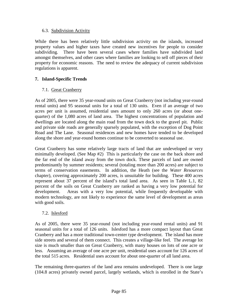#### 6.3. Subdivision Activity

While there has been relatively little subdivision activity on the islands, increased property values and higher taxes have created new incentives for people to consider subdividing. There have been several cases where families have subdivided land amongst themselves, and other cases where families are looking to sell off pieces of their property for economic reasons. The need to review the adequacy of current subdivision regulations is apparent.

# **7. Island-Specific Trends**

# 7.1. Great Cranberry

As of 2005, there were 35 year-round units on Great Cranberry (not including year-round rental units) and 95 seasonal units for a total of 130 units. Even if an average of two acres per unit is assumed, residential uses amount to only 260 acres (or about onequarter) of the 1,080 acres of land area. The highest concentrations of population and dwellings are located along the main road from the town dock to the gravel pit. Public and private side roads are generally sparsely populated, with the exception of Dog Point Road and The Lane. Seasonal residences and new homes have tended to be developed along the shore and year-round homes continue to be converted to seasonal use.

Great Cranberry has some relatively large tracts of land that are undeveloped or very minimally developed. (See Map #2) This is particularly the case on the back shore and the far end of the island away from the town dock. These parcels of land are owned predominantly by summer residents; several (totaling more than 200 acres) are subject to terms of conservation easements. In addition, the Heath (see the *Water Resources* chapter), covering approximately 200 acres, is unsuitable for building. These 400 acres represent about 37 percent of the island's total land area. As seen in Table L.1, 82 percent of the soils on Great Cranberry are ranked as having a very low potential for development. Areas with a very low potential, while frequently developable with modern technology, are not likely to experience the same level of development as areas with good soils.

# 7.2. Islesford

As of 2005, there were 35 year-round (not including year-round rental units) and 91 seasonal units for a total of 126 units. Islesford has a more compact layout than Great Cranberry and has a more traditional town-center type development. The island has more side streets and several of them connect. This creates a village-like feel. The average lot size is much smaller than on Great Cranberry, with many houses on lots of one acre or less. Assuming an average of one acre per unit, residential uses account for 126 acres of the total 515 acres. Residential uses account for about one-quarter of all land area.

The remaining three-quarters of the land area remains undeveloped. There is one large (104.8 acres) privately owned parcel, largely wetlands, which is enrolled in the State's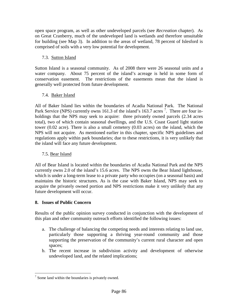open space program, as well as other undeveloped parcels (see *Recreation* chapter). As on Great Cranberry, much of the undeveloped land is wetlands and therefore unsuitable for building (see Map 3). In addition to the areas of wetland, 78 percent of Islesford is comprised of soils with a very low potential for development.

# 7.3. Sutton Island

Sutton Island is a seasonal community. As of 2008 there were 26 seasonal units and a water company. About 75 percent of the island's acreage is held in some form of conservation easement. The restrictions of the easements mean that the island is generally well protected from future development.

# 7.4. Baker Island

All of Baker Island lies within the boundaries of Acadia National Park. The National Park Service (NPS) currently owns 161.3 of the island's 163.[7](#page-95-0) acres  $\frac{7}{1}$ . There are four inholdings that the NPS may seek to acquire: three privately owned parcels (2.34 acres total), two of which contain seasonal dwellings, and the U.S. Coast Guard light station tower (0.02 acre). There is also a small cemetery (0.03 acres) on the island, which the NPS will not acquire. As mentioned earlier in this chapter, specific NPS guidelines and regulations apply within park boundaries; due to these restrictions, it is very unlikely that the island will face any future development.

# 7.5. Bear Island

All of Bear Island is located within the boundaries of Acadia National Park and the NPS currently owns 2.0 of the island's 15.6 acres. The NPS owns the Bear Island lighthouse, which is under a long-term lease to a private party who occupies (on a seasonal basis) and maintains the historic structures. As is the case with Baker Island, NPS may seek to acquire the privately owned portion and NPS restrictions make it very unlikely that any future development will occur.

# **8. Issues of Public Concern**

Results of the public opinion survey conducted in conjunction with the development of this plan and other community outreach efforts identified the following issues:

- a. The challenge of balancing the competing needs and interests relating to land use, particularly those supporting a thriving year-round community and those supporting the preservation of the community's current rural character and open spaces;
- b. The recent increase in subdivision activity and development of otherwise undeveloped land, and the related implications;

<span id="page-95-0"></span> $<sup>7</sup>$  Some land within the boundaries is privately owned.</sup>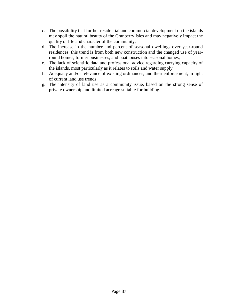- c. The possibility that further residential and commercial development on the islands may spoil the natural beauty of the Cranberry Isles and may negatively impact the quality of life and character of the community;
- d. The increase in the number and percent of seasonal dwellings over year-round residences: this trend is from both new construction and the changed use of yearround homes, former businesses, and boathouses into seasonal homes;
- e. The lack of scientific data and professional advice regarding carrying capacity of the islands, most particularly as it relates to soils and water supply;
- f. Adequacy and/or relevance of existing ordinances, and their enforcement, in light of current land use trends;
- g. The intensity of land use as a community issue, based on the strong sense of private ownership and limited acreage suitable for building.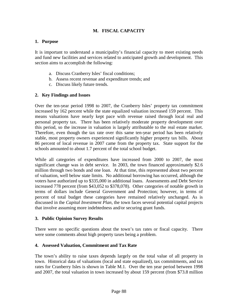# **M. FISCAL CAPACITY**

#### **1. Purpose**

It is important to understand a municipality's financial capacity to meet existing needs and fund new facilities and services related to anticipated growth and development. This section aims to accomplish the following:

- a. Discuss Cranberry Isles' fiscal conditions;
- b. Assess recent revenue and expenditure trends; and
- c. Discuss likely future trends.

#### **2. Key Findings and Issues**

Over the ten-year period 1998 to 2007, the Cranberry Isles' property tax commitment increased by 162 percent while the state equalized valuation increased 159 percent. This means valuations have nearly kept pace with revenue raised through local real and personal property tax. There has been relatively moderate property development over this period, so the increase in valuation is largely attributable to the real estate market. Therefore, even though the tax rate over this same ten-year period has been relatively stable, most property owners experienced significantly higher property tax bills. About 86 percent of local revenue in 2007 came from the property tax. State support for the schools amounted to about 1.7 percent of the total school budget.

While all categories of expenditures have increased from 2000 to 2007, the most significant change was in debt service. In 2003, the town financed approximately \$2.6 million through two bonds and one loan. At that time, this represented about two percent of valuation, well below state limits. No additional borrowing has occurred, although the voters have authorized up to \$335,000 in additional loans. Assessments and Debt Service increased 778 percent (from \$43,052 to \$378,078). Other categories of notable growth in terms of dollars include General Government and Protection; however, in terms of percent of total budget these categories have remained relatively unchanged. As is discussed in the *Capital Investment Plan*, the town faces several potential capital projects that involve assuming more indebtedness and/or securing grant funds.

#### **3. Public Opinion Survey Results**

There were no specific questions about the town's tax rates or fiscal capacity. There were some comments about high property taxes being a problem.

#### **4. Assessed Valuation, Commitment and Tax Rate**

The town's ability to raise taxes depends largely on the total value of all property in town. Historical data of valuations (local and state equalized), tax commitments, and tax rates for Cranberry Isles is shown in Table M.1. Over the ten year period between 1998 and 2007, the total valuation in town increased by about 159 percent (from \$73.8 million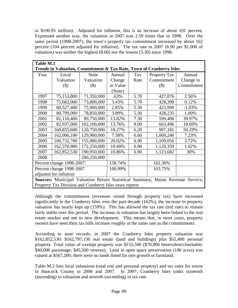to \$190.95 million). Adjusted for inflation, this is an increase of about 101 percent. Expressed another way, the valuation in 2007 was 2.59 times that in 1998. Over the same period (1998-2007), the town's property tax commitment increased by about 162 percent (104 percent adjusted for inflation). The tax rate in 2007 (6.90 per \$1,000 of valuation) was neither the highest (8.00) nor the lowest (5.30) since 1998.

| <b>Table M.1</b>          |                                                                                                                                           |              |          |      |                                                                     |            |  |  |
|---------------------------|-------------------------------------------------------------------------------------------------------------------------------------------|--------------|----------|------|---------------------------------------------------------------------|------------|--|--|
|                           |                                                                                                                                           |              |          |      | Trends in Valuation, Commitment & Tax Rate, Town of Cranberry Isles |            |  |  |
| Year                      | Local                                                                                                                                     | <b>State</b> | Annual   | Tax  | Property Tax                                                        | Annual     |  |  |
|                           | Valuation                                                                                                                                 | Valuation    | Change   | Rate | Commitment                                                          | Change in  |  |  |
|                           | $($ \$)                                                                                                                                   | $($ \$)      | in Value |      | \$)                                                                 | Commitment |  |  |
|                           |                                                                                                                                           |              | (State)  |      |                                                                     |            |  |  |
| 1997                      | 75,153,800                                                                                                                                | 71,350,000   | .63%     | 5.70 | 427,876                                                             | 2.56%      |  |  |
| 1998                      | 75,682,000                                                                                                                                | 73,800,000   | 3.43%    | 5.70 | 428,399                                                             | 0.12%      |  |  |
| 1999                      | 80,527,400                                                                                                                                | 75,900,000   | 2.85%    | 5.30 | 423,990                                                             | $-1.03%$   |  |  |
| 2000                      | 80,799,000                                                                                                                                | 78,850,000   | 3.89%    | 5.30 | 428,235                                                             | 1.00%      |  |  |
| 2001                      | 82,110,400                                                                                                                                | 89,750,000   | 13.82%   | 7.30 | 599,406                                                             | 39.97%     |  |  |
| 2002                      | 82,937,000                                                                                                                                | 102,100,000  | 13.76%   | 8.00 | 663,496                                                             | 10.69%     |  |  |
| 2003                      | 160,835,600                                                                                                                               | 120,750,000  | 18.27%   | 6.20 | 997,181                                                             | 50.29%     |  |  |
| 2004                      | 162,006,100                                                                                                                               | 129,900,000  | 7.58%    | 6.60 | 1,069,240                                                           | 7.23%      |  |  |
| 2005                      | 160,732,700                                                                                                                               | 155,900,000  | 20.02%   | 6.90 | 1,109,056                                                           | 3.72%      |  |  |
| 2006                      | 162,370,900                                                                                                                               | 172,250,000  | 10.49%   | 6.90 | 1,120,359                                                           | 1.02%      |  |  |
| 2007                      | 162,852,530                                                                                                                               | 190,950,000  | 10.86%   | 6.90 | 1,123,682                                                           | .30%       |  |  |
| 2008                      |                                                                                                                                           | 200,250,000  |          |      |                                                                     |            |  |  |
| Percent change 1998-2007: |                                                                                                                                           |              | 158.74%  |      | 162.30%                                                             |            |  |  |
| Percent change 1998-2007  |                                                                                                                                           |              | 100.99%  |      | 103.75%                                                             |            |  |  |
|                           | adjusted for inflation:                                                                                                                   |              |          |      |                                                                     |            |  |  |
|                           |                                                                                                                                           |              |          |      |                                                                     |            |  |  |
|                           | Sources: Municipal Valuation Return Statistical Summary, Maine Revenue Service,<br>Property Tax Division and Cranberry Isles town reports |              |          |      |                                                                     |            |  |  |

Although the commitments (revenues raised through property tax) have increased significantly in the Cranberry Isles over the past decade (162%), the increase in property valuation has nearly kept up (159%). This has allowed the tax rate (mil rate) to remain fairly stable over this period. The increase in valuation has largely been linked to the real estate market and not to new development. This means that, in most cases, property owners have seen their tax bills increase roughly at the same rate as the commitments.

According to state records, in 2007 the Cranberry Isles property valuation was \$162,852,530: \$162,797,130 real estate (land and buildings) plus \$55,400 personal property. Total value of exempt property was \$155,500 (\$70,000 benevolent/charitable; \$40,000 parsonage; \$45,500 veteran). Land in open space preservation (106 acres) was valued at \$567,200; there were no lands listed for tree growth or farmland.

Table M.2 lists local valuations (total real and personal property) and tax rates for towns in Hancock County in 2006 and 2007. In 2007, Cranberry Isles ranks sixteenth (ascending) in valuation and seventh (ascending) in tax rate.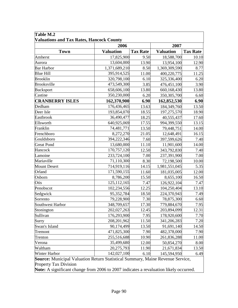| <b>Town</b><br>Amherst | <b>Valuation</b> | <b>Tax Rate</b> |                  |                 |
|------------------------|------------------|-----------------|------------------|-----------------|
|                        |                  |                 | <b>Valuation</b> | <b>Tax Rate</b> |
|                        | 17,825,900       | 9.50            | 18,588,700       | 10.10           |
| Aurora                 | 13,604,000       | 13.90           | 13,954,100       | 12.90           |
| <b>Bar Harbor</b>      | 1,371,689,210    | 8.50            | 1,369,309,590    | 8.77            |
| <b>Blue Hill</b>       | 395,914,525      | 11.00           | 400,220,775      | 11.25           |
| <b>Brooklin</b>        | 320,798,100      | 6.10            | 325,336,400      | 6.20            |
| <b>Brooksville</b>     | 473,549,300      | 3.85            | 476,451,100      | 3.90            |
| <b>Bucksport</b>       | 658,606,100      | 13.80           | 660,168,430      | 13.80           |
| Castine                | 350,230,000      | 6.20            | 350, 305, 700    | 6.60            |
| <b>CRANBERRY ISLES</b> | 162,370,900      | 6.90            | 162,852,530      | 6.90            |
| Dedham                 | 176,436,465      | 13.63           | 184,349,760      | 13.50           |
| Deer Isle              | 193,854,070      | 18.55           | 197,275,570      | 18.90           |
| Eastbrook              | 36,490,477       | 18.25           | 40,555,437       | 17.60           |
| Ellsworth              | 640,925,069      | 17.55           | 994,399,550      | 13.15           |
| Franklin               | 74,481,771       | 13.50           | 79,448,751       | 14.00           |
| Frenchboro             | 8,272,270        | 21.05           | 12,648,491       | 16.15           |
| Gouldsboro             | 394,222,346      | 7.60            | 397,599,626      | 7.40            |
| <b>Great Pond</b>      | 13,680,000       | 11.10           | 11,901,600       | 14.00           |
| Hancock                | 170,757,120      | 12.50           | 343,792,830      | 7.40            |
| Lamoine                | 233,724,100      | 7.00            | 237,391,900      | 7.00            |
| Mariaville             | 71,110,300       | 8.30            | 72,198,500       | 10.00           |
| <b>Mount Desert</b>    | 714,919,116      | 14.15           | 1,981,551,045    | 5.35            |
| Orland                 | 171,590,155      | 11.60           | 181,035,005      | 12.00           |
| Osborn                 | 8,786,200        | 15.50           | 8,655,100        | 16.50           |
| Otis                   | 125, 112, 165    | 7.47            | 126,922,104      | 7.47            |
| Penobscot              | 102,234,556      | 12.25           | 104,250,404      | 13.10           |
| Sedgwick               | 95,352,784       | 18.50           | 224,370,943      | 7.49            |
| Sorrento               | 79,228,900       | 7.30            | 78,875,300       | 6.60            |
| Southwest Harbor       | 348,709,657      | 17.30           | 779,884,670      | 7.95            |
| Stonington             | 202,027,263      | 12.45           | 203,894,099      | 12.31           |
| Sullivan               | 176,293,900      | 7.95            | 178,920,600      | 7.70            |
| Surry                  | 208, 201, 962    | 11.50           | 341,206,283      | 7.20            |
| Swan's Island          | 90,174,499       | 13.50           | 91,691,140       | 14.50           |
| Tremont                | 471,825,300      | 7.90            | 482,378,000      | 7.90            |
| Trenton                | 255,516,688      | 10.90           | 261,836,288      | 11.00           |
| Verona                 | 35,499,680       | 12.00           | 50,854,270       | 8.00            |
| Waltham                | 20,275,793       | 11.90           | 21,671,834       | 13.50           |
| Winter Harbor          | 142,027,100      | 6.10            | 145,594,950      | 6.49            |

# **Table M.2**

**Note:** A significant change from 2006 to 2007 indicates a revaluation likely occurred.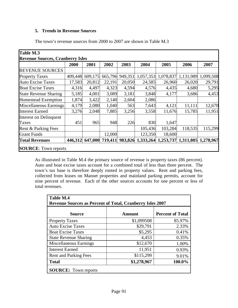# **5. Trends in Revenue Sources**

The town's revenue sources from 2000 to 2007 are shown in Table M.3

| Table M.3                               |         |         |                 |         |                   |           |                     |           |
|-----------------------------------------|---------|---------|-----------------|---------|-------------------|-----------|---------------------|-----------|
| <b>Revenue Sources, Cranberry Isles</b> |         |         |                 |         |                   |           |                     |           |
|                                         | 2000    | 2001    | 2002            | 2003    | 2004              | 2005      | 2006                | 2007      |
| <b>REVENUE SOURCES</b>                  |         |         |                 |         |                   |           |                     |           |
| <b>Property Taxes</b>                   | 409,448 | 609,175 | 665,796         | 949,351 | 1,057,353         | 1,078,837 | 1,131,989           | 1,099,508 |
| <b>Auto Excise Taxes</b>                | 17,583  | 20,812  | 22,191          | 20,050  | 24,585            | 26,960    | 26,020              | 29,791    |
| <b>Boat Excise Taxes</b>                | 4,316   | 4,497   | 4,323           | 4,594   | 4,576             | 4,435     | 4,680               | 5,295     |
| <b>State Revenue Sharing</b>            | 5,185   | 4,001   | 3,089           | 3,181   | 3,848             | 4,177     | 3,686               | 4,453     |
| <b>Homestead Exemption</b>              | 1,874   | 3,422   | 2,140           | 2,604   | 2,086             |           |                     |           |
| Miscellaneous Earnings                  | 4,179   | 2,080   | 1,040           | 563     | 7,643             | 4,121     | 11,111              | 12,670    |
| <b>Interest Earned</b>                  | 3,276   | 2,048   | 7,885           | 3,256   | 3,558             | 11,676    | 15,785              | 11,951    |
| Interest on Delinquent                  |         |         |                 |         |                   |           |                     |           |
| Taxes                                   | 451     | 965     | 948             | 226     | 830               | 1,647     |                     |           |
| Rent & Parking Fees                     |         |         |                 |         | 105,436           | 103,284   | 118,535             | 115,299   |
| <b>Grant Funds</b>                      |         |         | 12,000          |         | 123,350           | 18,600    |                     |           |
| <b>Total Revenues</b>                   | 446,312 |         | 647,000 719,411 |         | 983,826 1,333,264 |           | 1,253,737 1,311,805 | 1,278,967 |
| <b>SOURCE:</b> Town reports             |         |         |                 |         |                   |           |                     |           |

As illustrated in Table M.4 the primary source of revenue is property taxes (86 percent). Auto and boat excise taxes account for a combined total of less than three percent. The town's tax base is therefore deeply rooted in property values. Rent and parking fees, collected from leases on Manset properties and mainland parking permits, account for nine percent of revenue. Each of the other sources accounts for one percent or less of total revenues.

| Table M.4<br><b>Revenue Sources as Percent of Total, Cranberry Isles 2007</b> |               |                         |  |  |  |
|-------------------------------------------------------------------------------|---------------|-------------------------|--|--|--|
| <b>Source</b>                                                                 | <b>Amount</b> | <b>Percent of Total</b> |  |  |  |
| <b>Property Taxes</b>                                                         | \$1,099508    | 85.97%                  |  |  |  |
| <b>Auto Excise Taxes</b>                                                      | \$29,791      | 2.33%                   |  |  |  |
| <b>Boat Excise Taxes</b>                                                      | \$5,295       | 0.41%                   |  |  |  |
| <b>State Revenue Sharing</b>                                                  | 4,453         | 0.35%                   |  |  |  |
| Miscellaneous Earnings                                                        | \$12,670      | 1.00%                   |  |  |  |
| <b>Interest Earned</b>                                                        | 11,951        | 0.93%                   |  |  |  |
| <b>Rent and Parking Fees</b>                                                  | \$115,299     | 9.01%                   |  |  |  |
| <b>Total</b>                                                                  | \$1,278,967   | 100.0%                  |  |  |  |
| <b>SOURCE:</b> Town reports                                                   |               |                         |  |  |  |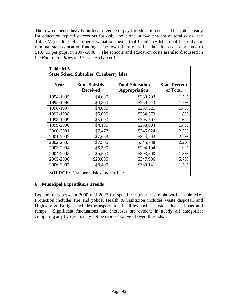The town depends heavily on local revenue to pay for education costs. The state subsidy for education typically accounts for only about one or two percent of total costs (see Table M.5). Its high property valuation means that Cranberry Isles qualifies only for minimal state education funding. The town share of K-12 education costs amounted to \$19,421 per pupil in 2007-2008. (The schools and education costs are also discussed in the *Public Facilities and Services* chapter.)

| Table M.5 | <b>State School Subsidies, Cranberry Isles</b> |                                         |                                  |  |
|-----------|------------------------------------------------|-----------------------------------------|----------------------------------|--|
| Year      | <b>State Subsidy</b><br><b>Received</b>        | <b>Total Education</b><br>Appropriation | <b>State Percent</b><br>of Total |  |
| 1994-1995 | \$4,000                                        | \$260,793                               | 1.5%                             |  |
| 1995-1996 | \$4,500                                        | \$259,743                               | 1.7%                             |  |
| 1996-1997 | \$4,000                                        | \$287,521                               | 1.4%                             |  |
| 1997-1998 | \$5,000                                        | \$284,572                               | 1.8%                             |  |
| 1998-1999 | \$5,000                                        | \$305,307                               | 1.6%                             |  |
| 1999-2000 | \$4,100                                        | \$288,604                               | 1.4%                             |  |
| 2000-2001 | \$7,473                                        | \$345,024                               | 2.2%                             |  |
| 2001-2002 | \$7,663                                        | \$344,792                               | 2.2%                             |  |
| 2002-2003 | \$7,500                                        | \$345,738                               | 2.2%                             |  |
| 2003-2004 | \$5,500                                        | \$294,104                               | 1.9%                             |  |
| 2004-2005 | \$5,500                                        | \$303,800                               | 1.8%                             |  |
| 2005-2006 | \$20,000                                       | \$347,936                               | 5.7%                             |  |
| 2006-2007 | \$6,400                                        | \$380,141                               | 1.7%                             |  |
|           | <b>SOURCE:</b> Cranberry Isles town office     |                                         |                                  |  |

# **6. Municipal Expenditure Trends**

Expenditures between 2000 and 2007 for specific categories are shown in Table M.6. Protection includes fire and police; Health & Sanitation includes waste disposal; and Highway & Bridges includes transportation facilities such as roads, docks, floats and ramps. Significant fluctuations and increases are evident in nearly all categories; comparing any two years may not be representative of overall trends.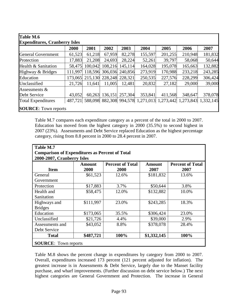|                           | 2000    | 2001    | 2002    | 2003            | 2004                                                                    | 2005    | 2006    | 2007    |
|---------------------------|---------|---------|---------|-----------------|-------------------------------------------------------------------------|---------|---------|---------|
| <b>General Government</b> | 61,523  | 61,218  | 67,959  | 82,278          | 155,597                                                                 | 201,255 | 210,948 | 181,832 |
| Protection                | 17,883  | 21,208  | 24,693  | 28,224          | 52,261                                                                  | 39,797  | 58,068  | 50,644  |
| Health & Sanitation       | 58,475  | 100,042 | 108,216 | 145,114         | 164,028                                                                 | 195,078 | 165,663 | 132,882 |
| Highway & Bridges         | 111,997 | 118,596 |         | 306,036 240,856 | 273,919                                                                 | 170,988 | 233,218 | 243,285 |
| Education                 | 173,065 | 215,130 | 228,248 | 228,321         | 250,535                                                                 | 227,576 | 228,299 | 306,424 |
| Unclassified              | 21,726  | 11,641  | 11,005  | 12,481          | 20,832                                                                  | 27,182  | 29,000  | 39,000  |
| Assessments $&$           |         |         |         |                 |                                                                         |         |         |         |
| Debt Service              | 43,052  | 60,263  | 136,151 | 257,304         | 353,841                                                                 | 411,568 | 348,647 | 378,078 |
| <b>Total Expenditures</b> |         |         |         |                 | 487,721 588,098 882,308 994,578 1,271,013 1,273,442 1,273,843 1,332,145 |         |         |         |

Table M.7 compares each expenditure category as a percent of the total in 2000 to 2007. Education has moved from the highest category in 2000 (35.5%) to second highest in 2007 (23%). Assessments and Debt Service replaced Education as the highest percentage category, rising from 8.8 percent in 2000 to 28.4 percent in 2007.

| Table M.7                                                                           |                |                                 |                |                                 |  |  |  |
|-------------------------------------------------------------------------------------|----------------|---------------------------------|----------------|---------------------------------|--|--|--|
| <b>Comparison of Expenditures as Percent of Total</b><br>2000-2007, Cranberry Isles |                |                                 |                |                                 |  |  |  |
| <b>Item</b>                                                                         | Amount<br>2000 | <b>Percent of Total</b><br>2000 | Amount<br>2007 | <b>Percent of Total</b><br>2007 |  |  |  |
| General                                                                             | \$61,523       | 12.6%                           | \$181,832      | 13.6%                           |  |  |  |
| Government                                                                          |                |                                 |                |                                 |  |  |  |
| Protection                                                                          | \$17,883       | 3.7%                            | \$50,644       | 3.8%                            |  |  |  |
| Health and                                                                          | \$58,475       | 12.0%                           | \$132,882      | 10.0%                           |  |  |  |
| Sanitation                                                                          |                |                                 |                |                                 |  |  |  |
| Highways and                                                                        | \$111,997      | 23.0%                           | \$243,285      | 18.3%                           |  |  |  |
| <b>Bridges</b>                                                                      |                |                                 |                |                                 |  |  |  |
| Education                                                                           | \$173,065      | 35.5%                           | \$306,424      | 23.0%                           |  |  |  |
| Unclassified                                                                        | \$21,726       | 4.4%                            | \$39,000       | 2.9%                            |  |  |  |
| Assessments and                                                                     | \$43,052       | 8.8%                            | \$378,078      | 28.4%                           |  |  |  |
| Debt Service                                                                        |                |                                 |                |                                 |  |  |  |
| <b>Total</b>                                                                        | \$487,721      | 100%                            | \$1,332,145    | 100%                            |  |  |  |
| <b>SOURCE:</b> Town reports                                                         |                |                                 |                |                                 |  |  |  |

Table M.8 shows the percent change in expenditures by category from 2000 to 2007. Overall, expenditures increased 173 percent (121 percent adjusted for inflation). The greatest increase is in Assessments & Debt Service, largely due to the Manset facility purchase, and wharf improvements. (Further discussion on debt service below.) The next highest categories are General Government and Protection. The increase in General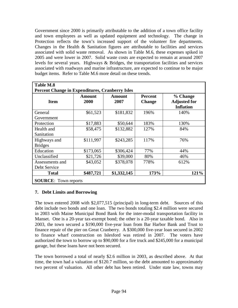Government since 2000 is primarily attributable to the addition of a town office facility and town employees as well as updated equipment and technology. The change in Protection reflects the town's increased support of the volunteer fire departments. Changes in the Health  $\&$  Sanitation figures are attributable to facilities and services associated with solid waste removal. As shown in Table M.6, these expenses spiked in 2005 and were lower in 2007. Solid waste costs are expected to remain at around 2007 levels for several years. Highways & Bridges, the transportation facilities and services associated with roadways and marine infrastructure, are expected to continue to be major budget items. Refer to Table M.6 more detail on these trends.

| <b>Item</b>                     | Amount<br>2000 | Amount<br>2007 | <b>Percent</b><br><b>Change</b> | % Change<br><b>Adjusted for</b><br><b>Inflation</b> |  |
|---------------------------------|----------------|----------------|---------------------------------|-----------------------------------------------------|--|
| General<br>Government           | \$61,523       | \$181,832      | 196%                            | 140%                                                |  |
| Protection                      | \$17,883       | \$50,644       | 183%                            | 130%                                                |  |
| Health and<br>Sanitation        | \$58,475       | \$132,882      | 127%                            | 84%                                                 |  |
| Highways and<br><b>Bridges</b>  | \$111,997      | \$243,285      | 117%                            | 76%                                                 |  |
| Education                       | \$173,065      | \$306,424      | 77%                             | 44%                                                 |  |
| Unclassified                    | \$21,726       | \$39,000       | 80%                             | 46%                                                 |  |
| Assessments and<br>Debt Service | \$43,052       | \$378,078      | 778%                            | 612%                                                |  |
| <b>Total</b>                    | \$487,721      | \$1,332,145    | 173%                            | 121%                                                |  |

# **7. Debt Limits and Borrowing**

The town entered 2008 with \$2,077,515 (principal) in long-term debt. Sources of this debt include two bonds and one loan. The two bonds totaling \$2.4 million were secured in 2003 with Maine Municipal Bond Bank for the inter-modal transportation facility in Manset. One is a 20-year tax-exempt bond; the other is a 20-year taxable bond. Also in 2003, the town secured a \$190,000 five-year loan from Bar Harbor Bank and Trust to finance repair of the pier on Great Cranberry. A \$300,000 five-year loan secured in 2002 to finance wharf construction on Islesford was retired in 2007. The voters have authorized the town to borrow up to \$90,000 for a fire truck and \$245,000 for a municipal garage, but these loans have not been secured.

The town borrowed a total of nearly \$2.6 million in 2003, as described above. At that time, the town had a valuation of \$120.7 million, so the debt amounted to approximately two percent of valuation. All other debt has been retired. Under state law, towns may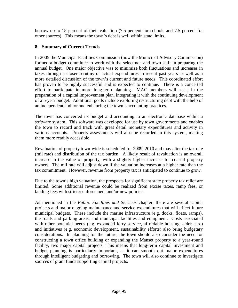borrow up to 15 percent of their valuation (7.5 percent for schools and 7.5 percent for other sources). This means the town's debt is well within state limits.

# **8. Summary of Current Trends**

In 2005 the Municipal Facilities Commission (now the Municipal Advisory Commission) formed a budget committee to work with the selectmen and town staff in preparing the annual budget. One major objective was to minimize both fluctuations and increases in taxes through a closer scrutiny of actual expenditures in recent past years as well as a more detailed discussion of the town's current and future needs. This coordinated effort has proven to be highly successful and is expected to continue. There is a concerted effort to participate in more long-term planning. MAC members will assist in the preparation of a capital improvement plan, integrating it with the continuing development of a 5-year budget. Additional goals include exploring restructuring debt with the help of an independent auditor and enhancing the town's accounting practices.

The town has converted its budget and accounting to an electronic database within a software system. This software was developed for use by town governments and enables the town to record and track with great detail monetary expenditures and activity in various accounts. Property assessments will also be recorded in this system, making them more readily accessible.

Revaluation of property town-wide is scheduled for 2009–2010 and may alter the tax rate (mil rate) and distribution of the tax burden. A likely result of revaluation is an overall increase in the value of property, with a slightly higher increase for coastal property owners. The mil rate will adjust down if the valuation increases at a higher rate than the tax commitment. However, revenue from property tax is anticipated to continue to grow.

Due to the town's high valuation, the prospects for significant state property tax relief are limited. Some additional revenue could be realized from excise taxes, ramp fees, or landing fees with stricter enforcement and/or new policies.

As mentioned in the *Public Facilities and Services* chapter, there are several capital projects and major ongoing maintenance and service expenditures that will affect future municipal budgets. These include the marine infrastructure (e.g. docks, floats, ramps), the roads and parking areas, and municipal facilities and equipment. Costs associated with other potential needs (e.g. expanded ferry service, affordable housing, elder care) and initiatives (e.g. economic development, sustainability efforts) also bring budgetary considerations. In planning for the future, the town should also consider the need for constructing a town office building or expanding the Manset property to a year-round facility, two major capital projects. This means that long-term capital investment and budget planning is particularly important, as it can smooth out major expenditures through intelligent budgeting and borrowing. The town will also continue to investigate sources of grant funds supporting capital projects.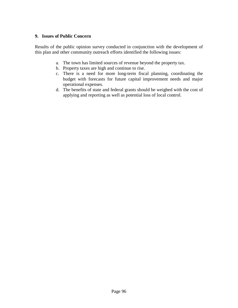#### **9. Issues of Public Concern**

Results of the public opinion survey conducted in conjunction with the development of this plan and other community outreach efforts identified the following issues:

- a. The town has limited sources of revenue beyond the property tax.
- b. Property taxes are high and continue to rise.
- c. There is a need for more long-term fiscal planning, coordinating the budget with forecasts for future capital improvement needs and major operational expenses.
- d. The benefits of state and federal grants should be weighed with the cost of applying and reporting as well as potential loss of local control.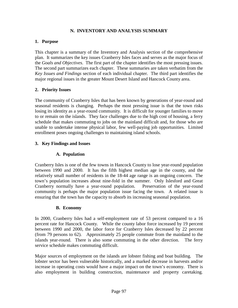# **N. INVENTORY AND ANALYSIS SUMMARY**

# **1. Purpose**

This chapter is a summary of the Inventory and Analysis section of the comprehensive plan. It summarizes the key issues Cranberry Isles faces and serves as the major focus of the *Goals and Objectives*. The first part of the chapter identifies the most pressing issues. The second part summarizes each chapter. These summaries are taken verbatim from the *Key Issues and Findings* section of each individual chapter. The third part identifies the major regional issues in the greater Mount Desert Island and Hancock County area.

# **2. Priority Issues**

The community of Cranberry Isles that has been known by generations of year-round and seasonal residents is changing. Perhaps the most pressing issue is that the town risks losing its identity as a year-round community. It is difficult for younger families to move to or remain on the islands. They face challenges due to the high cost of housing, a ferry schedule that makes commuting to jobs on the mainland difficult and, for those who are unable to undertake intense physical labor, few well-paying job opportunities. Limited enrollment poses ongoing challenges to maintaining island schools.

# **3. Key Findings and Issues**

# **A. Population**

Cranberry Isles is one of the few towns in Hancock County to lose year-round population between 1990 and 2000. It has the fifth highest median age in the county, and the relatively small number of residents in the 18-44 age range is an ongoing concern. The town's population increases about nine-fold in the summer. Only Islesford and Great Cranberry normally have a year-round population. Preservation of the year-round community is perhaps the major population issue facing the town. A related issue is ensuring that the town has the capacity to absorb its increasing seasonal population.

# **B. Economy**

In 2000, Cranberry Isles had a self-employment rate of 53 percent compared to a 16 percent rate for Hancock County. While the county labor force increased by 19 percent between 1990 and 2000, the labor force for Cranberry Isles decreased by 22 percent (from 79 persons to 62). Approximately 25 people commute from the mainland to the islands year-round. There is also some commuting in the other direction. The ferry service schedule makes commuting difficult.

Major sources of employment on the islands are lobster fishing and boat building. The lobster sector has been vulnerable historically, and a marked decrease in harvests and/or increase in operating costs would have a major impact on the town's economy. There is also employment in building construction, maintenance and property caretaking.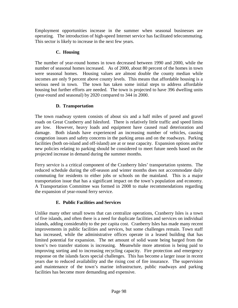Employment opportunities increase in the summer when seasonal businesses are operating. The introduction of high-speed Internet service has facilitated telecommuting. This sector is likely to increase in the next few years.

# **C. Housing**

The number of year-round homes in town decreased between 1990 and 2000, while the number of seasonal homes increased. As of 2000, about 80 percent of the homes in town were seasonal homes. Housing values are almost double the county median while incomes are only 9 percent above county levels. This means that affordable housing is a serious need in town. The town has taken some initial steps to address affordable housing but further efforts are needed. The town is projected to have 396 dwelling units (year-round and seasonal) by 2020 compared to 344 in 2000.

# **D. Transportation**

The town roadway system consists of about six and a half miles of paved and gravel roads on Great Cranberry and Islesford. There is relatively little traffic and speed limits are low. However, heavy loads and equipment have caused road deterioration and damage. Both islands have experienced an increasing number of vehicles, causing congestion issues and safety concerns in the parking areas and on the roadways. Parking facilities (both on-island and off-island) are at or near capacity. Expansion options and/or new policies relating to parking should be considered to meet future needs based on the projected increase in demand during the summer months.

Ferry service is a critical component of the Cranberry Isles' transportation systems. The reduced schedule during the off-season and winter months does not accommodate daily commuting for residents to either jobs or schools on the mainland. This is a major transportation issue that has a significant impact on the town's population and economy. A Transportation Committee was formed in 2008 to make recommendations regarding the expansion of year-round ferry service.

# **E. Public Facilities and Services**

Unlike many other small towns that can centralize operations, Cranberry Isles is a town of five islands, and often there is a need for duplicate facilities and services on individual islands, adding considerably to the per capita cost. Cranberry Isles has made many recent improvements in public facilities and services, but some challenges remain. Town staff has increased, while the administrative offices operate in a leased building that has limited potential for expansion. The net amount of solid waste being barged from the town's two transfer stations is increasing. Meanwhile more attention is being paid to improving sorting and to increasing recycling capacity. Fire protection and emergency response on the islands faces special challenges. This has become a larger issue in recent years due to reduced availability and the rising cost of fire insurance. The supervision and maintenance of the town's marine infrastructure, public roadways and parking facilities has become more demanding and expensive.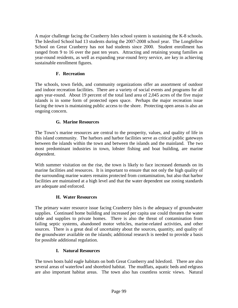A major challenge facing the Cranberry Isles school system is sustaining the K-8 schools. The Islesford School had 13 students during the 2007-2008 school year. The Longfellow School on Great Cranberry has not had students since 2000. Student enrollment has ranged from 9 to 16 over the past ten years. Attracting and retaining young families as year-round residents, as well as expanding year-round ferry service, are key in achieving sustainable enrollment figures.

# **F. Recreation**

The schools, town fields, and community organizations offer an assortment of outdoor and indoor recreation facilities. There are a variety of social events and programs for all ages year-round. About 19 percent of the total land area of 2,045 acres of the five major islands is in some form of protected open space. Perhaps the major recreation issue facing the town is maintaining public access to the shore. Protecting open areas is also an ongoing concern.

# **G. Marine Resources**

The Town's marine resources are central to the prosperity, values, and quality of life in this island community. The harbors and harbor facilities serve as critical public gateways between the islands within the town and between the islands and the mainland. The two most predominant industries in town, lobster fishing and boat building, are marine dependent.

With summer visitation on the rise, the town is likely to face increased demands on its marine facilities and resources. It is important to ensure that not only the high quality of the surrounding marine waters remains protected from contamination, but also that harbor facilities are maintained at a high level and that the water dependent use zoning standards are adequate and enforced.

## **H. Water Resources**

The primary water resource issue facing Cranberry Isles is the adequacy of groundwater supplies. Continued home building and increased per capita use could threaten the water table and supplies to private homes. There is also the threat of contamination from failing septic systems, abandoned motor vehicles, marine-related activities, and other sources. There is a great deal of uncertainty about the sources, quantity, and quality of the groundwater available on the islands; additional research is needed to provide a basis for possible additional regulation.

## **I. Natural Resources**

The town hosts bald eagle habitats on both Great Cranberry and Islesford. There are also several areas of waterfowl and shorebird habitat. The mudflats, aquatic beds and eelgrass are also important habitat areas. The town also has countless scenic views. Natural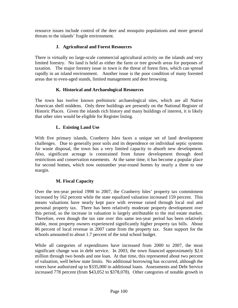resource issues include control of the deer and mosquito populations and more general threats to the islands' fragile environment.

# **J. Agricultural and Forest Resources**

There is virtually no large-scale commercial agricultural activity on the islands and very limited forestry. No land is held as either the farm or tree growth areas for purposes of taxation. The major forestry issue in town is the threat of forest fires, which can spread rapidly in an island environment. Another issue is the poor condition of many forested areas due to even-aged stands, limited management and deer browsing.

# **K. Historical and Archaeological Resources**

The town has twelve known prehistoric archaeological sites, which are all Native American shell middens. Only three buildings are presently on the National Register of Historic Places. Given the islands rich history and many buildings of interest, it is likely that other sites would be eligible for Register listing.

# **L. Existing Land Use**

With five primary islands, Cranberry Isles faces a unique set of land development challenges. Due to generally poor soils and its dependence on individual septic systems for waste disposal, the town has a very limited capacity to absorb new development. Also, significant acreage is constrained from future development through deed restrictions and conservation easements. At the same time, it has become a popular place for second homes, which now outnumber year-round homes by nearly a three to one margin.

# **M. Fiscal Capacity**

Over the ten-year period 1998 to 2007, the Cranberry Isles' property tax commitment increased by 162 percent while the state equalized valuation increased 159 percent. This means valuations have nearly kept pace with revenue raised through local real and personal property tax. There has been relatively moderate property development over this period, so the increase in valuation is largely attributable to the real estate market. Therefore, even though the tax rate over this same ten-year period has been relatively stable, most property owners experienced significantly higher property tax bills. About 86 percent of local revenue in 2007 came from the property tax. State support for the schools amounted to about 1.7 percent of the total school budget.

While all categories of expenditures have increased from 2000 to 2007, the most significant change was in debt service. In 2003, the town financed approximately \$2.6 million through two bonds and one loan. At that time, this represented about two percent of valuation, well below state limits. No additional borrowing has occurred, although the voters have authorized up to \$335,000 in additional loans. Assessments and Debt Service increased 778 percent (from \$43,052 to \$378,078). Other categories of notable growth in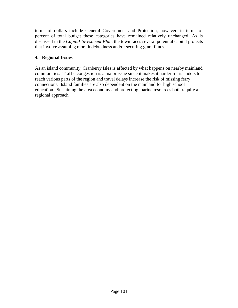terms of dollars include General Government and Protection; however, in terms of percent of total budget these categories have remained relatively unchanged. As is discussed in the *Capital Investment Plan*, the town faces several potential capital projects that involve assuming more indebtedness and/or securing grant funds.

# **4. Regional Issues**

As an island community, Cranberry Isles is affected by what happens on nearby mainland communities. Traffic congestion is a major issue since it makes it harder for islanders to reach various parts of the region and travel delays increase the risk of missing ferry connections. Island families are also dependent on the mainland for high school education. Sustaining the area economy and protecting marine resources both require a regional approach.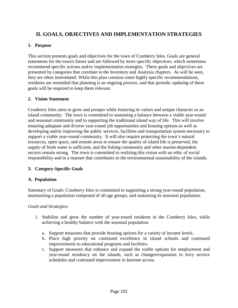# **II. GOALS, OBJECTIVES AND IMPLEMENTATION STRATEGIES**

### **1. Purpose**

This section presents goals and objectives for the town of Cranberry Isles. Goals are general statements for the town's future and are followed by more specific objectives, which sometimes recommend specific actions and/or implementation strategies. These goals and objectives are presented by categories that correlate to the Inventory and Analysis chapters. As will be seen, they are often interrelated. While this plan contains some highly specific recommendations, residents are reminded that planning is an ongoing process, and that periodic updating of these goals will be required to keep them relevant.

#### **2. Vision Statement**

Cranberry Isles aims to grow and prosper while fostering its values and unique character as an island community. The town is committed to sustaining a balance between a viable year-round and seasonal community and to supporting the traditional island way of life. This will involve ensuring adequate and diverse year-round job opportunities and housing options as well as developing and/or improving the public services, facilities and transportation system necessary to support a viable year-round community. It will also require protecting the town's natural resources, open space, and remote areas to ensure the quality of island life is preserved, the supply of fresh water is sufficient, and the fishing community and other marine-dependent sectors remain strong. The town is committed to realizing this vision with an ethic of social responsibility and in a manner that contributes to the environmental sustainability of the islands.

## **3. Category-Specific Goals**

## **A. Population**

Summary of Goals: Cranberry Isles is committed to supporting a strong year-round population, maintaining a population composed of all age groups, and sustaining its seasonal population.

*Goals and Strategies:*

- 1. Stabilize and grow the number of year-round residents in the Cranberry Isles, while achieving a healthy balance with the seasonal population.
	- a. Support measures that provide housing options for a variety of income levels.
	- b. Place high priority on continued excellence in island schools and continued improvements to educational programs and facilities.
	- c. Support measures that enhance and expand the viable options for employment and year-round residency on the islands, such as changes/expansion in ferry service schedules and continued improvement in Internet access.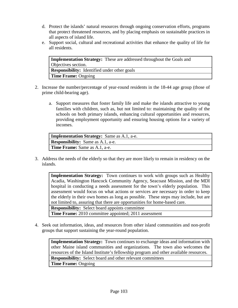- d. Protect the islands' natural resources through ongoing conservation efforts, programs that protect threatened resources, and by placing emphasis on sustainable practices in all aspects of island life.
- e. Support social, cultural and recreational activities that enhance the quality of life for all residents.

| <b>Implementation Strategy:</b> These are addressed throughout the Goals and |
|------------------------------------------------------------------------------|
| Objectives section.                                                          |
| <b>Responsibility:</b> Identified under other goals                          |
| <b>Time Frame: Ongoing</b>                                                   |

- 2. Increase the number/percentage of year-round residents in the 18-44 age group (those of prime child-bearing age).
	- a. Support measures that foster family life and make the islands attractive to young families with children, such as, but not limited to: maintaining the quality of the schools on both primary islands, enhancing cultural opportunities and resources, providing employment opportunity and ensuring housing options for a variety of incomes.

| <b>Implementation Strategy:</b> Same as A.1, a-e. |
|---------------------------------------------------|
| <b>Responsibility:</b> Same as A.1, a-e.          |
| <b>Time Frame:</b> Same as A.1, a-e.              |

3. Address the needs of the elderly so that they are more likely to remain in residency on the islands.

**Implementation Strategy:** Town continues to work with groups such as Healthy Acadia, Washington Hancock Community Agency, Seacoast Mission, and the MDI hospital in conducting a needs assessment for the town's elderly population. This assessment would focus on what actions or services are necessary in order to keep the elderly in their own homes as long as possible. These steps may include, but are not limited to, assuring that there are opportunities for home-based care. **Responsibility:** Select board appoints committee

**Time Frame:** 2010 committee appointed; 2011 assessment

4. Seek out information, ideas, and resources from other island communities and non-profit groups that support sustaining the year-round population.

**Implementation Strategy:** Town continues to exchange ideas and information with other Maine island communities and organizations. The town also welcomes the resources of the Island Institute's fellowship program and other available resources. **Responsibility:** Select board and other relevant committees **Time Frame:** Ongoing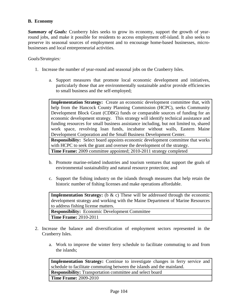# **B. Economy**

*Summary of Goals:* Cranberry Isles seeks to grow its economy, support the growth of yearround jobs, and make it possible for residents to access employment off-island. It also seeks to preserve its seasonal sources of employment and to encourage home-based businesses, microbusinesses and local entrepreneurial activities.

#### *Goals/Strategies:*

- 1. Increase the number of year-round and seasonal jobs on the Cranberry Isles.
	- a. Support measures that promote local economic development and initiatives, particularly those that are environmentally sustainable and/or provide efficiencies to small business and the self-employed;

**Implementation Strategy:** Create an economic development committee that, with help from the Hancock County Planning Commission (HCPC), seeks Community Development Block Grant (CDBG) funds or comparable sources of funding for an economic development strategy. This strategy will identify technical assistance and funding resources for small business assistance including, but not limited to, shared work space, revolving loan funds, incubator without walls, Eastern Maine Development Corporation and the Small Business Development Center. **Responsibility:** Select board appoints economic development committee that works

with HCPC to seek the grant and oversee the development of the strategy. **Time Frame:** 2009 committee appointed; 2010-2011 strategy completed

- b. Promote marine-related industries and tourism ventures that support the goals of environmental sustainability and natural resource protection; and
- c. Support the fishing industry on the islands through measures that help retain the historic number of fishing licenses and make operations affordable.

**Implementation Strategy:** (b & c) These will be addressed through the economic development strategy and working with the Maine Department of Marine Resources to address fishing license matters.

**Responsibility:** Economic Development Committee **Time Frame:** 2010-2011

- 2. Increase the balance and diversification of employment sectors represented in the Cranberry Isles.
	- a. Work to improve the winter ferry schedule to facilitate commuting to and from the islands;

**Implementation Strategy:** Continue to investigate changes in ferry service and schedule to facilitate commuting between the islands and the mainland. **Responsibility:** Transportation committee and select board **Time Frame:** 2009-2010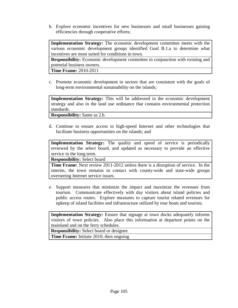b. Explore economic incentives for new businesses and small businesses gaining efficiencies through cooperative efforts;

**Implementation Strategy:** The economic development committee meets with the various economic development groups identified Goal B.1.a to determine what incentives are most suited for conditions in town.

**Responsibility:** Economic development committee in conjunction with existing and potential business owners.

**Time Frame:** 2010-2011

c. Promote economic development in sectors that are consistent with the goals of long-term environmental sustainability on the islands;

**Implementation Strategy:** This will be addressed in the economic development strategy and also in the land use ordinance that contains environmental protection standards.

**Responsibility:** Same as 2.b.

d. Continue to ensure access to high-speed Internet and other technologies that facilitate business opportunities on the islands; and

**Implementation Strategy:** The quality and speed of service is periodically reviewed by the select board, and updated as necessary to provide an effective service in the long term.

**Responsibility:** Select board

**Time Frame:** Next review 2011-2012 unless there is a disruption of service. In the interim, the town remains in contact with county-wide and state-wide groups overseeing Internet service issues.

e. Support measures that minimize the impact and maximize the revenues from tourism. Communicate effectively with day visitors about island policies and public access routes. Explore measures to capture tourist related revenues for upkeep of island facilities and infrastructure utilized by tour boats and tourists.

**Implementation Strategy:** Ensure that signage at town docks adequately informs visitors of town policies. Also place this information at departure points on the mainland and on the ferry schedules.

**Responsibility:** Select board or designee **Time Frame:** Initiate 2010; then ongoing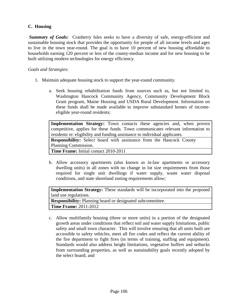# **C. Housing**

*Summary of Goals:* Cranberry Isles seeks to have a diversity of safe, energy-efficient and sustainable housing stock that provides the opportunity for people of all income levels and ages to live in the town year-round. The goal is to have 10 percent of new housing affordable to households earning 120 percent or less of the county-median income and for new housing to be built utilizing modern technologies for energy efficiency.

#### *Goals and Strategies:*

- 1. Maintain adequate housing stock to support the year-round community.
	- a. Seek housing rehabilitation funds from sources such as, but not limited to, Washington Hancock Community Agency, Community Development Block Grant program, Maine Housing and USDA Rural Development. Information on these funds shall be made available to improve substandard homes of incomeeligible year-round residents;

**Implementation Strategy:** Town contacts these agencies and, when proven competitive, applies for these funds. Town communicates relevant information to residents re: eligibility and funding assistance to individual applicants.

**Responsibility:** Select board with assistance from the Hancock County Planning Commission.

**Time Frame:** Initial contact 2010-2011

b. Allow accessory apartments (also known as in-law apartments or accessory dwelling units) in all zones with no change in lot size requirements from those required for single unit dwellings if water supply, waste water disposal conditions, and state shoreland zoning requirements allow;

**Implementation Strategy:** These standards will be incorporated into the proposed land use regulations. **Responsibility:** Planning board or designated subcommittee. **Time Frame:** 2011-2012

c. Allow multifamily housing (three or more units) in a portion of the designated growth areas under conditions that reflect soil and water supply limitations, public safety and small town character. This will involve ensuring that all units built are accessible to safety vehicles, meet all fire codes and reflect the current ability of the fire department to fight fires (in terms of training, staffing and equipment). Standards would also address height limitations, vegetative buffers and setbacks from surrounding properties, as well as sustainability goals recently adopted by the select board; and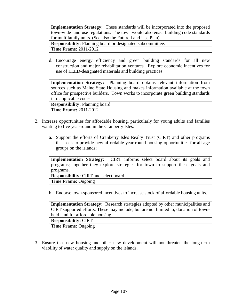**Implementation Strategy:** These standards will be incorporated into the proposed town-wide land use regulations. The town would also enact building code standards for multifamily units. (See also the Future Land Use Plan). **Responsibility:** Planning board or designated subcommittee.

**Time Frame:** 2011-2012

d. Encourage energy efficiency and green building standards for all new construction and major rehabilitation ventures. Explore economic incentives for use of LEED-designated materials and building practices.

**Implementation Strategy:** Planning board obtains relevant information from sources such as Maine State Housing and makes information available at the town office for prospective builders. Town works to incorporate green building standards into applicable codes.

**Responsibility:** Planning board **Time Frame:** 2011-2012

- 2. Increase opportunities for affordable housing, particularly for young adults and families wanting to live year-round in the Cranberry Isles.
	- a. Support the efforts of Cranberry Isles Realty Trust (CIRT) and other programs that seek to provide new affordable year-round housing opportunities for all age groups on the islands;

**Implementation Strategy:** CIRT informs select board about its goals and programs; together they explore strategies for town to support these goals and programs.

**Responsibility:** CIRT and select board

**Time Frame:** Ongoing

b. Endorse town-sponsored incentives to increase stock of affordable housing units.

**Implementation Strategy:** Research strategies adopted by other municipalities and CIRT supported efforts. These may include, but are not limited to, donation of townheld land for affordable housing.

**Responsibility:** CIRT

**Time Frame:** Ongoing

3. Ensure that new housing and other new development will not threaten the long-term viability of water quality and supply on the islands.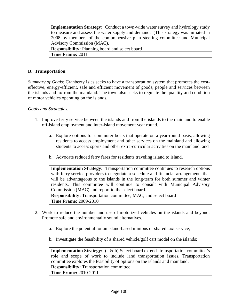| <b>Implementation Strategy:</b> Conduct a town-wide water survey and hydrology study |
|--------------------------------------------------------------------------------------|
| to measure and assess the water supply and demand. (This strategy was initiated in   |
| 2008 by members of the comprehensive plan steering committee and Municipal           |
| Advisory Commission (MAC).                                                           |
| <b>Responsibility:</b> Planning board and select board                               |
| <b>Time Frame: 2011</b>                                                              |

#### **D. Transportation**

*Summary of Goals:* Cranberry Isles seeks to have a transportation system that promotes the costeffective, energy-efficient, safe and efficient movement of goods, people and services between the islands and to/from the mainland. The town also seeks to regulate the quantity and condition of motor vehicles operating on the islands.

#### *Goals and Strategies:*

- 1. Improve ferry service between the islands and from the islands to the mainland to enable off-island employment and inter-island movement year round.
	- a. Explore options for commuter boats that operate on a year-round basis, allowing residents to access employment and other services on the mainland and allowing students to access sports and other extra-curricular activities on the mainland; and
	- b. Advocate reduced ferry fares for residents traveling island to island.



- 2. Work to reduce the number and use of motorized vehicles on the islands and beyond. Promote safe and environmentally sound alternatives.
	- a. Explore the potential for an island-based minibus or shared taxi service;
	- b. Investigate the feasibility of a shared vehicle/golf cart model on the islands;

**Implementation Strategy:** (a & b) Select board extends transportation committee's role and scope of work to include land transportation issues. Transportation committee explores the feasibility of options on the islands and mainland. **Responsibility:** Transportation committee **Time Frame:** 2010-2011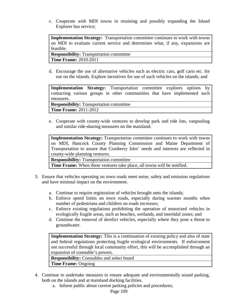c. Cooperate with MDI towns in retaining and possibly expanding the Island Explorer bus service;

**Implementation Strategy:** Transportation committee continues to work with towns on MDI to evaluate current service and determines what, if any, expansions are feasible.

**Responsibility:** Transportation committee **Time Frame:** 2010-2011

d. Encourage the use of alternative vehicles such as electric cars, golf carts etc. for use on the islands. Explore incentives for use of such vehicles on the islands; and

**Implementation Strategy:** Transportation committee explores options by contacting various groups in other communities that have implemented such measures.

**Responsibility:** Transportation committee

**Time Frame:** 2011-2012

e. Cooperate with county-wide ventures to develop park and ride lots, vanpooling and similar ride-sharing measures on the mainland.

**Implementation Strategy:** Transportation committee continues to work with towns on MDI, Hancock County Planning Commission and Maine Department of Transportation to assure that Cranberry Isles' needs and interests are reflected in county-wide planning ventures.

**Responsibility:** Transportation committee

**Time Frame:** When these ventures take place, all towns will be notified.

- 3. Ensure that vehicles operating on town roads meet noise, safety and emission regulations and have minimal impact on the environment.
	- a. Continue to require registration of vehicles brought onto the islands;
	- b. Enforce speed limits on town roads, especially during warmer months when number of pedestrians and children on roads increases;
	- c. Enforce existing regulations prohibiting the operation of motorized vehicles in ecologically fragile areas, such as beaches, wetlands, and intertidal zones; and
	- d. Continue the removal of derelict vehicles, especially where they pose a threat to groundwater.

**Implementation Strategy:** This is a continuation of existing policy and also of state and federal regulations protecting fragile ecological environments. If enforcement not successful through local community effort, this will be accomplished through an expansion of constable's powers.

**Responsibility:** Constables and select board

**Time Frame:** Ongoing

- 4. Continue to undertake measures to ensure adequate and environmentally sound parking, both on the islands and at mainland docking facilities.
	- a. Inform public about current parking policies and procedures;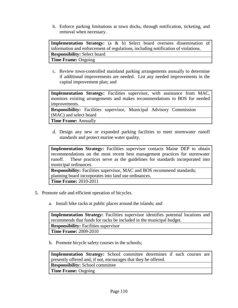b. Enforce parking limitations at town docks, through notification, ticketing, and removal when necessary.

**Implementation Strategy:** (a & b) Select board oversees dissemination of information and enforcement of regulations, including notification of violations. **Responsibility:** Select board **Time Frame:** Ongoing

c. Review town-controlled mainland parking arrangements annually to determine if additional improvements are needed. List any needed improvements in the capital improvement plan; and

**Implementation Strategy:** Facilities supervisor, with assistance from MAC, monitors existing arrangements and makes recommendations to BOS for needed improvements.

**Responsibility:** Facilities supervisor, Municipal Advisory Commission (MAC) and select board

**Time Frame:** Annually

d. Design any new or expanded parking facilities to meet stormwater runoff standards and protect marine water quality.

**Implementation Strategy:** Facilities supervisor contacts Maine DEP to obtain recommendations on the most recent best management practices for stormwater runoff. These practices serve as the guidelines for standards incorporated into municipal ordinances.

**Responsibility:** Facilities supervisor, MAC and BOS recommend standards; planning board incorporates into land use ordinances. **Time Frame:** 2010-2011

- 5. Promote safe and efficient operation of bicycles.
	- a. Install bike racks at public places around the islands; and

**Implementation Strategy:** Facilities supervisor identifies potential locations and recommends that funds for racks be included in the municipal budget. **Responsibility:** Facilities supervisor **Time Frame:** 2009-2010

b. Promote bicycle safety courses in the schools;

**Implementation Strategy:** School committee determines if such courses are presently offered and, if not, encourages that they be offered. **Responsibility:** School committee **Time Frame:** Ongoing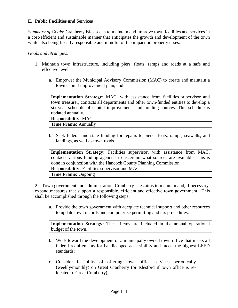## **E. Public Facilities and Services**

*Summary of Goals:* Cranberry Isles seeks to maintain and improve town facilities and services in a cost-efficient and sustainable manner that anticipates the growth and development of the town while also being fiscally responsible and mindful of the impact on property taxes.

#### *Goals and Strategies:*

- 1. Maintain town infrastructure, including piers, floats, ramps and roads at a safe and effective level.
	- a. Empower the Municipal Advisory Commission (MAC) to create and maintain a town capital improvement plan; and

**Implementation Strategy:** MAC, with assistance from facilities supervisor and town treasurer, contacts all departments and other town-funded entities to develop a six-year schedule of capital improvements and funding sources. This schedule is updated annually.

**Responsibility:** MAC **Time Frame:** Annually

b. Seek federal and state funding for repairs to piers, floats, ramps, seawalls, and landings, as well as town roads.

| Implementation Strategy: Facilities supervisor, with assistance from MAC,          |  |  |  |  |
|------------------------------------------------------------------------------------|--|--|--|--|
| contacts various funding agencies to ascertain what sources are available. This is |  |  |  |  |
| done in conjunction with the Hancock County Planning Commission.                   |  |  |  |  |
| <b>Responsibility:</b> Facilities supervisor and MAC                               |  |  |  |  |
| <b>Time Frame: Ongoing</b>                                                         |  |  |  |  |

2. Town government and administration: Cranberry Isles aims to maintain and, if necessary, expand measures that support a responsible, efficient and effective town government. This shall be accomplished through the following steps:

a. Provide the town government with adequate technical support and other resources to update town records and computerize permitting and tax procedures;

**Implementation Strategy:** These items are included in the annual operational budget of the town.

- b. Work toward the development of a municipally owned town office that meets all federal requirements for handicapped accessibility and meets the highest LEED standards;
- c. Consider feasibility of offering town office services periodically (weekly/monthly) on Great Cranberry (or Islesford if town office is relocated to Great Cranberry);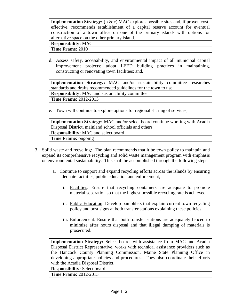| <b>Implementation Strategy:</b> ( $\mathbf{b} \& \mathbf{c}$ ) MAC explores possible sites and, if proven cost- |
|-----------------------------------------------------------------------------------------------------------------|
| effective, recommends establishment of a capital reserve account for eventual                                   |
| construction of a town office on one of the primary islands with options for                                    |
| alternative space on the other primary island.                                                                  |
| <b>Responsibility: MAC</b>                                                                                      |
| Time Frame: 2010                                                                                                |

d. Assess safety, accessibility, and environmental impact of all municipal capital improvement projects; adopt LEED building practices in maintaining, constructing or renovating town facilities; and.

**Implementation Strategy:** MAC and/or sustainability committee researches standards and drafts recommended guidelines for the town to use. **Responsibility:** MAC and sustainability committee **Time Frame:** 2012-2013

e. Town will continue to explore options for regional sharing of services;

**Implementation Strategy:** MAC and/or select board continue working with Acadia Disposal District, mainland school officials and others **Responsibility:** MAC and select board **Time Frame:** ongoing

- 3. Solid waste and recycling: The plan recommends that it be town policy to maintain and expand its comprehensive recycling and solid waste management program with emphasis on environmental sustainability. This shall be accomplished through the following steps:
	- a. Continue to support and expand recycling efforts across the islands by ensuring adequate facilities, public education and enforcement;
		- i. Facilities: Ensure that recycling containers are adequate to promote material separation so that the highest possible recycling rate is achieved.
		- ii. Public Education: Develop pamphlets that explain current town recycling policy and post signs at both transfer stations explaining these policies.
		- iii. Enforcement: Ensure that both transfer stations are adequately fenced to minimize after hours disposal and that illegal dumping of materials is prosecuted.

**Implementation Strategy:** Select board, with assistance from MAC and Acadia Disposal District Representative, works with technical assistance providers such as the Hancock County Planning Commission, Maine State Planning Office in developing appropriate policies and procedures. They also coordinate their efforts with the Acadia Disposal District.

**Responsibility:** Select board

**Time Frame:** 2012-2013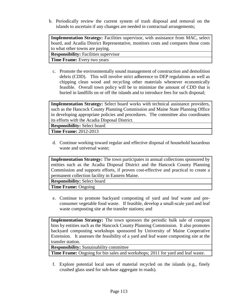b. Periodically review the current system of trash disposal and removal on the islands to ascertain if any changes are needed in contractual arrangements;

**Implementation Strategy:** Facilities supervisor, with assistance from MAC, select board, and Acadia District Representative, monitors costs and compares those costs to what other towns are paying. **Responsibility:** Facilities supervisor

**Time Frame:** Every two years

c. Promote the environmentally sound management of construction and demolition debris (CDD). This will involve strict adherence to DEP regulations as well as chipping clean wood and recycling other materials whenever economically feasible. Overall town policy will be to minimize the amount of CDD that is buried in landfills on or off the islands and to introduce fees for such disposal;

**Implementation Strategy:** Select board works with technical assistance providers, such as the Hancock County Planning Commission and Maine State Planning Office in developing appropriate policies and procedures. The committee also coordinates its efforts with the Acadia Disposal District.

**Responsibility:** Select board

**Time Frame:** 2012-2013

d. Continue working toward regular and effective disposal of household hazardous waste and universal waste;

**Implementation Strategy:** The town participates in annual collections sponsored by entities such as the Acadia Disposal District and the Hancock County Planning Commission and supports efforts, if proven cost-effective and practical to create a permanent collection facility in Eastern Maine.

**Responsibility:** Select board

**Time Frame:** Ongoing

e. Continue to promote backyard composting of yard and leaf waste and preconsumer vegetable food waste. If feasible, develop a small-scale yard and leaf waste composting site at the transfer stations; and

**Implementation Strategy:** The town sponsors the periodic bulk sale of compost bins by entities such as the Hancock County Planning Commission. It also promotes backyard composting workshops sponsored by University of Maine Cooperative Extension. It assesses the feasibility of a yard and leaf waste composting site at the transfer station.

**Responsibility:** Sustainability committee

**Time Frame:** Ongoing for bin sales and workshops; 2011 for yard and leaf waste.

f. Explore potential local uses of material recycled on the islands (e.g., finely crushed glass used for sub-base aggregate in roads).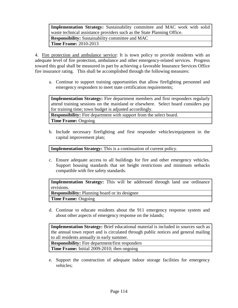**Implementation Strategy:** Sustainability committee and MAC work with solid waste technical assistance providers such as the State Planning Office. **Responsibility:** Sustainability committee and MAC **Time Frame:** 2010-2013

4. Fire protection and ambulance service: It is town policy to provide residents with an adequate level of fire protection, ambulance and other emergency-related services. Progress toward this goal shall be measured in part by achieving a favorable Insurance Services Office fire insurance rating. This shall be accomplished through the following measures:

a. Continue to support training opportunities that allow firefighting personnel and emergency responders to meet state certification requirements;

**Implementation Strategy:** Fire department members and first responders regularly attend training sessions on the mainland or elsewhere. Select board considers pay for training time; town budget is adjusted accordingly.

**Responsibility:** Fire department with support from the select board.

**Time Frame:** Ongoing

b. Include necessary firefighting and first responder vehicles/equipment in the capital improvement plan;

**Implementation Strategy:** This is a continuation of current policy.

c. Ensure adequate access to all buildings for fire and other emergency vehicles. Support housing standards that set height restrictions and minimum setbacks compatible with fire safety standards.

**Implementation Strategy:** This will be addressed through land use ordinance revisions.

**Responsibility:** Planning board or its designee **Time Frame:** Ongoing

d. Continue to educate residents about the 911 emergency response system and about other aspects of emergency response on the islands;

**Implementation Strategy:** Brief educational material is included in sources such as the annual town report and is circulated through public notices and general mailing to all residents annually in early summer.

**Responsibility:** Fire department/first responders

**Time Frame:** Initial 2009-2010; then ongoing

e. Support the construction of adequate indoor storage facilities for emergency vehicles;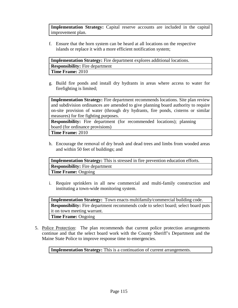**Implementation Strategy:** Capital reserve accounts are included in the capital improvement plan.

f. Ensure that the horn system can be heard at all locations on the respective islands or replace it with a more efficient notification system;

**Implementation Strategy:** Fire department explores additional locations. **Responsibility:** Fire department **Time Frame:** 2010

g. Build fire ponds and install dry hydrants in areas where access to water for firefighting is limited;

**Implementation Strategy:** Fire department recommends locations. Site plan review and subdivision ordinances are amended to give planning board authority to require on-site provision of water (through dry hydrants, fire ponds, cisterns or similar measures) for fire fighting purposes.

**Responsibility:** Fire department (for recommended locations); planning board (for ordinance provisions)

**Time Frame:** 2010

h. Encourage the removal of dry brush and dead trees and limbs from wooded areas and within 50 feet of buildings; and

**Implementation Strategy:** This is stressed in fire prevention education efforts. **Responsibility:** Fire department **Time Frame:** Ongoing

i. Require sprinklers in all new commercial and multi-family construction and instituting a town-wide monitoring system.

**Implementation Strategy:** Town enacts multifamily/commercial building code. **Responsibility:** Fire department recommends code to select board; select board puts it on town meeting warrant. **Time Frame:** Ongoing

5. Police Protection: The plan recommends that current police protection arrangements continue and that the select board work with the County Sheriff's Department and the Maine State Police to improve response time to emergencies.

**Implementation Strategy:** This is a continuation of current arrangements.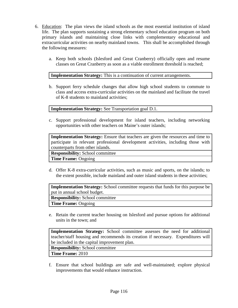- 6. Education: The plan views the island schools as the most essential institution of island life. The plan supports sustaining a strong elementary school education program on both primary islands and maintaining close links with complementary educational and extracurricular activities on nearby mainland towns. This shall be accomplished through the following measures:
	- a. Keep both schools (Islesford and Great Cranberry) officially open and resume classes on Great Cranberry as soon as a viable enrollment threshold is reached;

#### **Implementation Strategy:** This is a continuation of current arrangements.

b. Support ferry schedule changes that allow high school students to commute to class and access extra-curricular activities on the mainland and facilitate the travel of K-8 students to mainland activities;

**Implementation Strategy:** See Transportation goal D.1.

c. Support professional development for island teachers, including networking opportunities with other teachers on Maine's outer islands;

**Implementation Strategy:** Ensure that teachers are given the resources and time to participate in relevant professional development activities, including those with counterparts from other islands.

**Responsibility:** School committee

**Time Frame:** Ongoing

d. Offer K-8 extra-curricular activities, such as music and sports, on the islands; to the extent possible, include mainland and outer island students in these activities;

**Implementation Strategy:** School committee requests that funds for this purpose be put in annual school budget.

**Responsibility:** School committee

**Time Frame:** Ongoing

e. Retain the current teacher housing on Islesford and pursue options for additional units in the town; and

**Implementation Strategy:** School committee assesses the need for additional teacher/staff housing and recommends its creation if necessary. Expenditures will be included in the capital improvement plan. **Responsibility:** School committee **Time Frame:** 2010

f. Ensure that school buildings are safe and well-maintained; explore physical improvements that would enhance instruction.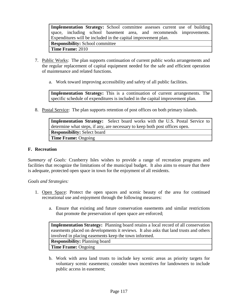| Implementation Strategy: School committee assesses current use of building |
|----------------------------------------------------------------------------|
| space, including school basement area, and recommends improvements.        |
| Expenditures will be included in the capital improvement plan.             |
| <b>Responsibility:</b> School committee                                    |
| <b>Time Frame: 2010</b>                                                    |

- 7. Public Works: The plan supports continuation of current public works arrangements and the regular replacement of capital equipment needed for the safe and efficient operation of maintenance and related functions.
	- a. Work toward improving accessibility and safety of all public facilities.

**Implementation Strategy:** This is a continuation of current arrangements. The specific schedule of expenditures is included in the capital improvement plan.

8. Postal Service: The plan supports retention of post offices on both primary islands.

**Implementation Strategy:** Select board works with the U.S. Postal Service to determine what steps, if any, are necessary to keep both post offices open. **Responsibility:** Select board **Time Frame:** Ongoing

#### **F. Recreation**

*Summary of Goals:* Cranberry Isles wishes to provide a range of recreation programs and facilities that recognize the limitations of the municipal budget. It also aims to ensure that there is adequate, protected open space in town for the enjoyment of all residents.

#### *Goals and Strategies:*

- 1. Open Space: Protect the open spaces and scenic beauty of the area for continued recreational use and enjoyment through the following measures:
	- a. Ensure that existing and future conservation easements and similar restrictions that promote the preservation of open space are enforced;

**Implementation Strategy:** Planning board retains a local record of all conservation easements placed on developments it reviews. It also asks that land trusts and others involved in placing easements keep the town informed. **Responsibility:** Planning board **Time Frame:** Ongoing

b. Work with area land trusts to include key scenic areas as priority targets for voluntary scenic easements; consider town incentives for landowners to include public access in easement;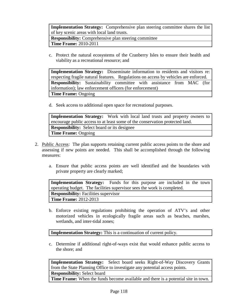**Implementation Strategy:** Comprehensive plan steering committee shares the list of key scenic areas with local land trusts.

**Responsibility:** Comprehensive plan steering committee

**Time Frame:** 2010-2011

c. Protect the natural ecosystems of the Cranberry Isles to ensure their health and viability as a recreational resource; and

**Implementation Strategy:** Disseminate information to residents and visitors re: respecting fragile natural features. Regulations on access by vehicles are enforced. **Responsibility:** Sustainability committee with assistance from MAC (for information); law enforcement officers (for enforcement) **Time Frame:** Ongoing

d. Seek access to additional open space for recreational purposes.

**Implementation Strategy:** Work with local land trusts and property owners to encourage public access to at least some of the conservation protected land. **Responsibility:** Select board or its designee **Time Frame:** Ongoing

- 2. Public Access: The plan supports retaining current public access points to the shore and assessing if new points are needed. This shall be accomplished through the following measures:
	- a. Ensure that public access points are well identified and the boundaries with private property are clearly marked;

**Implementation Strategy:** Funds for this purpose are included in the town operating budget. The facilities supervisor sees the work is completed. **Responsibility:** Facilities supervisor **Time Frame:** 2012-2013

b. Enforce existing regulations prohibiting the operation of ATV's and other motorized vehicles in ecologically fragile areas such as beaches, marshes, wetlands, and inter-tidal zones;

**Implementation Strategy:** This is a continuation of current policy.

c. Determine if additional right-of-ways exist that would enhance public access to the shore; and

**Implementation Strategy:** Select board seeks Right-of-Way Discovery Grants from the State Planning Office to investigate any potential access points. **Responsibility:** Select board

**Time Frame:** When the funds become available and there is a potential site in town.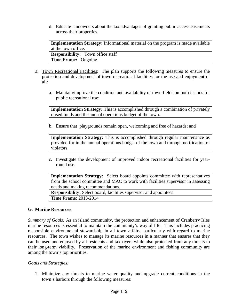d. Educate landowners about the tax advantages of granting public access easements across their properties.

**Implementation Strategy:** Informational material on the program is made available at the town office. **Responsibility:** Town office staff **Time Frame:** Ongoing

- 3. Town Recreational Facilities: The plan supports the following measures to ensure the protection and development of town recreational facilities for the use and enjoyment of all:
	- a. Maintain/improve the condition and availability of town fields on both islands for public recreational use;

**Implementation Strategy:** This is accomplished through a combination of privately raised funds and the annual operations budget of the town.

b. Ensure that playgrounds remain open, welcoming and free of hazards; and

**Implementation Strategy:** This is accomplished through regular maintenance as provided for in the annual operations budget of the town and through notification of violators.

c. Investigate the development of improved indoor recreational facilities for yearround use.

**Implementation Strategy:** Select board appoints committee with representatives from the school committee and MAC to work with facilities supervisor in assessing needs and making recommendations.

**Responsibility:** Select board, facilities supervisor and appointees **Time Frame:** 2013-2014

#### **G. Marine Resources**

*Summary of Goals:* As an island community, the protection and enhancement of Cranberry Isles marine resources is essential to maintain the community's way of life. This includes practicing responsible environmental stewardship in all town affairs, particularly with regard to marine resources. The town wishes to manage its marine resources in a manner that ensures that they can be used and enjoyed by all residents and taxpayers while also protected from any threats to their long-term viability. Preservation of the marine environment and fishing community are among the town's top priorities.

*Goals and Strategies:*

1. Minimize any threats to marine water quality and upgrade current conditions in the town's harbors through the following measures: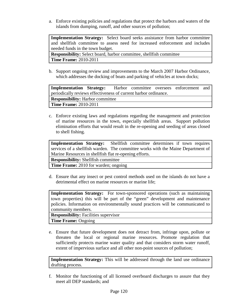a. Enforce existing policies and regulations that protect the harbors and waters of the islands from dumping, runoff, and other sources of pollution;

**Implementation Strategy:** Select board seeks assistance from harbor committee and shellfish committee to assess need for increased enforcement and includes needed funds in the town budget.

**Responsibility:** Select board, harbor committee, shellfish committee **Time Frame:** 2010-2011

b. Support ongoing review and improvements to the March 2007 Harbor Ordinance, which addresses the docking of boats and parking of vehicles at town docks;

| Implementation Strategy: Harbor committee oversees enforcement and |  |  |  |
|--------------------------------------------------------------------|--|--|--|
| periodically reviews effectiveness of current harbor ordinance.    |  |  |  |
| <b>Responsibility:</b> Harbor committee                            |  |  |  |
| <b>Time Frame: 2010-2011</b>                                       |  |  |  |

c. Enforce existing laws and regulations regarding the management and protection of marine resources in the town, especially shellfish areas. Support pollution elimination efforts that would result in the re-opening and seeding of areas closed to shell fishing.

**Implementation Strategy:** Shellfish committee determines if town requires services of a shellfish warden. The committee works with the Maine Department of Marine Resources in shellfish flat re-opening efforts.

**Responsibility:** Shellfish committee

**Time Frame:** 2010 for warden; ongoing

d. Ensure that any insect or pest control methods used on the islands do not have a detrimental effect on marine resources or marine life;

**Implementation Strategy:** For town-sponsored operations (such as maintaining town properties) this will be part of the "green" development and maintenance policies. Information on environmentally sound practices will be communicated to community members.

**Responsibility:** Facilities supervisor **Time Frame:** Ongoing

e. Ensure that future development does not detract from, infringe upon, pollute or threaten the local or regional marine resources. Promote regulation that sufficiently protects marine water quality and that considers storm water runoff, extent of impervious surface and all other non-point sources of pollution;

**Implementation Strategy:** This will be addressed through the land use ordinance drafting process.

f. Monitor the functioning of all licensed overboard discharges to assure that they meet all DEP standards; and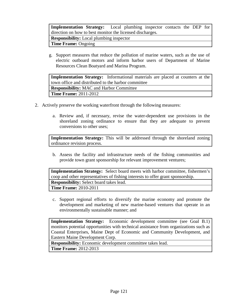**Implementation Strategy:** Local plumbing inspector contacts the DEP for direction on how to best monitor the licensed discharges.

**Responsibility:** Local plumbing inspector

**Time Frame:** Ongoing

g. Support measures that reduce the pollution of marine waters, such as the use of electric outboard motors and inform harbor users of Department of Marine Resources Clean Boatyard and Marina Program.

| <b>Implementation Strategy:</b> Informational materials are placed at counters at the |  |  |  |  |  |
|---------------------------------------------------------------------------------------|--|--|--|--|--|
| town office and distributed to the harbor committee                                   |  |  |  |  |  |
| <b>Responsibility:</b> MAC and Harbor Committee                                       |  |  |  |  |  |
| <b>Time Frame: 2011-2012</b>                                                          |  |  |  |  |  |

- 2. Actively preserve the working waterfront through the following measures:
	- a. Review and, if necessary, revise the water-dependent use provisions in the shoreland zoning ordinance to ensure that they are adequate to prevent conversions to other uses;

**Implementation Strategy:** This will be addressed through the shoreland zoning ordinance revision process.

b. Assess the facility and infrastructure needs of the fishing communities and provide town grant sponsorship for relevant improvement ventures;

**Implementation Strategy:** Select board meets with harbor committee, fishermen's coop and other representatives of fishing interests to offer grant sponsorship. **Responsibility:** Select board takes lead. **Time Frame:** 2010-2011

c. Support regional efforts to diversify the marine economy and promote the development and marketing of new marine-based ventures that operate in an environmentally sustainable manner; and

**Implementation Strategy:** Economic development committee (see Goal B.1) monitors potential opportunities with technical assistance from organizations such as Coastal Enterprises, Maine Dept of Economic and Community Development, and Eastern Maine Development Corp.

**Responsibility:** Economic development committee takes lead. **Time Frame:** 2012-2013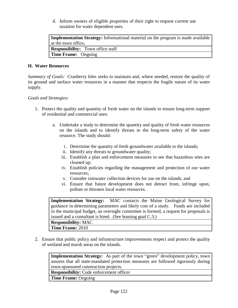d. Inform owners of eligible properties of their right to request current use taxation for water dependent uses.

| <b>Implementation Strategy:</b> Informational material on the program is made available |
|-----------------------------------------------------------------------------------------|
| at the town office.                                                                     |
| <b>Responsibility:</b> Town office staff                                                |
| <b>Time Frame:</b> Ongoing                                                              |

#### **H. Water Resources**

*Summary of Goals:* Cranberry Isles seeks to maintain and, where needed, restore the quality of its ground and surface water resources in a manner that respects the fragile nature of its water supply.

#### *Goals and Strategies:*

- 1. Protect the quality and quantity of fresh water on the islands to ensure long-term support of residential and commercial uses:
	- a. Undertake a study to determine the quantity and quality of fresh water resources on the islands and to identify threats to the long-term safety of the water resource. The study should:
		- i. Determine the quantity of fresh groundwater available to the islands;
		- ii. Identify any threats to groundwater quality;
		- iii. Establish a plan and enforcement measures to see that hazardous sites are cleaned up;
		- iv. Establish policies regarding the management and protection of our water resources;
		- v. Consider rainwater collection devices for use on the islands, and
		- vi. Ensure that future development does not detract from, infringe upon, pollute or threaten local water resources.

**Implementation Strategy:** MAC contacts the Maine Geological Survey for guidance in determining parameters and likely cost of a study. Funds are included in the municipal budget, an oversight committee is formed, a request for proposals is issued and a consultant is hired. (See housing goal C.3.) **Responsibility:** MAC

**Time Frame:** 2010

2. Ensure that public policy and infrastructure improvements respect and protect the quality of wetland and marsh areas on the islands.

**Implementation Strategy:** As part of the town "green" development policy, town assures that all state-mandated protection measures are followed rigorously during town-sponsored construction projects.

**Responsibility:** Code enforcement officer

**Time Frame:** Ongoing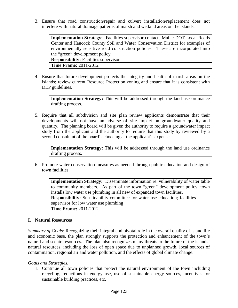3. Ensure that road construction/repair and culvert installation/replacement does not interfere with natural drainage patterns of marsh and wetland areas on the islands.

**Implementation Strategy:** Facilities supervisor contacts Maine DOT Local Roads Center and Hancock County Soil and Water Conservation District for examples of environmentally sensitive road construction policies. These are incorporated into the "green" development policy. **Responsibility:** Facilities supervisor **Time Frame:** 2011-2012

4. Ensure that future development protects the integrity and health of marsh areas on the islands; review current Resource Protection zoning and ensure that it is consistent with DEP guidelines.

**Implementation Strategy:** This will be addressed through the land use ordinance drafting process.

5. Require that all subdivision and site plan review applicants demonstrate that their developments will not have an adverse off-site impact on groundwater quality and quantity. The planning board will be given the authority to require a groundwater impact study from the applicant and the authority to require that this study by reviewed by a second consultant of the board's choosing at the applicant's expense.

**Implementation Strategy:** This will be addressed through the land use ordinance drafting process.

6. Promote water conservation measures as needed through public education and design of town facilities.

**Implementation Strategy:** Disseminate information re: vulnerability of water table to community members. As part of the town "green" development policy, town installs low water use plumbing in all new of expanded town facilities. **Responsibility:** Sustainability committee for water use education; facilities supervisor for low water use plumbing **Time Frame:** 2011-2012

## **I. Natural Resources**

*Summary of Goals:* Recognizing their integral and pivotal role in the overall quality of island life and economic base, the plan strongly supports the protection and enhancement of the town's natural and scenic resources. The plan also recognizes many threats to the future of the islands' natural resources, including the loss of open space due to unplanned growth, local sources of contamination, regional air and water pollution, and the effects of global climate change.

## *Goals and Strategies:*

1. Continue all town policies that protect the natural environment of the town including recycling, reductions in energy use, use of sustainable energy sources, incentives for sustainable building practices, etc.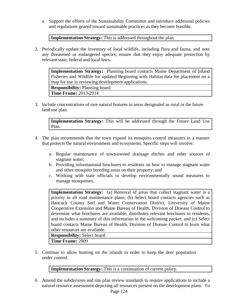a. Support the efforts of the Sustainability Committee and introduce additional policies and regulations geared toward sustainable practices as they become feasible.

**Implementation Strategy:** This is addressed throughout the plan.

2. Periodically update the inventory of local wildlife, including flora and fauna, and note any threatened or endangered species; ensure that they enjoy adequate protection by relevant state, federal and local laws.

**Implementation Strategy:** Planning board contacts Maine Department of Inland Fisheries and Wildlife for updated Beginning with Habitat data for placement on a map for use in reviewing development applications. **Responsibility:** Planning board

**Time Frame:** 2013-2014

3. Include concentrations of rare natural features in areas designated as rural in the future land use plan.

**Implementation Strategy:** This will be addressed through the Future Land Use Plan.

- 4. The plan recommends that the town expand its mosquito control measures in a manner that protects the natural environment and ecosystems. Specific steps will involve:
	- a. Regular maintenance of town-owned drainage ditches and other sources of stagnant water;
	- b. Providing informational brochures to residents on how to manage stagnant water and other mosquito breeding areas on their property; and
	- c. Working with state officials to develop environmentally sound measures to manage mosquitoes.

**Implementation Strategy:** (a) Removal of areas that collect stagnant water is a priority in all road maintenance plans; (b) Select board contacts agencies such as Hancock County Soil and Water Conservation District, University of Maine Cooperative Extension and Maine Bureau of Health, Division of Disease Control to determine what brochures are available, distributes relevant brochures to residents, and includes a summary of this information in the welcoming packet; and (c) Select board contacts Maine Bureau of Health, Division of Disease Control to learn what other resources are available. **Responsibility:** Select board

**Time Frame:** 2009

5. Continue to allow hunting on the islands in order to keep the deer population under control.

**Implementation Strategy:** This is a continuation of current policy.

6. Amend the subdivision and site plan review standards to require applications to include a natural resource assessment depicting all resources present on the development plans. To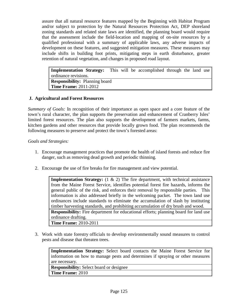assure that all natural resource features mapped by the Beginning with Habitat Program and/or subject to protection by the Natural Resources Protection Act, DEP shoreland zoning standards and related state laws are identified, the planning board would require that the assessment include the field-location and mapping of on-site resources by a qualified professional with a summary of applicable laws, any adverse impacts of development on these features, and suggested mitigation measures. These measures may include shifts in building foot prints, mitigating steps in earth disturbance, greater retention of natural vegetation, and changes in proposed road layout.

**Implementation Strategy:** This will be accomplished through the land use ordinance revisions. **Responsibility:** Planning board **Time Frame:** 2011-2012

## **J. Agricultural and Forest Resources**

*Summary of Goals:* In recognition of their importance as open space and a core feature of the town's rural character, the plan supports the preservation and enhancement of Cranberry Isles' limited forest resources. The plan also supports the development of farmers markets, farms, kitchen gardens and other resources that provide locally grown food. The plan recommends the following measures to preserve and protect the town's forested areas:

*Goals and Strategies:*

- 1. Encourage management practices that promote the health of island forests and reduce fire danger, such as removing dead growth and periodic thinning.
- 2. Encourage the use of fire breaks for fire management and view potential.

**Implementation Strategy:** (1 & 2) The fire department, with technical assistance from the Maine Forest Service, identifies potential forest fire hazards, informs the general public of the risk, and enforces their removal by responsible parties. This information is also addressed briefly in the welcoming packet. The town land use ordinances include standards to eliminate the accumulation of slash by instituting timber harvesting standards, and prohibiting accumulation of dry brush and wood. **Responsibility:** Fire department for educational efforts; planning board for land use ordinance drafting. **Time Frame:** 2010-2011

3. Work with state forestry officials to develop environmentally sound measures to control pests and disease that threaten trees.

**Implementation Strategy:** Select board contacts the Maine Forest Service for information on how to manage pests and determines if spraying or other measures are necessary.

**Responsibility:** Select board or designee **Time Frame:** 2010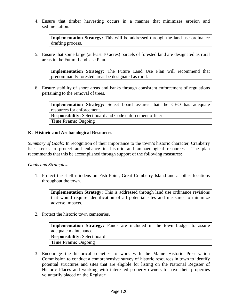4. Ensure that timber harvesting occurs in a manner that minimizes erosion and sedimentation.

**Implementation Strategy:** This will be addressed through the land use ordinance drafting process.

5. Ensure that some large (at least 10 acres) parcels of forested land are designated as rural areas in the Future Land Use Plan.

**Implementation Strategy:** The Future Land Use Plan will recommend that predominantly forested areas be designated as rural.

6. Ensure stability of shore areas and banks through consistent enforcement of regulations pertaining to the removal of trees.

**Implementation Strategy:** Select board assures that the CEO has adequate resources for enforcement. **Responsibility:** Select board and Code enforcement officer **Time Frame:** Ongoing

#### **K. Historic and Archaeological Resources**

*Summary of Goals:* In recognition of their importance to the town's historic character, Cranberry Isles seeks to protect and enhance its historic and archaeological resources. The plan recommends that this be accomplished through support of the following measures:

*Goals and Strategies:*

1. Protect the shell middens on Fish Point, Great Cranberry Island and at other locations throughout the town.

**Implementation Strategy:** This is addressed through land use ordinance revisions that would require identification of all potential sites and measures to minimize adverse impacts.

2. Protect the historic town cemeteries.

**Implementation Strategy:** Funds are included in the town budget to assure adequate maintenance **Responsibility:** Select board **Time Frame:** Ongoing

3. Encourage the historical societies to work with the Maine Historic Preservation Commission to conduct a comprehensive survey of historic resources in town to identify potential structures and sites that are eligible for listing on the National Register of Historic Places and working with interested property owners to have their properties voluntarily placed on the Register;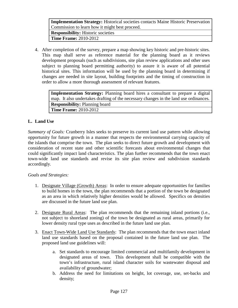**Implementation Strategy:** Historical societies contacts Maine Historic Preservation Commission to learn how it might best proceed.

**Responsibility:** Historic societies **Time Frame:** 2010-2012

4. After completion of the survey, prepare a map showing key historic and pre-historic sites. This map shall serve as reference material for the planning board as it reviews development proposals (such as subdivisions, site plan review applications and other uses subject to planning board permitting authority) to assure it is aware of all potential historical sites. This information will be used by the planning board in determining if changes are needed in site layout, building footprints and the timing of construction in order to allow a more thorough assessment of relevant features.

**Implementation Strategy:** Planning board hires a consultant to prepare a digital map. It also undertakes drafting of the necessary changes in the land use ordinances. **Responsibility:** Planning board **Time Frame:** 2010-2012

# **L. Land Use**

*Summary of Goals:* Cranberry Isles seeks to preserve its current land use pattern while allowing opportunity for future growth in a manner that respects the environmental carrying capacity of the islands that comprise the town. The plan seeks to direct future growth and development with consideration of recent state and other scientific forecasts about environmental changes that could significantly impact land characteristics. The plan further recommends that the town enact town-wide land use standards and revise its site plan review and subdivision standards accordingly.

# *Goals and Strategies:*

- 1. Designate Village (Growth) Areas: In order to ensure adequate opportunities for families to build homes in the town, the plan recommends that a portion of the town be designated as an area in which relatively higher densities would be allowed. Specifics on densities are discussed in the future land use plan.
- 2. Designate Rural Areas: The plan recommends that the remaining inland portions (i.e., not subject to shoreland zoning) of the town be designated as rural areas, primarily for lower density rural type uses as described in the future land use plan.
- 3. Enact Town-Wide Land Use Standards: The plan recommends that the town enact inland land use standards based on the proposal contained in the future land use plan. The proposed land use guidelines will:
	- a. Set standards to encourage limited commercial and multifamily development in designated areas of town. This development shall be compatible with the town's infrastructure, rural island character soils for wastewater disposal and availability of groundwater;
	- b. Address the need for limitations on height, lot coverage, use, set-backs and density;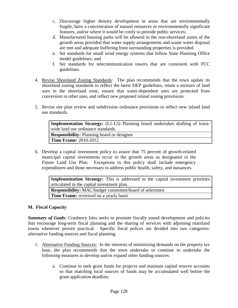- c. Discourage higher density development in areas that are environmentally fragile, have a concentration of natural resources or environmentally significant features, and/or where it would be costly to provide public services;
- d. Manufactured housing parks will be allowed in the non-shoreland zones of the growth areas provided that water supply arrangements and waste water disposal are met and adequate buffering from surrounding properties is provided.
- e. Set standards for small wind energy systems that follow State Planning Office model guidelines; and
- f. Set standards for telecommunication towers that are consistent with FCC guidelines.
- 4. Revise Shoreland Zoning Standards: The plan recommends that the town update its shoreland zoning standards to reflect the latest DEP guidelines, retain a mixture of land uses in the shoreland zone, ensure that water-dependent uses are protected from conversion to other uses, and reflect new proposed inland zoning provisions.
- 5. Revise site plan review and subdivision ordinance provisions to reflect new inland land use standards.

**Implementation Strategy:** (L1-L5) Planning board undertakes drafting of townwide land use ordinance standards.

**Responsibility:** Planning board or designee **Time Frame:** 2010-2012

6. Develop a capital investment policy to assure that 75 percent of growth-related municipal capital investments occur in the growth areas as designated in the Future Land Use Plan. Exceptions to this policy shall include emergency expenditures and those necessary to address public health, safety, and nuisances.

**Implementation Strategy:** This is addressed in the capital investment priorities articulated in the capital investment plan. **Responsibility:** MAC/budget committee/board of selectmen **Time Frame:** reviewed on a yearly basis

# **M. Fiscal Capacity**

*Summary of Goals:* Cranberry Isles seeks to promote fiscally sound development and policies that encourage long-term fiscal planning and the sharing of services with adjoining mainland towns whenever proven practical. Specific fiscal polices are divided into two categories: alternative funding sources and fiscal planning.

- 1. Alternative Funding Sources: In the interests of minimizing demands on the property tax base, the plan recommends that the town undertake or continue to undertake the following measures to develop and/or expand other funding sources:
	- a. Continue to seek grant funds for projects and maintain capital reserve accounts so that matching local sources of funds may be accumulated well before the grant application deadline;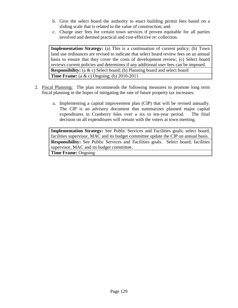- b. Give the select board the authority to enact building permit fees based on a sliding scale that is related to the value of construction; and
- c. Charge user fees for certain town services if proven equitable for all parties involved and deemed practical and cost-effective re: collection.

**Implementation Strategy:** (a) This is a continuation of current policy; (b) Town land use ordinances are revised to indicate that select board review fees on an annual basis to ensure that they cover the costs of development review; (c) Select board reviews current policies and determines if any additional user fees can be imposed. **Responsibility:** (a & c) Select board; (b) Planning board and select board **Time Frame:** (a & c) Ongoing; (b) 2010-2011

- 2. Fiscal Planning:The plan recommends the following measures to promote long term fiscal planning in the hopes of mitigating the rate of future property tax increases:
	- a. Implementing a capital improvement plan (CIP) that will be revised annually. The CIP is an advisory document that summarizes planned major capital expenditures in Cranberry Isles over a six to ten-year period. The final decision on all expenditures will remain with the voters at town meeting.

**Implementation Strategy:** See Public Services and Facilities goals; select board, facilities supervisor, MAC and its budget committee update the CIP on annual basis. **Responsibility:** See Public Services and Facilities goals. Select board, facilities supervisor, MAC and its budget committee.

**Time Frame:** Ongoing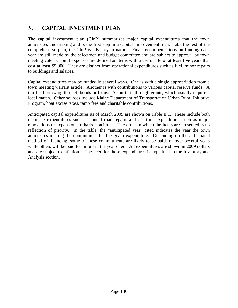# **N. CAPITAL INVESTMENT PLAN**

The capital investment plan (CInP) summarizes major capital expenditures that the town anticipates undertaking and is the first step in a capital improvement plan. Like the rest of the comprehensive plan, the CInP is advisory in nature. Final recommendations on funding each year are still made by the selectmen and budget committee and are subject to approval by town meeting vote. Capital expenses are defined as items with a useful life of at least five years that cost at least \$5,000. They are distinct from operational expenditures such as fuel, minor repairs to buildings and salaries.

Capital expenditures may be funded in several ways. One is with a single appropriation from a town meeting warrant article. Another is with contributions to various capital reserve funds. A third is borrowing through bonds or loans. A fourth is through grants, which usually require a local match. Other sources include Maine Department of Transportation Urban Rural Initiative Program, boat excise taxes, ramp fees and charitable contributions.

Anticipated capital expenditures as of March 2009 are shown on Table II.1. These include both recurring expenditures such as annual road repairs and one-time expenditures such as major renovations or expansions to harbor facilities. The order in which the items are presented is no reflection of priority. In the table, the "anticipated year" cited indicates the year the town anticipates making the commitment for the given expenditure. Depending on the anticipated method of financing, some of these commitments are likely to be paid for over several years while others will be paid for in full in the year cited. All expenditures are shown in 2009 dollars and are subject to inflation. The need for these expenditures is explained in the Inventory and Analysis section.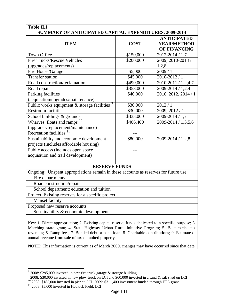| Table II.1<br>SUMMARY OF ANTICIPATED CAPITAL EXPENDITURES, 2009-2014                                |             |                                                          |
|-----------------------------------------------------------------------------------------------------|-------------|----------------------------------------------------------|
| <b>ITEM</b>                                                                                         | <b>COST</b> | <b>ANTICIPATED</b><br><b>YEAR/METHOD</b><br>OF FINANCING |
| <b>Town Office</b>                                                                                  | \$150,000   | 2012-2014 / 1,7                                          |
| <b>Fire Trucks/Rescue Vehicles</b>                                                                  | \$200,000   | 2009, 2010-2013 /                                        |
| (upgrades/replacements)                                                                             |             | 1,2,8                                                    |
| Fire House/Garage <sup>8</sup>                                                                      | \$5,000     | 2009/1                                                   |
| <b>Transfer station</b>                                                                             | \$45,000    | 2010-2012 / 1                                            |
| Road construction/reclamation                                                                       | \$490,000   | 2010-2011 / 1,2,4,7                                      |
| Road repair                                                                                         | \$353,000   | 2009-2014 / 1,2,4                                        |
| Parking facilities                                                                                  | \$40,000    | 2010, 2012, 2014 / 1                                     |
| (acquisition/upgrades/maintenance)                                                                  |             |                                                          |
| Public works equipment $\&$ storage facilities $\frac{9}{2}$                                        | \$30,000    | 2012/1                                                   |
| <b>Restroom facilities</b>                                                                          | \$30,000    | 2009, 2012 / 1                                           |
| School buildings & grounds                                                                          | \$333,000   | 2009-2014 / 1,7                                          |
| Wharves, floats and ramps                                                                           | \$406,400   | 2009-2014 / 1,3,5,6                                      |
| (upgrades/replacement/maintenance)                                                                  |             |                                                          |
| Recreation facilities <sup>1</sup>                                                                  |             |                                                          |
| Sustainability and economic development                                                             | \$80,000    | 2009-2014 / 1,2,8                                        |
| projects (includes affordable housing)                                                              |             |                                                          |
| Public access (includes open space                                                                  |             |                                                          |
| acquisition and trail development)                                                                  |             |                                                          |
|                                                                                                     |             |                                                          |
| <b>RESERVE FUNDS</b>                                                                                |             |                                                          |
| Ongoing: Unspent appropriations remain in these accounts as reserves for future use                 |             |                                                          |
| Fire departments                                                                                    |             |                                                          |
| Road construction/repair                                                                            |             |                                                          |
| School department: education and tuition                                                            |             |                                                          |
| Project: Existing reserves for a specific project                                                   |             |                                                          |
| <b>Manset facility</b>                                                                              |             |                                                          |
| Proposed new reserve accounts:                                                                      |             |                                                          |
| Sustainability & economic development                                                               |             |                                                          |
|                                                                                                     |             |                                                          |
| Key: 1. Direct appropriation; 2. Existing capital reserve funds dedicated to a specific purpose; 3. |             |                                                          |

Matching state grant; 4. State Highway Urban Rural Initiative Program; 5. Boat excise tax revenues; 6. Ramp fees; 7. Bonded debt or bank loan; 8. Charitable contributions; 9. Estimate of annual revenue from sale of tax-defaulted property.

**NOTE:** This information is current as of March 2009, changes may have occurred since that date.

 $\frac{8}{3}$  2008: \$295,000 invested in new fire truck garage & storage building

<span id="page-140-2"></span><span id="page-140-1"></span><span id="page-140-0"></span> $9$  2008: \$30,000 invested in new plow truck on LCI and \$60,000 invested in a sand & salt shed on LCI

<sup>&</sup>lt;sup>10</sup> 2008: \$185,000 invested in pier at GCI; 2009: \$311,400 investment funded through FTA grant <sup>11</sup> 2008: \$5,000 invested in Hadlock Field, LCI

<span id="page-140-3"></span>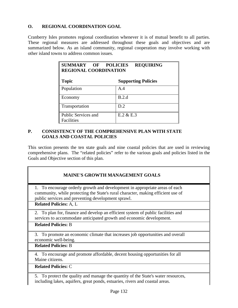# **O. REGIONAL COORDINATION GOAL**

Cranberry Isles promotes regional coordination whenever it is of mutual benefit to all parties. These regional measures are addressed throughout these goals and objectives and are summarized below. As an island community, regional cooperation may involve working with other island towns to address common issues.

| SUMMARY OF POLICIES<br><b>REGIONAL COORDINATION</b> | <b>REQUIRING</b>           |
|-----------------------------------------------------|----------------------------|
| <b>Topic</b>                                        | <b>Supporting Policies</b> |
| Population                                          | A.4                        |
| Economy                                             | B.2.d                      |
| Transportation                                      | D.2                        |
| Public Services and<br>Facilities                   | $E.2 \& E.3$               |

# **P. CONSISTENCY OF THE COMPREHENSIVE PLAN WITH STATE GOALS AND COASTAL POLICIES**

This section presents the ten state goals and nine coastal policies that are used in reviewing comprehensive plans. The "related policies" refer to the various goals and policies listed in the Goals and Objective section of this plan.

| <b>MAINE'S GROWTH MANAGEMENT GOALS</b>                                                                                                                                                                                |
|-----------------------------------------------------------------------------------------------------------------------------------------------------------------------------------------------------------------------|
| 1. To encourage orderly growth and development in appropriate areas of each<br>community, while protecting the State's rural character, making efficient use of<br>public services and preventing development sprawl. |
| <b>Related Policies: A, L</b>                                                                                                                                                                                         |
| 2. To plan for, finance and develop an efficient system of public facilities and<br>services to accommodate anticipated growth and economic development.                                                              |
| <b>Related Policies: B</b>                                                                                                                                                                                            |
| 3. To promote an economic climate that increases job opportunities and overall<br>economic well-being.                                                                                                                |
| <b>Related Policies: B</b>                                                                                                                                                                                            |
| 4. To encourage and promote affordable, decent housing opportunities for all<br>Maine citizens.                                                                                                                       |
| <b>Related Policies: C</b>                                                                                                                                                                                            |
| 5. To protect the quality and manage the quantity of the State's water resources,                                                                                                                                     |

including lakes, aquifers, great ponds, estuaries, rivers and coastal areas.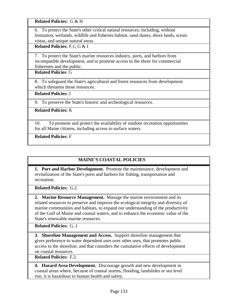**Related Policies:** G & H

6. To protect the State's other critical natural resources, including, without limitation, wetlands, wildlife and fisheries habitat, sand dunes, shore lands, scenic vistas, and unique natural areas.

**Related Policies:** F,1; G & I

7. To protect the State's marine resources industry, ports, and harbors from incompatible development, and to promote access to the shore for commercial fishermen and the public.

**Related Policies**: G

8. To safeguard the State's agricultural and forest resources from development which threatens those resources.

**Related Policies:** J

9. To preserve the State's historic and archeological resources.

**Related Policies:** K

10. To promote and protect the availability of outdoor recreation opportunities for all Maine citizens, including access to surface waters.

**Related Policies:** F

# **MAINE'S COASTAL POLICIES**

**1. Port and Harbor Development.** Promote the maintenance, development and revitalization of the State's ports and harbors for fishing, transportation and recreation.

**Related Policies:** G.2

**2. Marine Resource Management.** Manage the marine environment and its related resources to preserve and improve the ecological integrity and diversity of marine communities and habitats, to expand our understanding of the productivity of the Gulf of Maine and coastal waters, and to enhance the economic value of the State's renewable marine resources.

**Related Policies:** G..1

**3. Shoreline Management and Access.** Support shoreline management that gives preference to water dependent uses over other uses, that promotes public access to the shoreline, and that considers the cumulative effects of development on coastal resources.

**Related Policies:** F.2.

**4. Hazard Area Development.** Discourage growth and new development in coastal areas where, because of coastal storms, flooding, landslides or sea level rise, it is hazardous to human health and safety.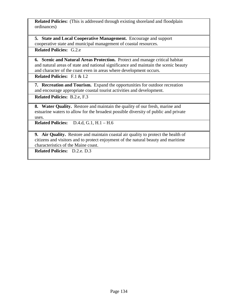**Related Policies:** (This is addressed through existing shoreland and floodplain ordinances)

**5. State and Local Cooperative Management.** Encourage and support cooperative state and municipal management of coastal resources.

**Related Policies:** G.2.e

**6. Scenic and Natural Areas Protection.** Protect and manage critical habitat and natural areas of state and national significance and maintain the scenic beauty and character of the coast even in areas where development occurs.

**Related Policies:** F.1 & I.2

**7. Recreation and Tourism.** Expand the opportunities for outdoor recreation and encourage appropriate coastal tourist activities and development.

**Related Policies:** B.2.e, F.3

**8. Water Quality.** Restore and maintain the quality of our fresh, marine and estuarine waters to allow for the broadest possible diversity of public and private uses.

**Related Policies:** D.4.d, G.1, H.1 – H.6

**9. Air Quality.** Restore and maintain coastal air quality to protect the health of citizens and visitors and to protect enjoyment of the natural beauty and maritime characteristics of the Maine coast.

**Related Policies:** D.2.e. D.3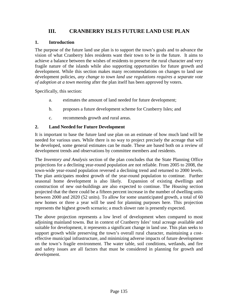## **III. CRANBERRY ISLES FUTURE LAND USE PLAN**

### **1. Introduction**

The purpose of the future land use plan is to support the town's goals and to advance the vision of what Cranberry Isles residents want their town to be in the future. It aims to achieve a balance between the wishes of residents to preserve the rural character and very fragile nature of the islands while also supporting opportunities for future growth and development. While this section makes many recommendations on changes to land use development policies, *any change to town land use regulations requires a separate vote of adoption at a town meeting* after the plan itself has been approved by voters.

Specifically, this section:

- a. estimates the amount of land needed for future development;
- b. proposes a future development scheme for Cranberry Isles; and
- c. recommends growth and rural areas.

## **2. Land Needed for Future Development**

It is important to base the future land use plan on an estimate of how much land will be needed for various uses. While there is no way to project precisely the acreage that will be developed, some general estimates can be made. These are based both on a review of development trends and observations by committee members and residents.

The *Inventory and Analysis* section of the plan concludes that the State Planning Office projections for a declining year-round population are not reliable. From 2005 to 2008, the town-wide year-round population reversed a declining trend and returned to 2000 levels. The plan anticipates modest growth of the year-round population to continue. Further seasonal home development is also likely. Expansion of existing dwellings and construction of new out-buildings are also expected to continue. The *Housing* section projected that the there could be a fifteen percent increase in the number of dwelling units between 2000 and 2020 (52 units). To allow for some unanticipated growth, a total of 60 new homes or three a year will be used for planning purposes here. This projection represents the highest growth scenario; a much slower rate is presently expected.

The above projection represents a low level of development when compared to most adjoining mainland towns. But in context of Cranberry Isles' total acreage available and suitable for development, it represents a significant change in land use. This plan seeks to support growth while preserving the town's overall rural character, maintaining a costeffective municipal infrastructure, and minimizing adverse impacts of future development on the town's fragile environment. The water table, soil conditions, wetlands, and fire and safety issues are all factors that must be considered in planning for growth and development.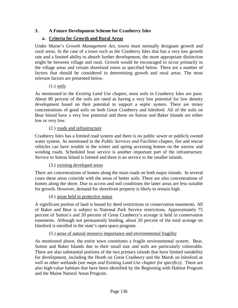## **3. A Future Development Scheme for Cranberry Isles**

### **a. Criteria for Growth and Rural Areas**

Under Maine's *Growth Management Act,* towns must normally designate growth and rural areas. In the case of a town such as the Cranberry Isles that has a very low growth rate and a limited ability to absorb further development, the more appropriate distinction might be between village and rural. Growth would be encouraged to occur primarily in the village areas and certain shoreland zones as specified below. There are a number of factors that should be considered in determining growth and rural areas. The most relevant factors are presented below.

#### (1.) soils

As mentioned in the *Existing Land Use* chapter, most soils in Cranberry Isles are poor. About 80 percent of the soils are rated as having a very low potential for low density development based on their potential to support a septic system. There are minor concentrations of good soils on both Great Cranberry and Islesford. All of the soils on Bear Island have a very low potential and those on Sutton and Baker Islands are either low or very low.

#### (2.) roads and infrastructure

Cranberry Isles has a limited road system and there is no public sewer or publicly owned water system. As mentioned in the *Public Services and Facilities* chapter, fire and rescue vehicles can have trouble in the winter and spring accessing homes on the narrow and winding roads. Scheduled boat service is another important part of the infrastructure. Service to Sutton Island is limited and there is no service to the smaller islands.

(3.) existing developed areas

There are concentrations of homes along the main roads on both major islands. In several cases these areas coincide with the areas of better soils. There are also concentrations of homes along the shore. Due to access and soil conditions the latter areas are less suitable for growth. However, demand for shorefront property is likely to remain high.

#### (4.) areas held in protective status

A significant portion of land is bound by deed restrictions or conservation easements. All of Baker and Bear is subject to National Park Service restrictions. Approximately 75 percent of Sutton's and 20 percent of Great Cranberry's acreage is held in conservation easements. Although not permanently binding, about 20 percent of the total acreage on Islesford is enrolled in the state's open space program.

#### (5.) areas of natural resource importance and environmental fragility

As mentioned above, the entire town constitutes a fragile environmental system. Bear, Sutton and Baker Islands due to their small size and soils are particularly vulnerable. There are also substantial portions of the two primary islands that have limited suitability for development, including the Heath on Great Cranberry and the Marsh on Islesford as well as other wetlands (*see maps and Existing Land Use chapter for specifics)*. There are also high-value habitats that have been identified by the Beginning with Habitat Program and the Maine Natural Areas Program.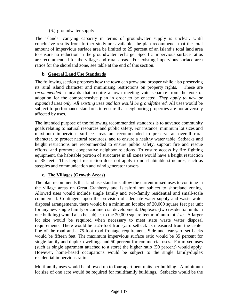### (6.) groundwater supply

The islands' carrying capacity in terms of groundwater supply is unclear. Until conclusive results from further study are available, the plan recommends that the total amount of impervious surface area be limited to 25 percent of an island's total land area to ensure no reduction in the groundwater recharge. Specific impervious surface ratios are recommended for the village and rural areas. For existing impervious surface area ratios for the shoreland zone, see table at the end of this section.

## **b. General Land Use Standards**

The following section proposes how the town can grow and prosper while also preserving its rural island character and minimizing restrictions on property rights. These are *recommended* standards that require a town meeting vote separate from the vote of adoption for the comprehensive plan in order to be enacted. *They apply to new or expanded uses only. All existing uses and lots would be grandfathered.* All uses would be subject to performance standards to ensure that neighboring properties are not adversely affected by uses.

The intended purpose of the following recommended standards is to advance community goals relating to natural resources and public safety. For instance, minimum lot sizes and maximum impervious surface areas are recommended to preserve an overall rural character, to protect natural resources, and to ensure a healthy water table. Setbacks and height restrictions are recommended to ensure public safety, support fire and rescue efforts, and promote cooperative neighbor relations. To ensure access by fire fighting equipment, the habitable portion of structures in all zones would have a height restriction of 35 feet. This height restriction does not apply to non-habitable structures, such as steeples and communication and wind generator towers.

## **c. The Villages (Growth Areas)**

The plan recommends that land use standards allow the current mixed uses to continue in the village areas on Great Cranberry and Islesford not subject to shoreland zoning. Allowed uses would include single family and two-family residential and small-scale commercial. Contingent upon the provision of adequate water supply and waste water disposal arrangements, there would be a minimum lot size of 20,000 square feet per unit for any new single family or commercial development. Duplexes (two residential units in one building) would also be subject to the 20,000 square feet minimum lot size. A larger lot size would be required when necessary to meet state waste water disposal requirements. There would be a 25-foot front-yard setback as measured from the center line of the road and a 75-foot road frontage requirement. Side and rear-yard set backs would be fifteen feet. The maximum impervious surface ratio would be 35 percent for single family and duplex dwellings and 50 percent for commercial uses. For mixed uses (such as single apartment attached to a store) the higher ratio (50 percent) would apply. However, home-based occupations would be subject to the single family/duplex residential impervious ratio.

Multifamily uses would be allowed up to four apartment units per building. A minimum lot size of one acre would be required for multifamily buildings. Setbacks would be the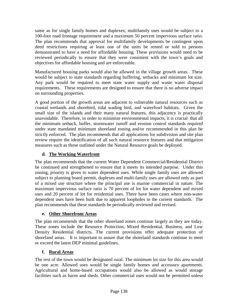same as for single family homes and duplexes; multifamily uses would be subject to a 100-foot road frontage requirement and a maximum 50 percent impervious surface ratio. The plan recommends that approval for multifamily developments be contingent upon deed restrictions requiring at least one of the units be rented or sold to persons demonstrated to have a need for affordable housing. These provisions would need to be reviewed periodically to ensure that they were consistent with the town's goals and objectives for affordable housing and are enforceable.

Manufactured housing parks would also be allowed in the village growth areas. These would be subject to state standards regarding buffering, setbacks and minimum lot size. Any park would be required to meet state water supply and waste water disposal requirements. These requirements are designed to ensure that there is no adverse impact on surrounding properties.

A good portion of the growth areas are adjacent to vulnerable natural resources such as coastal wetlands and shorebird, tidal wading bird, and waterfowl habitats. Given the small size of the islands and their many natural features, this adjacency is practically unavoidable. Therefore, in order to minimize environmental impacts, it is crucial that all the minimum setback, buffer, stormwater runoff and erosion control standards required under state mandated minimum shoreland zoning and/or recommended in this plan be strictly enforced. The plan recommends that all applications for subdivision and site plan review require the identification of all such natural resource features and that mitigation measures such as those outlined under the Natural Resource goals be deployed.

## **d. The Working Waterfront**

The plan recommends that the current Water Dependent Commercial/Residential District be continued and strengthened to ensure that it meets its intended purpose. Under this zoning, priority is given to water dependent uses. While single family uses are allowed subject to planning board permit, duplexes and multi-family uses are allowed only as part of a mixed use structure where the principal use is marine commercial in nature. The maximum impervious surface ratio is 70 percent of lot for water dependent and mixed uses and 20 percent of lot for residential uses. There have been cases where non-water dependent uses have been built due to apparent loopholes in the current standards. The plan recommends that these standards be periodically reviewed and revised.

## **e. Other Shorefront Areas**

The plan recommends that the other shoreland zones continue largely as they are today. These zones include the Resource Protection, Mixed Residential, Business, and Low Density Residential districts. The current provisions offer adequate protection of shoreland areas. It is important to assure that the shoreland standards continue to meet or exceed the latest DEP minimal guidelines.

## **f. Rural Areas**

The rest of the town would be designated rural. The minimum lot size for this area would be one acre. Allowed uses would be single family homes and accessory apartments. Agricultural and home-based occupations would also be allowed as would storage facilities such as barns and sheds. Other commercial uses would not be permitted unless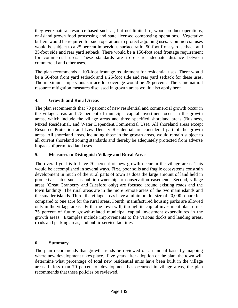they were natural resource-based such as, but not limited to, wood product operations, on-island grown food processing and state licensed composting operations. Vegetative buffers would be required for such operations to protect adjoining uses. Commercial uses would be subject to a 25 percent impervious surface ratio, 50-foot front yard setback and 35-foot side and rear yard setback. There would be a 150-foot road frontage requirement for commercial uses. These standards are to ensure adequate distance between commercial and other uses.

The plan recommends a 100-foot frontage requirement for residential uses. There would be a 50-foot front yard setback and a 25-foot side and rear yard setback for these uses. The maximum impervious surface lot coverage would be 25 percent. The same natural resource mitigation measures discussed in growth areas would also apply here.

## **4. Growth and Rural Areas**

The plan recommends that 70 percent of new residential and commercial growth occur in the village areas and 75 percent of municipal capital investment occur in the growth areas, which include the village areas and three specified shoreland areas (Business, Mixed Residential, and Water Dependent/Commercial Use). All shoreland areas except Resource Protection and Low Density Residential are considered part of the growth areas. All shoreland areas, including those in the growth areas, would remain subject to all current shoreland zoning standards and thereby be adequately protected from adverse impacts of permitted land uses.

## **5. Measures to Distinguish Village and Rural Areas**

The overall goal is to have 70 percent of new growth occur in the village areas. This would be accomplished in several ways. First, poor soils and fragile ecosystems constrain development in much of the rural parts of town as does the large amount of land held in protective status such as public ownership or conservation easements. Second, village areas (Great Cranberry and Islesford only) are focused around existing roads and the town landings. The rural areas are in the more remote areas of the two main islands and the smaller islands. Third, the village areas have a minimum lot size of 20,000 square feet compared to one acre for the rural areas. Fourth, manufactured housing parks are allowed only in the village areas. Fifth, the town will, through its capital investment plan, direct 75 percent of future growth-related municipal capital investment expenditures in the growth areas. Examples include improvements to the various docks and landing areas, roads and parking areas, and public service facilities.

## **6. Summary**

The plan recommends that growth trends be reviewed on an annual basis by mapping where new development takes place. Five years after adoption of the plan, the town will determine what percentage of total new residential units have been built in the village areas. If less than 70 percent of development has occurred in village areas, the plan recommends that these policies be reviewed.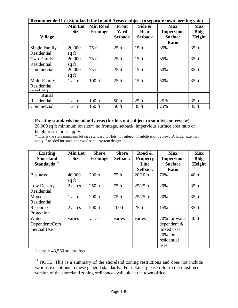| Recommended Lot Standards for Inland Areas (subject to separate town meeting vote) |                               |                             |                                 |                                  |                                                   |                                     |
|------------------------------------------------------------------------------------|-------------------------------|-----------------------------|---------------------------------|----------------------------------|---------------------------------------------------|-------------------------------------|
| <b>Village</b>                                                                     | <b>Min Lot</b><br><b>Size</b> | <b>Min Road</b><br>Frontage | Front<br>Yard<br><b>Setback</b> | Side &<br>Rear<br><b>Setback</b> | <b>Max</b><br><b>Impervious</b><br><b>Surface</b> | <b>Max</b><br><b>Bldg</b><br>Height |
|                                                                                    |                               |                             |                                 |                                  | <b>Ratio</b>                                      |                                     |
| Single Family                                                                      | 20,000                        | 75 ft                       | $25 \text{ ft}$                 | $15 \text{ ft}$                  | 35%                                               | $35 \text{ ft}$                     |
| Residential                                                                        | sq ft                         |                             |                                 |                                  |                                                   |                                     |
| Two Family                                                                         | 20,000                        | 75 ft                       | $25 \text{ ft}$                 | $15 \text{ ft}$                  | 35%                                               | $35 \text{ ft}$                     |
| Residential                                                                        | sq ft                         |                             |                                 |                                  |                                                   |                                     |
| Commercial                                                                         | 20,000                        | 75 ft                       | $25 \text{ ft}$                 | $15 \text{ ft}$                  | 50%                                               | $35 \text{ ft}$                     |
|                                                                                    | sq ft                         |                             |                                 |                                  |                                                   |                                     |
| Multi Family                                                                       | 1 acre                        | $100$ ft                    | $25 \text{ ft}$                 | $15 \text{ ft}$                  | 50%                                               | $35 \text{ ft}$                     |
| Residential                                                                        |                               |                             |                                 |                                  |                                                   |                                     |
| (up to 4 units)                                                                    |                               |                             |                                 |                                  |                                                   |                                     |
| <b>Rural</b>                                                                       |                               |                             |                                 |                                  |                                                   |                                     |
| Residential                                                                        | 1 acre                        | $100$ ft                    | $50$ ft                         | $25 \text{ ft}$                  | 25 %                                              | 35 ft                               |
| Commercial                                                                         | 1 acre                        | 150 ft                      | $50$ ft                         | 35 ft                            | 25%                                               | 35 ft                               |

#### **Existing standards for inland areas (for lots not subject to subdivision review)**:

20,000 sq ft minimum lot size\*; no frontage, setback, impervious surface area ratio or height restrictions apply.

\* This is the state minimum lot size standard for lots not subject to subdivision review. A larger size may apply if needed for state-approved septic system design.

| <b>Existing</b>                             | <b>Min Lot</b>  | <b>Shore</b> | <b>Shore</b>   | Road &                  | <b>Max</b>                                                                          | <b>Max</b>       |
|---------------------------------------------|-----------------|--------------|----------------|-------------------------|-------------------------------------------------------------------------------------|------------------|
| <b>Shoreland</b><br>Standards <sup>12</sup> | <b>Size</b>     | Frontage     | <b>Setback</b> | <b>Property</b><br>Line | <b>Impervious</b><br><b>Surface</b>                                                 | <b>Bldg</b>      |
|                                             |                 |              |                | <b>Setback</b>          | <b>Ratio</b>                                                                        | Height           |
| <b>Business</b>                             | 40,000<br>sq ft | $200$ ft     | 75 ft          | $20/10$ ft              | 70%                                                                                 | $40$ ft          |
| Low Density<br>Residential                  | 2 acres         | $250$ ft     | $75$ ft        | $25/25$ ft              | 20%                                                                                 | 35 <sub>ft</sub> |
| Mixed<br>Residential                        | 1 acre          | $200$ ft     | $75$ ft        | $25/25$ ft              | 20%                                                                                 | 35 <sub>ft</sub> |
| Resource<br>Protection                      | 2 acres         | $200$ ft     | $100$ ft       | $25$ ft                 | 15%                                                                                 | 35 <sub>ft</sub> |
| Water<br>Dependent/Com<br>mercial Use       | varies          | varies       | varies         | varies                  | 70% for water<br>dependent $\&$<br>mixed uses;<br>$20\%$ for<br>residential<br>uses | $40$ ft          |

1 acre =  $43,560$  square feet

<span id="page-149-0"></span><sup>&</sup>lt;sup>12</sup> NOTE: This is a summary of the shoreland zoning restrictions and does not include various exceptions to these general standards. For details, please refer to the most recent version of the shoreland zoning ordinance available at the town office.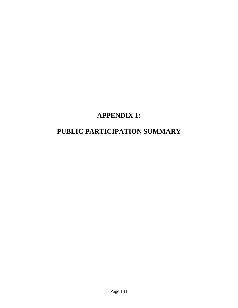# **APPENDIX 1:**

## **PUBLIC PARTICIPATION SUMMARY**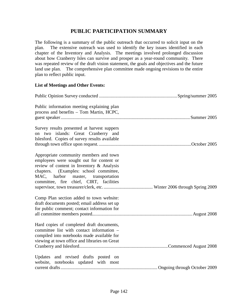## **PUBLIC PARTICIPATION SUMMARY**

The following is a summary of the public outreach that occurred to solicit input on the plan. The extensive outreach was used to identify the key issues identified in each chapter of the Inventory and Analysis. The meetings involved prolonged discussion about how Cranberry Isles can survive and prosper as a year-round community. There was repeated review of the draft vision statement, the goals and objectives and the future land use plan. The comprehensive plan committee made ongoing revisions to the entire plan to reflect public input.

#### **List of Meetings and Other Events:**

| Public information meeting explaining plan<br>process and benefits - Tom Martin, HCPC,                                                                                                                                                                     |  |
|------------------------------------------------------------------------------------------------------------------------------------------------------------------------------------------------------------------------------------------------------------|--|
| Survey results presented at harvest suppers<br>on two islands: Great Cranberry and<br>Islesford. Copies of survey results available                                                                                                                        |  |
| Appropriate community members and town<br>employees were sought out for content or<br>review of content in Inventory & Analysis<br>chapters. (Examples: school committee,<br>MAC, harbor master, transportation<br>committee, fire chief, CIRT, facilities |  |
| Comp Plan section added to town website:<br>draft documents posted; email address set up<br>for public comment; contact information for                                                                                                                    |  |
| Hard copies of completed draft documents,<br>committee list with contact information –<br>compiled into notebooks made available for<br>viewing at town office and libraries on Great                                                                      |  |
| Updates and revised drafts posted on<br>website, notebooks updated with most                                                                                                                                                                               |  |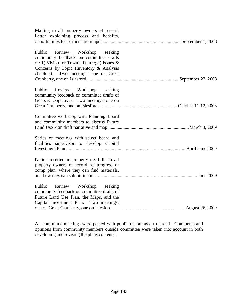| Mailing to all property owners of record:<br>Letter explaining process and benefits,                                                                                                                            |  |
|-----------------------------------------------------------------------------------------------------------------------------------------------------------------------------------------------------------------|--|
|                                                                                                                                                                                                                 |  |
| Public Review Workshop seeking<br>community feedback on committee drafts<br>of: 1) Vision for Town's Future; 2) Issues $\&$<br>Concerns by Topic (Inventory & Analysis<br>chapters). Two meetings: one on Great |  |
| Public Review Workshop seeking<br>community feedback on committee drafts of<br>Goals & Objectives. Two meetings: one on                                                                                         |  |
|                                                                                                                                                                                                                 |  |
| Committee workshop with Planning Board<br>and community members to discuss Future                                                                                                                               |  |
| Series of meetings with select board and<br>facilities supervisor to develop Capital                                                                                                                            |  |
| Notice inserted in property tax bills to all<br>property owners of record re: progress of<br>comp plan, where they can find materials,                                                                          |  |
| Public Review Workshop seeking<br>community feedback on committee drafts of<br>Future Land Use Plan, the Maps, and the<br>Capital Investment Plan. Two meetings:                                                |  |
|                                                                                                                                                                                                                 |  |

All committee meetings were posted with public encouraged to attend. Comments and opinions from community members outside committee were taken into account in both developing and revising the plans contents.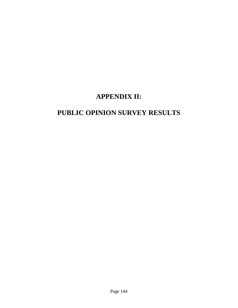## **APPENDIX II:**

## **PUBLIC OPINION SURVEY RESULTS**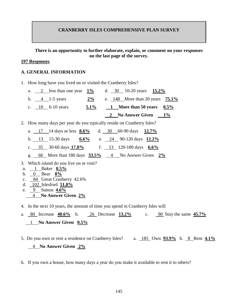#### **CRANBERRY ISLES COMPREHENSIVE PLAN SURVEY**

#### **There is an opportunity to further elaborate, explain, or comment on your responses on the last page of the survey.**

#### **197 Responses**

#### **A. GENERAL INFORMATION**

1. How long have you lived on or visited the Cranberry Isles?

| a. 2 less than one year $1\%$ |         | d. 30 10-20 years $15.2\%$           |
|-------------------------------|---------|--------------------------------------|
| b. $4 \t1-5 \text{ years}$    | $2\%$   | e. $148$ More than 20 years $75.1\%$ |
| c. $10\,6-10$ years           | $5.1\%$ | 1 More than 50 years $0.5\%$         |
|                               |         | 2 No Answer Given 1%                 |

2. How many days per year do you typically reside on Cranberry Isles?

|  | a. $17 \t14 days$ or less $8.6\%$ d. 30 60-90 days 12.7%                                        |  |  |  |
|--|-------------------------------------------------------------------------------------------------|--|--|--|
|  | b. 13 15-30 days $6.6\%$ e. 24 90-120 days $12.2\%$                                             |  |  |  |
|  | c. $35$ 30-60 days $17.8\%$ f. 13 120-180 days 6.6%                                             |  |  |  |
|  | g. $\underline{66}$ More than 180 days $\underline{33.5\%}$ 4 No Answer Given $\underline{2\%}$ |  |  |  |

- 3. Which island do you live on or visit?
- a. 1 Baker **0.5%**
- b. 0 Bear **0%**
- c. 84 Great Cranberry 42.6%
- d. 102 Islesford **51.8%**
- e. 9 Sutton **4.6%**
	- 4 **No Answer Given 2%**
- 4. In the next 10 years, the amount of time you spend in Cranberry Isles will
- a. 80 Increase **40.6%** b. 26 Decrease **13.2%** c. 90 Stay the same **45.7%** 1 **No Answer Given 0.5%**
- 5. Do you own or rent a residence on Cranberry Isles? a. 185 Own **93.9%** b. 8 Rent **4.1%** 4 **No Answer Given 2%**
- 6. If you own a house, how many days a year do you make it available to rent it to others?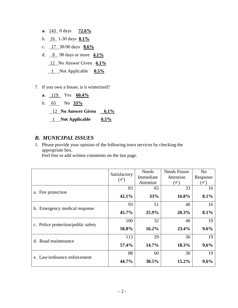- **a.** 143 0 days **72.6%** b. 16 1-30 days **8.1%** c. 17 30-90 days **8.6%** d. 8 90 days or more **4.1%** 12 No Answer Given **6.1%** 1 Not Applicable **0.5%**
- 7. If you own a house, is it winterized?
	- **a.** 119 Yes **60.4%**
	- b. 65 No **33%**
		- 12 No Answer Given 6.1%
		- 1 **Not Applicable 0.5%**

## *B. MUNICIPAL ISSUES*

1. Please provide your opinion of the following town services by checking the appropriate box.

Feel free to add written comments on the last page.

|                                              | Satisfactory   | Needs     | <b>Needs Future</b> | N <sub>0</sub> |
|----------------------------------------------|----------------|-----------|---------------------|----------------|
|                                              | $(\checkmark)$ | Immediate | Attention           | Response       |
|                                              |                | Attention | $(\checkmark)$      | $(\checkmark)$ |
|                                              | 83             | 65        | 33                  | 16             |
| a. Fire protection                           | 42.1%          | 33%       | 16.8%               | 8.1%           |
|                                              | 93             | 51        | 40                  | 16             |
| Emergency medical response<br>$\mathbf{b}$ . | 45.7%          | 25.9%     | 20.3%               | 8.1%           |
|                                              | 100            | 32        | 46                  | 19             |
| c. Police protection/public safety           | 50.8%          | $16.2\%$  | 23.4%               | $9.6\%$        |
|                                              | 113            | 29        | 36                  | 19             |
| d. Road maintenance                          | 57.4%          | 14.7%     | 18.3%               | $9.6\%$        |
|                                              | 88             | 60        | 30                  | 19             |
| e. Law/ordinance enforcement                 | 44.7%          | $30.5\%$  | $15.2\%$            | 9.6%           |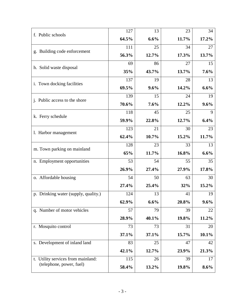| f. Public schools                     | 127   | 13    | 23    | 34    |
|---------------------------------------|-------|-------|-------|-------|
|                                       | 64.5% | 6.6%  | 11.7% | 17.2% |
|                                       | 111   | 25    | 34    | 27    |
| g. Building code enforcement          | 56.3% | 12.7% | 17.3% | 13.7% |
|                                       | 69    | 86    | 27    | 15    |
| h. Solid waste disposal               | 35%   | 43.7% | 13.7% | 7.6%  |
|                                       | 137   | 19    | 28    | 13    |
| i. Town docking facilities            | 69.5% | 9.6%  | 14.2% | 6.6%  |
| <i>i</i> . Public access to the shore | 139   | 15    | 24    | 19    |
|                                       | 70.6% | 7.6%  | 12.2% | 9.6%  |
|                                       | 118   | 45    | 25    | 9     |
| k. Ferry schedule                     | 59.9% | 22.8% | 12.7% | 6.4%  |
|                                       | 123   | 21    | 30    | 23    |
| 1. Harbor management                  | 62.4% | 10.7% | 15.2% | 11.7% |
|                                       | 128   | 23    | 33    | 13    |
| m. Town parking on mainland           | 65%   | 11.7% | 16.8% | 6.6%  |
| n. Employment opportunities           | 53    | 54    | 55    | 35    |
|                                       | 26.9% | 27.4% | 27.9% | 17.8% |
| o. Affordable housing                 | 54    | 50    | 63    | 30    |
|                                       | 27.4% | 25.4% | 32%   | 15.2% |
| p. Drinking water (supply, quality.)  | 124   | 13    | 41    | 19    |
|                                       | 62.9% | 6.6%  | 20.8% | 9.6%  |
| q. Number of motor vehicles           | 57    | 79    | 39    | 22    |
|                                       | 28.9% | 40.1% | 19.8% | 11.2% |
| r. Mosquito control                   | 73    | 73    | 31    | 20    |
|                                       | 37.1% | 37.1% | 15.7% | 10.1% |
| s. Development of inland land         | 83    | 25    | 47    | 42    |
|                                       | 42.1% | 12.7% | 23.9% | 21.3% |
| t. Utility services from mainland:    | 115   | 26    | 39    | 17    |
| (telephone, power, fuel)              | 58.4% | 13.2% | 19.8% | 8.6%  |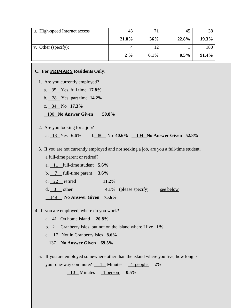| u. High-speed Internet access | 43    |         | 45      | 38    |
|-------------------------------|-------|---------|---------|-------|
|                               | 21.8% | 36%     | 22.8%   | 19.3% |
| v. Other (specify):           |       | 2       |         | 180   |
|                               | $2\%$ | $6.1\%$ | $0.5\%$ | 91.4% |

#### **C. For PRIMARY Residents Only:**

1. Are you currently employed?

- a. 35 Yes, full time **17.8%**
- b. 28 Yes, part time **14.2**%
- c. 34 No **17.3%**

100 **No Answer Given 50.8%**

2. Are you looking for a job?

a. 13 Yes **6.6%** b 80 No **40.6%** 104 **No Answer Given 52.8%**

3. If you are not currently employed and not seeking a job, are you a full-time student, a full-time parent or retired?

a. 11 full-time student **5.6%**

b. 7 full-time parent **3.6%**

c. 22 retired **11.2%**

d. 8 other **4.1%** (please specify) see below

149 **No Answer Given 75.6%**

4. If you are employed, where do you work?

a. 41 On home island **20.8%**

b. 2 Cranberry Isles, but not on the island where I live **1%**

c. 17 Not in Cranberry Isles **8.6%**

137 **No Answer Given 69.5%**

5. If you are employed somewhere other than the island where you live, how long is your one-way commute? 1 Minutes 4 people 2% 10 Minutes 1 person **0.5%**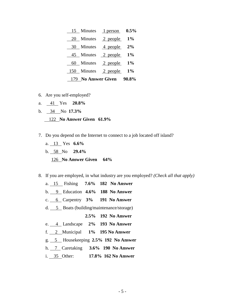|     | 15 Minutes 1 person 0.5%  |  |
|-----|---------------------------|--|
| 20  | Minutes 2 people $1\%$    |  |
| 30  | Minutes $\frac{4}{2\%}$   |  |
|     | 45 Minutes 2 people 1%    |  |
|     | 60 Minutes 2 people 1%    |  |
| 150 | Minutes 2 people $1\%$    |  |
|     | 179 No Answer Given 90.8% |  |

- 6. Are you self-employed?
- a. 41 Yes **20.8%**
- b. 34 No **17.3%**

#### 122 **No Answer Given 61.9%**

- 7. Do you depend on the Internet to connect to a job located off island?
	- a. 13 Yes **6.6%** b. 58 No **29.4%**

126 **No Answer Given 64%**

- 8. If you are employed, in what industry are you employed? *(Check all that apply)*
	- a. 15 Fishing **7.6% 182 No Answer**
	- b. 9 Education **4.6% 188 No Answer**
	- c. 6 Carpentry **3% 191 No Answer**
	- d. 5 Boats (building/maintenance/storage)

**2.5% 192 No Answer**

- e. 4 Landscape **2% 193 No Answer**
- f. 2 Municipal **1% 195 No Answer**
- g. 5 Housekeeping **2.5% 192 No Answer**
- h. 7 Caretaking **3.6% 190 No Answer**
- i. 35 Other: **17.8% 162 No Answer**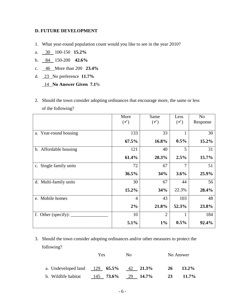#### **D. FUTURE DEVELOPMENT**

- 1. What year-round population count would you like to see in the year 2010?
- a. 30 100-150 **15.2%**
- b. 84 150-200 **42.6%**
- c. 46 More than 200 **23.4%**
- d. 23 No preference **11.7%**

14 **No Answer Given 7.1**%

2. Should the town consider adopting ordinances that encourage more, the same or less of the following?

|                           | More<br>$(\checkmark)$ | Same<br>$(\checkmark)$ | Less<br>$(\checkmark)$ | N <sub>o</sub><br>Response |
|---------------------------|------------------------|------------------------|------------------------|----------------------------|
| a. Year-round housing     | 133                    | 33                     |                        | 30                         |
|                           | $67.5\%$               | 16.8%                  | $0.5\%$                | 15.2%                      |
| b. Affordable housing     | 121                    | 40                     | 5                      | 31                         |
|                           | 61.4%                  | 20.3%                  | 2.5%                   | 15.7%                      |
| Single family units<br>c. | 72                     | 67                     | 7                      | 51                         |
|                           | 36.5%                  | 34%                    | 3.6%                   | 25.9%                      |
| d. Multi-family units     | 30                     | 67                     | 44                     | 56                         |
|                           | $15.2\%$               | 34%                    | 22.3%                  | 28.4%                      |
| e. Mobile homes           | $\overline{4}$         | 43                     | 103                    | 48                         |
|                           | 2%                     | 21.8%                  | 52.3%                  | 23.8%                      |
| f. Other (specify):       | 10                     | $\overline{2}$         | 1                      | 184                        |
|                           | 5.1%                   | $1\%$                  | 0.5%                   | 92.4%                      |

## 3. Should the town consider adopting ordinances and/or other measures to protect the following?

|                                          | Yes | Nο                   | No Answer      |
|------------------------------------------|-----|----------------------|----------------|
| a. Undeveloped land $129$ 65.5% 42 21.3% |     |                      | 13.2%<br>-26   |
| b. Wildlife habitat                      |     | $145$ 73.6% 29 14.7% | $11.7\%$<br>23 |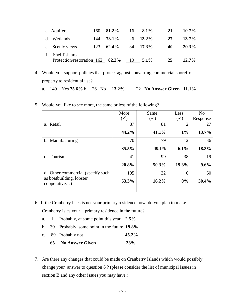| c. Aquifers                                        |     | 160 $81.2\%$ | 16 $8.1\%$       | 21 | $10.7\%$ |
|----------------------------------------------------|-----|--------------|------------------|----|----------|
| d. Wetlands                                        |     | $144$ 73.1%  | 26 13.2%         | 27 | $13.7\%$ |
| e. Scenic views                                    | 123 | 62.4%        | $34$ 17.3%       | 40 | $20.3\%$ |
| Shellfish area<br>Protection/restoration 162 82.2% |     |              | $10 \quad 5.1\%$ | 25 | $12.7\%$ |

4. Would you support policies that protect against converting commercial shorefront property to residential use?

a. 149 Yes **75.6%** b. 26 No **13.2%** 22 **No Answer Given 11.1%**

|                                          | More                       | Same           | Less           | N <sub>0</sub> |
|------------------------------------------|----------------------------|----------------|----------------|----------------|
|                                          | $\mathcal{L}(\mathcal{A})$ | $(\checkmark)$ | $(\checkmark)$ | Response       |
| a. Retail                                | 87                         | 81             | $\overline{2}$ | 27             |
|                                          | 44.2%                      | 41.1%          | $1\%$          | 13.7%          |
| b. Manufacturing                         | 70                         | 79             | 12             | 36             |
|                                          | 35.5%                      | 40.1%          | 6.1%           | 18.3%          |
| c. Tourism                               | 41                         | 99             | 38             | 19             |
|                                          | 20.8%                      | 50.3%          | 19.3%          | 9.6%           |
| d. Other commercial (specify such        | 105                        | 32             | $\mathcal{O}$  | 60             |
| as boatbuilding, lobster<br>cooperative) | 53.3%                      | 16.2%          | 0%             | 30.4%          |

5. Would you like to see more, the same or less of the following?

6. If the Cranberry Isles is not your primary residence now, do you plan to make

Cranberry Isles your primary residence in the future?

- a. 1 Probably, at some point this year **2.5%**
- b. 39 Probably, some point in the future **19.8%**
- c. 89 Probably not **45.2%**
- 65 **No Answer Given 33%**
- 7. Are there any changes that could be made on Cranberry Islands which would possibly change your answer to question 6 ? (please consider the list of municipal issues in section B and any other issues you may have.)